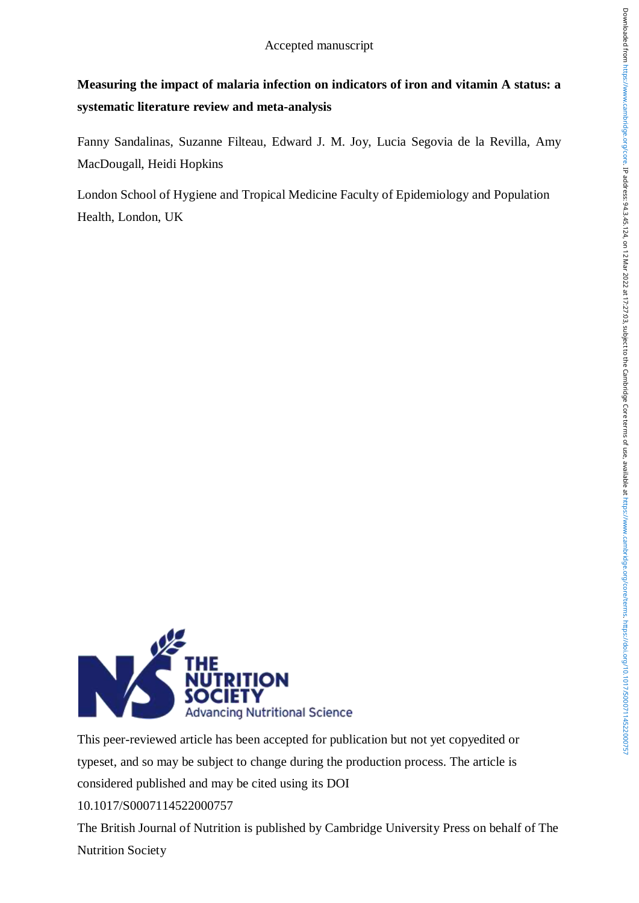# **Measuring the impact of malaria infection on indicators of iron and vitamin A status: a systematic literature review and meta-analysis**

Fanny Sandalinas, Suzanne Filteau, Edward J. M. Joy, Lucia Segovia de la Revilla, Amy MacDougall, Heidi Hopkins

London School of Hygiene and Tropical Medicine Faculty of Epidemiology and Population Health, London, UK



This peer-reviewed article has been accepted for publication but not yet copyedited or typeset, and so may be subject to change during the production process. The article is considered published and may be cited using its DOI 10.1017/S0007114522000757

The British Journal of Nutrition is published by Cambridge University Press on behalf of The Nutrition Society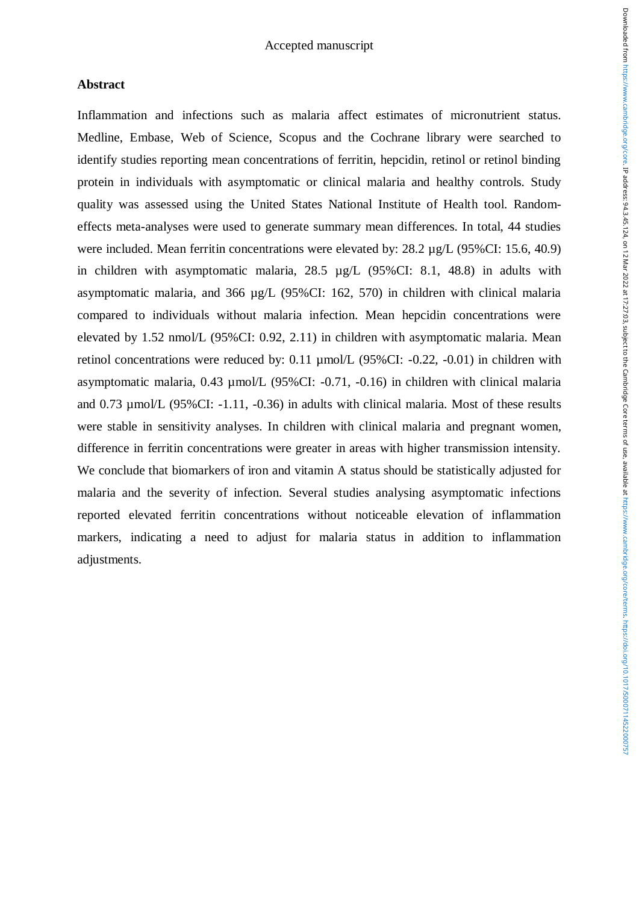## **Abstract**

Inflammation and infections such as malaria affect estimates of micronutrient status. Medline, Embase, Web of Science, Scopus and the Cochrane library were searched to identify studies reporting mean concentrations of ferritin, hepcidin, retinol or retinol binding protein in individuals with asymptomatic or clinical malaria and healthy controls. Study quality was assessed using the United States National Institute of Health tool. Randomeffects meta-analyses were used to generate summary mean differences. In total, 44 studies were included. Mean ferritin concentrations were elevated by: 28.2 µg/L (95%CI: 15.6, 40.9) in children with asymptomatic malaria, 28.5 µg/L (95%CI: 8.1, 48.8) in adults with asymptomatic malaria, and 366 µg/L (95%CI: 162, 570) in children with clinical malaria compared to individuals without malaria infection. Mean hepcidin concentrations were elevated by 1.52 nmol/L (95%CI: 0.92, 2.11) in children with asymptomatic malaria. Mean retinol concentrations were reduced by: 0.11 µmol/L (95%CI: -0.22, -0.01) in children with asymptomatic malaria, 0.43 µmol/L (95%CI: -0.71, -0.16) in children with clinical malaria and 0.73 µmol/L (95%CI: -1.11, -0.36) in adults with clinical malaria. Most of these results were stable in sensitivity analyses. In children with clinical malaria and pregnant women, difference in ferritin concentrations were greater in areas with higher transmission intensity. We conclude that biomarkers of iron and vitamin A status should be statistically adjusted for malaria and the severity of infection. Several studies analysing asymptomatic infections reported elevated ferritin concentrations without noticeable elevation of inflammation markers, indicating a need to adjust for malaria status in addition to inflammation adjustments.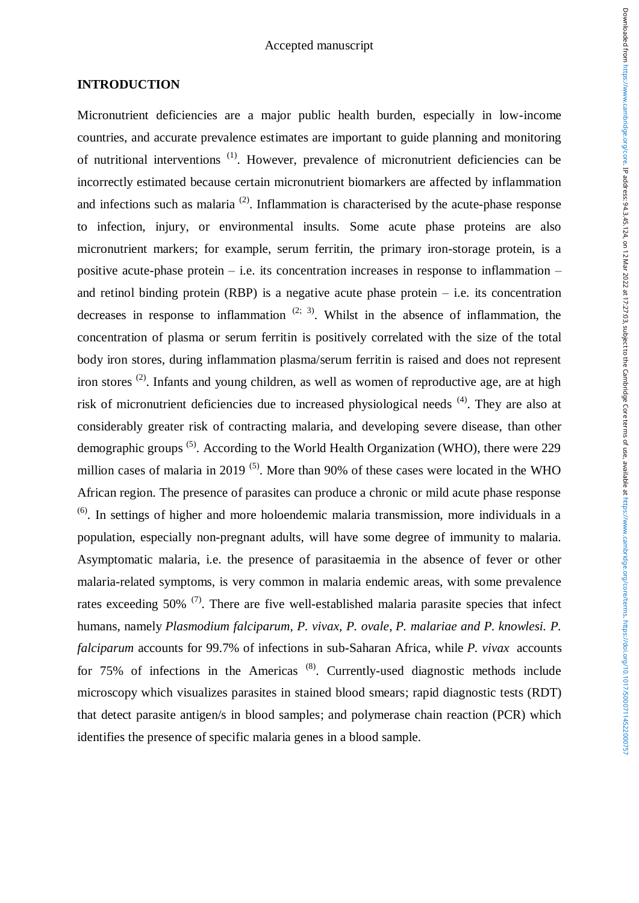# **INTRODUCTION**

Micronutrient deficiencies are a major public health burden, especially in low-income countries, and accurate prevalence estimates are important to guide planning and monitoring of nutritional interventions (1). However, prevalence of micronutrient deficiencies can be incorrectly estimated because certain micronutrient biomarkers are affected by inflammation and infections such as malaria  $(2)$ . Inflammation is characterised by the acute-phase response to infection, injury, or environmental insults. Some acute phase proteins are also micronutrient markers; for example, serum ferritin, the primary iron-storage protein, is a positive acute-phase protein – i.e. its concentration increases in response to inflammation – and retinol binding protein (RBP) is a negative acute phase protein  $-$  i.e. its concentration decreases in response to inflammation  $(2, 3)$ . Whilst in the absence of inflammation, the concentration of plasma or serum ferritin is positively correlated with the size of the total body iron stores, during inflammation plasma/serum ferritin is raised and does not represent iron stores<sup>(2)</sup>. Infants and young children, as well as women of reproductive age, are at high risk of micronutrient deficiencies due to increased physiological needs (4). They are also at considerably greater risk of contracting malaria, and developing severe disease, than other demographic groups<sup>(5)</sup>. According to the World Health Organization (WHO), there were 229 million cases of malaria in 2019<sup>(5)</sup>. More than 90% of these cases were located in the WHO African region. The presence of parasites can produce a chronic or mild acute phase response  $<sup>(6)</sup>$ . In settings of higher and more holoendemic malaria transmission, more individuals in a</sup> population, especially non-pregnant adults, will have some degree of immunity to malaria. Asymptomatic malaria, i.e. the presence of parasitaemia in the absence of fever or other malaria-related symptoms, is very common in malaria endemic areas, with some prevalence rates exceeding  $50\%$ <sup>(7)</sup>. There are five well-established malaria parasite species that infect humans, namely *Plasmodium falciparum, P. vivax, P. ovale*, *P. malariae and P. knowlesi. P. falciparum* accounts for 99.7% of infections in sub-Saharan Africa, while *P. vivax* accounts for 75% of infections in the Americas<sup>(8)</sup>. Currently-used diagnostic methods include microscopy which visualizes parasites in stained blood smears; rapid diagnostic tests (RDT) that detect parasite antigen/s in blood samples; and polymerase chain reaction (PCR) which identifies the presence of specific malaria genes in a blood sample.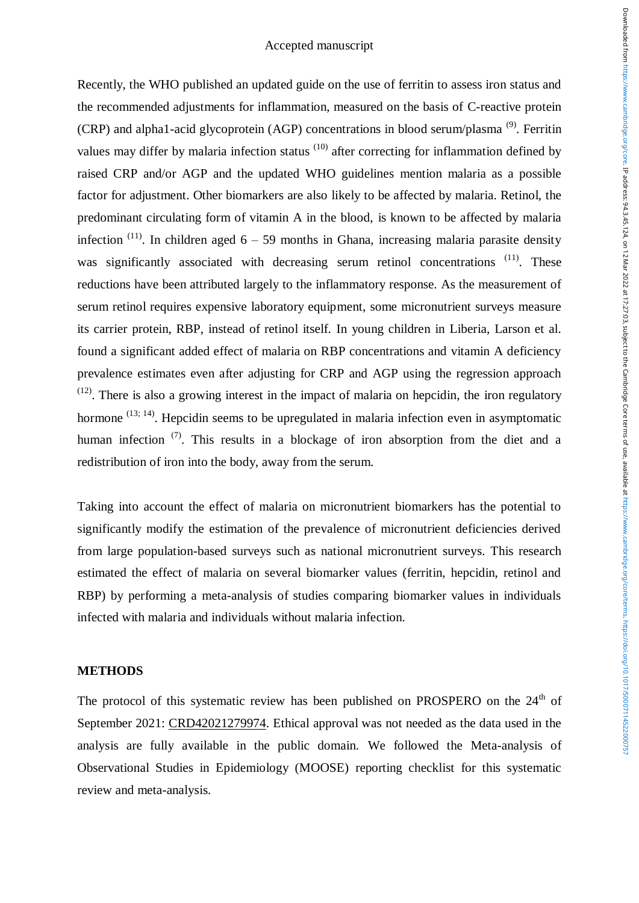Recently, the WHO published an updated guide on the use of ferritin to assess iron status and the recommended adjustments for inflammation, measured on the basis of C-reactive protein (CRP) and alpha1-acid glycoprotein (AGP) concentrations in blood serum/plasma<sup>(9)</sup>. Ferritin values may differ by malaria infection status <sup>(10)</sup> after correcting for inflammation defined by raised CRP and/or AGP and the updated WHO guidelines mention malaria as a possible factor for adjustment. Other biomarkers are also likely to be affected by malaria. Retinol, the predominant circulating form of vitamin A in the blood, is known to be affected by malaria infection  $(11)$ . In children aged 6 – 59 months in Ghana, increasing malaria parasite density was significantly associated with decreasing serum retinol concentrations <sup>(11)</sup>. These reductions have been attributed largely to the inflammatory response. As the measurement of serum retinol requires expensive laboratory equipment, some micronutrient surveys measure its carrier protein, RBP, instead of retinol itself. In young children in Liberia, Larson et al. found a significant added effect of malaria on RBP concentrations and vitamin A deficiency prevalence estimates even after adjusting for CRP and AGP using the regression approach  $(12)$ . There is also a growing interest in the impact of malaria on hepcidin, the iron regulatory hormone  $(13; 14)$ . Hepcidin seems to be upregulated in malaria infection even in asymptomatic human infection  $(7)$ . This results in a blockage of iron absorption from the diet and a redistribution of iron into the body, away from the serum.

Taking into account the effect of malaria on micronutrient biomarkers has the potential to significantly modify the estimation of the prevalence of micronutrient deficiencies derived from large population-based surveys such as national micronutrient surveys. This research estimated the effect of malaria on several biomarker values (ferritin, hepcidin, retinol and RBP) by performing a meta-analysis of studies comparing biomarker values in individuals infected with malaria and individuals without malaria infection.

### **METHODS**

The protocol of this systematic review has been published on PROSPERO on the  $24<sup>th</sup>$  of September 2021: [CRD42021279974.](https://www.crd.york.ac.uk/prospero/display_record.php?ID=CRD42021279974) Ethical approval was not needed as the data used in the analysis are fully available in the public domain. We followed the [Meta-analysis of](http://www.equator-network.org/reporting-guidelines/meta-analysis-of-observational-studies-in-epidemiology-a-proposal-for-reporting-meta-analysis-of-observational-studies-in-epidemiology-moose-group/)  [Observational Studies in Epidemiology \(MOOSE\)](http://www.equator-network.org/reporting-guidelines/meta-analysis-of-observational-studies-in-epidemiology-a-proposal-for-reporting-meta-analysis-of-observational-studies-in-epidemiology-moose-group/) reporting checklist for this systematic review and meta-analysis.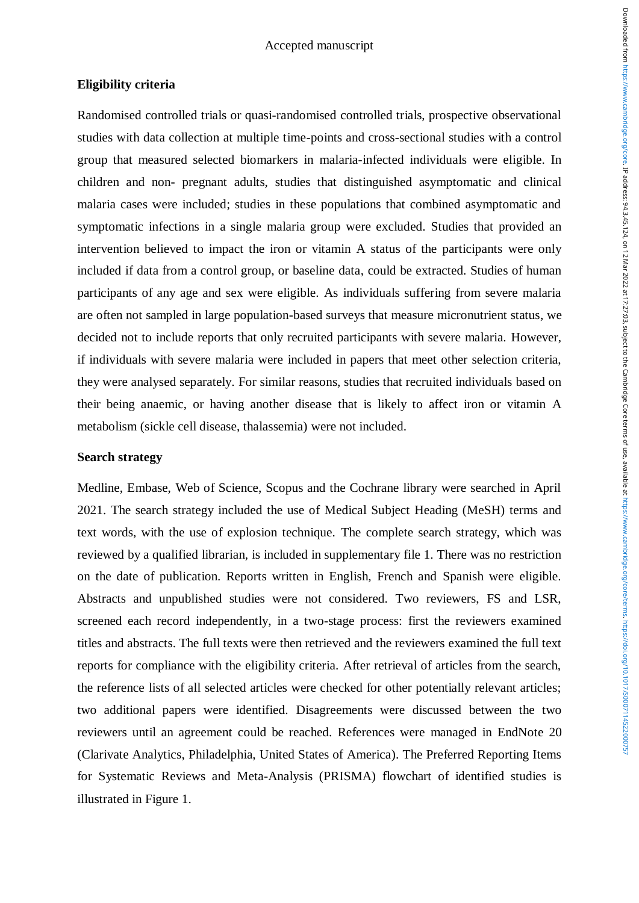# **Eligibility criteria**

Randomised controlled trials or quasi-randomised controlled trials, prospective observational studies with data collection at multiple time-points and cross-sectional studies with a control group that measured selected biomarkers in malaria-infected individuals were eligible. In children and non- pregnant adults, studies that distinguished asymptomatic and clinical malaria cases were included; studies in these populations that combined asymptomatic and symptomatic infections in a single malaria group were excluded. Studies that provided an intervention believed to impact the iron or vitamin A status of the participants were only included if data from a control group, or baseline data, could be extracted. Studies of human participants of any age and sex were eligible. As individuals suffering from severe malaria are often not sampled in large population-based surveys that measure micronutrient status, we decided not to include reports that only recruited participants with severe malaria. However, if individuals with severe malaria were included in papers that meet other selection criteria, they were analysed separately. For similar reasons, studies that recruited individuals based on their being anaemic, or having another disease that is likely to affect iron or vitamin A metabolism (sickle cell disease, thalassemia) were not included.

# **Search strategy**

Medline, Embase, Web of Science, Scopus and the Cochrane library were searched in April 2021. The search strategy included the use of Medical Subject Heading (MeSH) terms and text words, with the use of explosion technique. The complete search strategy, which was reviewed by a qualified librarian, is included in supplementary file 1. There was no restriction on the date of publication. Reports written in English, French and Spanish were eligible. Abstracts and unpublished studies were not considered. Two reviewers, FS and LSR, screened each record independently, in a two-stage process: first the reviewers examined titles and abstracts. The full texts were then retrieved and the reviewers examined the full text reports for compliance with the eligibility criteria. After retrieval of articles from the search, the reference lists of all selected articles were checked for other potentially relevant articles; two additional papers were identified. Disagreements were discussed between the two reviewers until an agreement could be reached. References were managed in EndNote 20 (Clarivate Analytics, Philadelphia, United States of America). The Preferred Reporting Items for Systematic Reviews and Meta-Analysis (PRISMA) flowchart of identified studies is illustrated in Figure 1.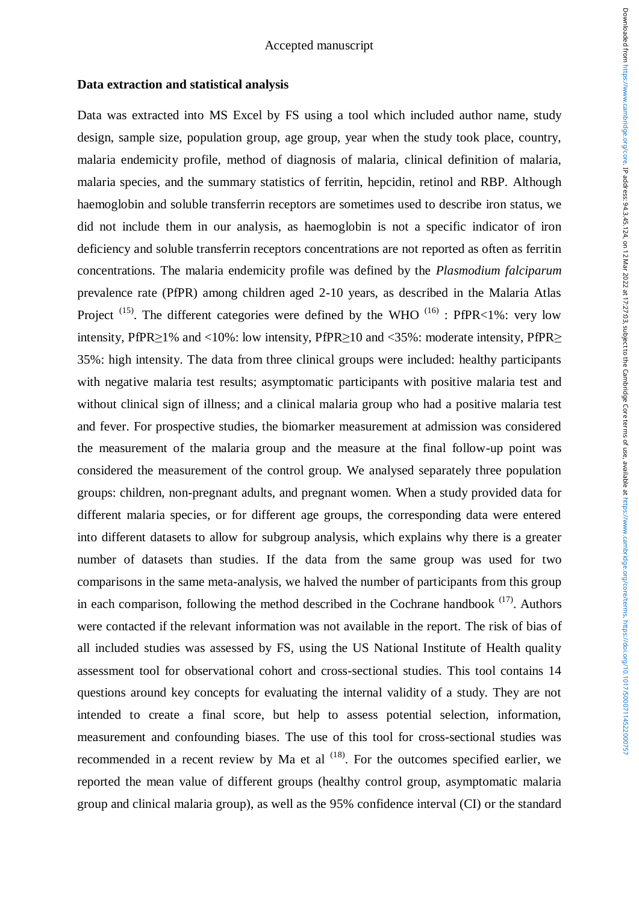### **Data extraction and statistical analysis**

Data was extracted into MS Excel by FS using a tool which included author name, study design, sample size, population group, age group, year when the study took place, country, malaria endemicity profile, method of diagnosis of malaria, clinical definition of malaria, malaria species, and the summary statistics of ferritin, hepcidin, retinol and RBP. Although haemoglobin and soluble transferrin receptors are sometimes used to describe iron status, we did not include them in our analysis, as haemoglobin is not a specific indicator of iron deficiency and soluble transferrin receptors concentrations are not reported as often as ferritin concentrations. The malaria endemicity profile was defined by the *Plasmodium falciparum* prevalence rate (PfPR) among children aged 2-10 years, as described in the Malaria Atlas Project  $(15)$ . The different categories were defined by the WHO  $(16)$ : PfPR<1%: very low intensity, PfPR>1% and <10%: low intensity, PfPR>10 and <35%: moderate intensity, PfPR> 35%: high intensity. The data from three clinical groups were included: healthy participants with negative malaria test results; asymptomatic participants with positive malaria test and without clinical sign of illness; and a clinical malaria group who had a positive malaria test and fever. For prospective studies, the biomarker measurement at admission was considered the measurement of the malaria group and the measure at the final follow-up point was considered the measurement of the control group. We analysed separately three population groups: children, non-pregnant adults, and pregnant women. When a study provided data for different malaria species, or for different age groups, the corresponding data were entered into different datasets to allow for subgroup analysis, which explains why there is a greater number of datasets than studies. If the data from the same group was used for two comparisons in the same meta-analysis, we halved the number of participants from this group in each comparison, following the method described in the Cochrane handbook  $(17)$ . Authors were contacted if the relevant information was not available in the report. The risk of bias of all included studies was assessed by FS, using the US National Institute of Health quality assessment tool for observational cohort and cross-sectional studies. This tool contains 14 questions around key concepts for evaluating the internal validity of a study. They are not intended to create a final score, but help to assess potential selection, information, measurement and confounding biases. The use of this tool for cross-sectional studies was recommended in a recent review by Ma et al  $(18)$ . For the outcomes specified earlier, we reported the mean value of different groups (healthy control group, asymptomatic malaria group and clinical malaria group), as well as the 95% confidence interval (CI) or the standard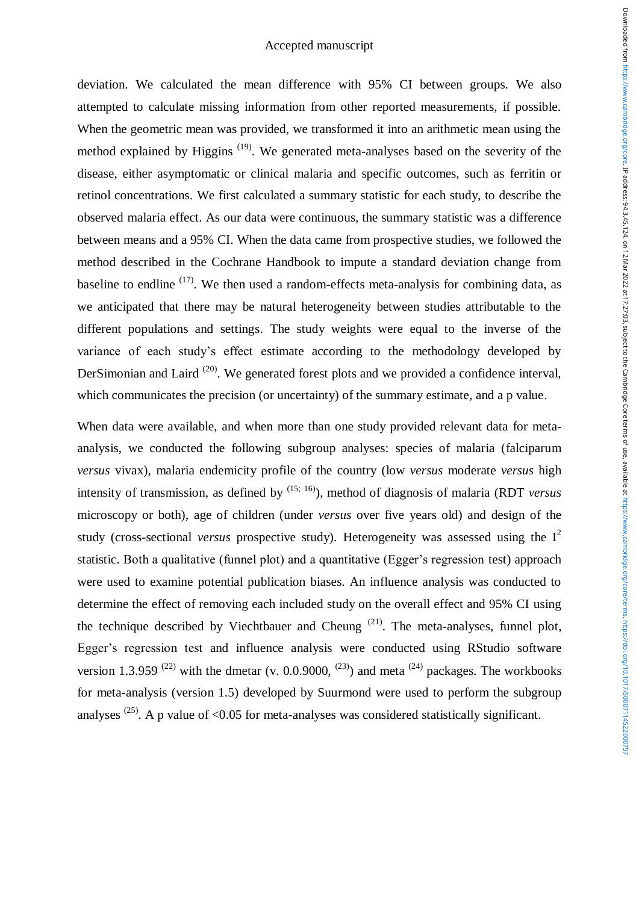deviation. We calculated the mean difference with 95% CI between groups. We also attempted to calculate missing information from other reported measurements, if possible. When the geometric mean was provided, we transformed it into an arithmetic mean using the method explained by Higgins<sup> $(19)$ </sup>. We generated meta-analyses based on the severity of the disease, either asymptomatic or clinical malaria and specific outcomes, such as ferritin or retinol concentrations. We first calculated a summary statistic for each study, to describe the observed malaria effect. As our data were continuous, the summary statistic was a difference between means and a 95% CI. When the data came from prospective studies, we followed the method described in the Cochrane Handbook to impute a standard deviation change from baseline to endline  $(17)$ . We then used a random-effects meta-analysis for combining data, as we anticipated that there may be natural heterogeneity between studies attributable to the different populations and settings. The study weights were equal to the inverse of the variance of each study's effect estimate according to the methodology developed by DerSimonian and Laird  $^{(20)}$ . We generated forest plots and we provided a confidence interval. which communicates the precision (or uncertainty) of the summary estimate, and a p value.

When data were available, and when more than one study provided relevant data for metaanalysis, we conducted the following subgroup analyses: species of malaria (falciparum *versus* vivax), malaria endemicity profile of the country (low *versus* moderate *versus* high intensity of transmission, as defined by (15; 16)), method of diagnosis of malaria (RDT *versus* microscopy or both), age of children (under *versus* over five years old) and design of the study (cross-sectional *versus* prospective study). Heterogeneity was assessed using the I<sup>2</sup> statistic. Both a qualitative (funnel plot) and a quantitative (Egger's regression test) approach were used to examine potential publication biases. An influence analysis was conducted to determine the effect of removing each included study on the overall effect and 95% CI using the technique described by Viechtbauer and Cheung  $(21)$ . The meta-analyses, funnel plot, Egger's regression test and influence analysis were conducted using RStudio software version 1.3.959<sup>(22)</sup> with the dmetar (v. 0.0.9000, <sup>(23)</sup>) and meta <sup>(24)</sup> packages. The workbooks for meta-analysis (version 1.5) developed by Suurmond were used to perform the subgroup analyses  $^{(25)}$ . A p value of <0.05 for meta-analyses was considered statistically significant.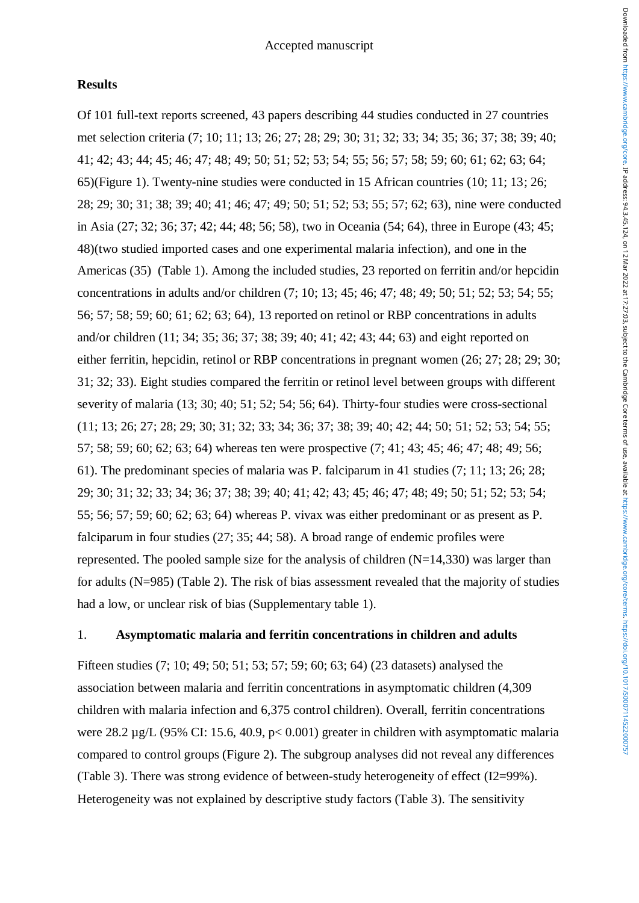# **Results**

Of 101 full-text reports screened, 43 papers describing 44 studies conducted in 27 countries met selection criteria (7; 10; 11; 13; 26; 27; 28; 29; 30; 31; 32; 33; 34; 35; 36; 37; 38; 39; 40; 41; 42; 43; 44; 45; 46; 47; 48; 49; 50; 51; 52; 53; 54; 55; 56; 57; 58; 59; 60; 61; 62; 63; 64; 65)(Figure 1). Twenty-nine studies were conducted in 15 African countries (10; 11; 13; 26; 28; 29; 30; 31; 38; 39; 40; 41; 46; 47; 49; 50; 51; 52; 53; 55; 57; 62; 63), nine were conducted in Asia (27; 32; 36; 37; 42; 44; 48; 56; 58), two in Oceania (54; 64), three in Europe (43; 45; 48)(two studied imported cases and one experimental malaria infection), and one in the Americas (35) (Table 1). Among the included studies, 23 reported on ferritin and/or hepcidin concentrations in adults and/or children (7; 10; 13; 45; 46; 47; 48; 49; 50; 51; 52; 53; 54; 55; 56; 57; 58; 59; 60; 61; 62; 63; 64), 13 reported on retinol or RBP concentrations in adults and/or children (11; 34; 35; 36; 37; 38; 39; 40; 41; 42; 43; 44; 63) and eight reported on either ferritin, hepcidin, retinol or RBP concentrations in pregnant women (26; 27; 28; 29; 30; 31; 32; 33). Eight studies compared the ferritin or retinol level between groups with different severity of malaria (13; 30; 40; 51; 52; 54; 56; 64). Thirty-four studies were cross-sectional (11; 13; 26; 27; 28; 29; 30; 31; 32; 33; 34; 36; 37; 38; 39; 40; 42; 44; 50; 51; 52; 53; 54; 55; 57; 58; 59; 60; 62; 63; 64) whereas ten were prospective (7; 41; 43; 45; 46; 47; 48; 49; 56; 61). The predominant species of malaria was P. falciparum in 41 studies (7; 11; 13; 26; 28; 29; 30; 31; 32; 33; 34; 36; 37; 38; 39; 40; 41; 42; 43; 45; 46; 47; 48; 49; 50; 51; 52; 53; 54; 55; 56; 57; 59; 60; 62; 63; 64) whereas P. vivax was either predominant or as present as P. falciparum in four studies (27; 35; 44; 58). A broad range of endemic profiles were represented. The pooled sample size for the analysis of children  $(N=14,330)$  was larger than for adults (N=985) (Table 2). The risk of bias assessment revealed that the majority of studies had a low, or unclear risk of bias (Supplementary table 1).

# 1. **Asymptomatic malaria and ferritin concentrations in children and adults**

Fifteen studies (7; 10; 49; 50; 51; 53; 57; 59; 60; 63; 64) (23 datasets) analysed the association between malaria and ferritin concentrations in asymptomatic children (4,309 children with malaria infection and 6,375 control children). Overall, ferritin concentrations were 28.2 µg/L (95% CI: 15.6, 40.9, p< 0.001) greater in children with asymptomatic malaria compared to control groups (Figure 2). The subgroup analyses did not reveal any differences (Table 3). There was strong evidence of between-study heterogeneity of effect (I2=99%). Heterogeneity was not explained by descriptive study factors (Table 3). The sensitivity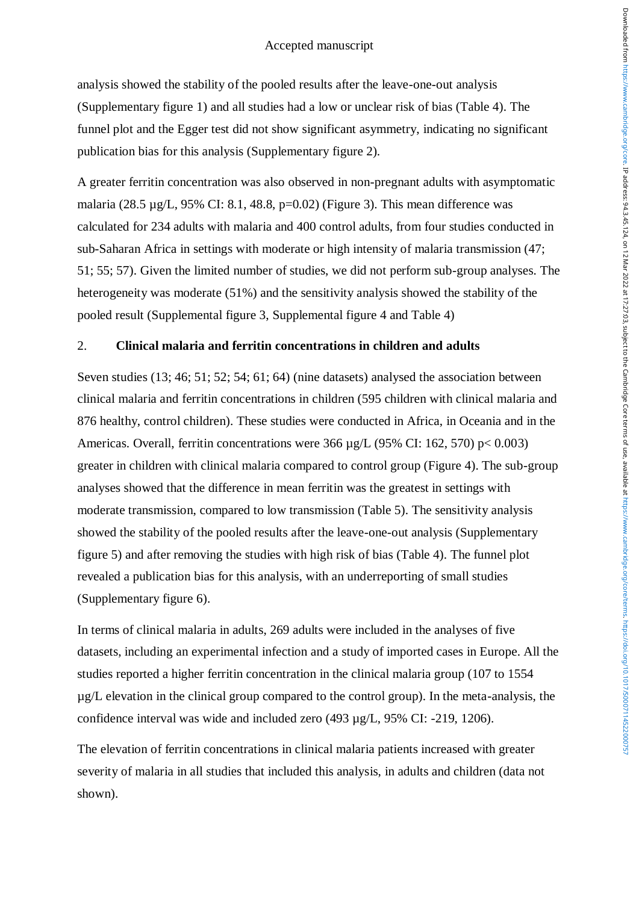analysis showed the stability of the pooled results after the leave-one-out analysis (Supplementary figure 1) and all studies had a low or unclear risk of bias (Table 4). The funnel plot and the Egger test did not show significant asymmetry, indicating no significant publication bias for this analysis (Supplementary figure 2).

A greater ferritin concentration was also observed in non-pregnant adults with asymptomatic malaria (28.5 µg/L, 95% CI: 8.1, 48.8, p=0.02) (Figure 3). This mean difference was calculated for 234 adults with malaria and 400 control adults, from four studies conducted in sub-Saharan Africa in settings with moderate or high intensity of malaria transmission (47; 51; 55; 57). Given the limited number of studies, we did not perform sub-group analyses. The heterogeneity was moderate (51%) and the sensitivity analysis showed the stability of the pooled result (Supplemental figure 3, Supplemental figure 4 and Table 4)

### 2. **Clinical malaria and ferritin concentrations in children and adults**

Seven studies (13; 46; 51; 52; 54; 61; 64) (nine datasets) analysed the association between clinical malaria and ferritin concentrations in children (595 children with clinical malaria and 876 healthy, control children). These studies were conducted in Africa, in Oceania and in the Americas. Overall, ferritin concentrations were 366 µg/L (95% CI: 162, 570) p< 0.003) greater in children with clinical malaria compared to control group (Figure 4). The sub-group analyses showed that the difference in mean ferritin was the greatest in settings with moderate transmission, compared to low transmission (Table 5). The sensitivity analysis showed the stability of the pooled results after the leave-one-out analysis (Supplementary figure 5) and after removing the studies with high risk of bias (Table 4). The funnel plot revealed a publication bias for this analysis, with an underreporting of small studies (Supplementary figure 6).

In terms of clinical malaria in adults, 269 adults were included in the analyses of five datasets, including an experimental infection and a study of imported cases in Europe. All the studies reported a higher ferritin concentration in the clinical malaria group (107 to 1554 µg/L elevation in the clinical group compared to the control group). In the meta-analysis, the confidence interval was wide and included zero (493 µg/L, 95% CI: -219, 1206).

The elevation of ferritin concentrations in clinical malaria patients increased with greater severity of malaria in all studies that included this analysis, in adults and children (data not shown).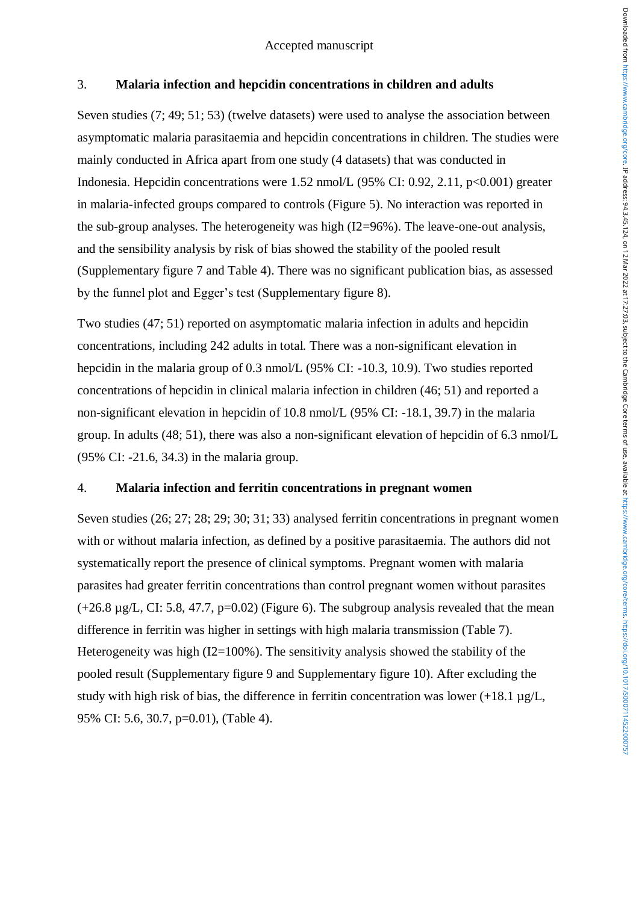# 3. **Malaria infection and hepcidin concentrations in children and adults**

Seven studies (7; 49; 51; 53) (twelve datasets) were used to analyse the association between asymptomatic malaria parasitaemia and hepcidin concentrations in children. The studies were mainly conducted in Africa apart from one study (4 datasets) that was conducted in Indonesia. Hepcidin concentrations were 1.52 nmol/L (95% CI: 0.92, 2.11, p<0.001) greater in malaria-infected groups compared to controls (Figure 5). No interaction was reported in the sub-group analyses. The heterogeneity was high (I2=96%). The leave-one-out analysis, and the sensibility analysis by risk of bias showed the stability of the pooled result (Supplementary figure 7 and Table 4). There was no significant publication bias, as assessed by the funnel plot and Egger's test (Supplementary figure 8).

Two studies (47; 51) reported on asymptomatic malaria infection in adults and hepcidin concentrations, including 242 adults in total. There was a non-significant elevation in hepcidin in the malaria group of 0.3 nmol/L (95% CI: -10.3, 10.9). Two studies reported concentrations of hepcidin in clinical malaria infection in children (46; 51) and reported a non-significant elevation in hepcidin of 10.8 nmol/L (95% CI: -18.1, 39.7) in the malaria group. In adults (48; 51), there was also a non-significant elevation of hepcidin of 6.3 nmol/L (95% CI: -21.6, 34.3) in the malaria group.

# 4. **Malaria infection and ferritin concentrations in pregnant women**

Seven studies (26; 27; 28; 29; 30; 31; 33) analysed ferritin concentrations in pregnant women with or without malaria infection, as defined by a positive parasitaemia. The authors did not systematically report the presence of clinical symptoms. Pregnant women with malaria parasites had greater ferritin concentrations than control pregnant women without parasites  $(+26.8 \text{ µg/L}, \text{CI}: 5.8, 47.7, \text{p} = 0.02)$  (Figure 6). The subgroup analysis revealed that the mean difference in ferritin was higher in settings with high malaria transmission (Table 7). Heterogeneity was high  $(I2=100\%)$ . The sensitivity analysis showed the stability of the pooled result (Supplementary figure 9 and Supplementary figure 10). After excluding the study with high risk of bias, the difference in ferritin concentration was lower  $(+18.1 \text{ µg/L})$ , 95% CI: 5.6, 30.7, p=0.01), (Table 4).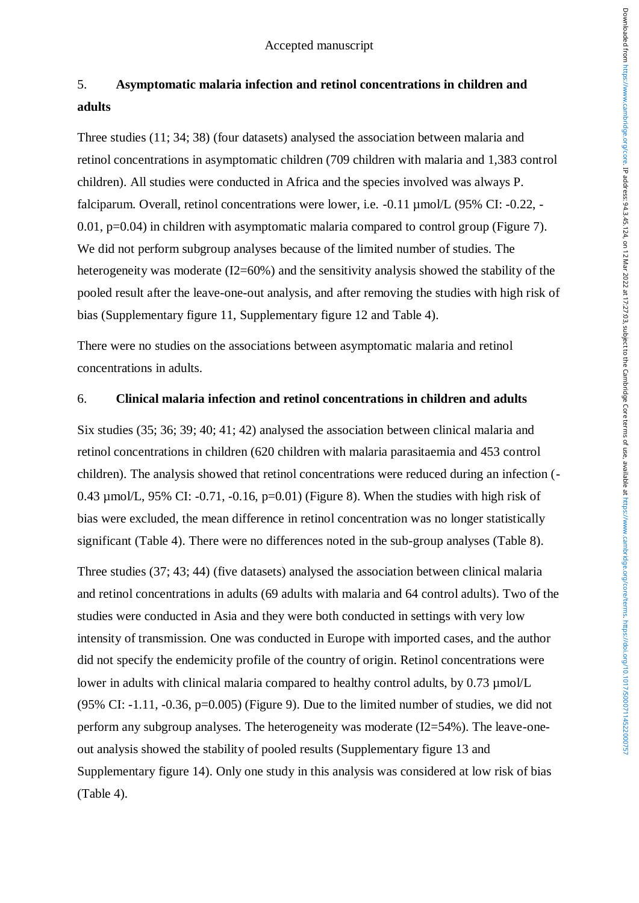# 5. **Asymptomatic malaria infection and retinol concentrations in children and adults**

Three studies (11; 34; 38) (four datasets) analysed the association between malaria and retinol concentrations in asymptomatic children (709 children with malaria and 1,383 control children). All studies were conducted in Africa and the species involved was always P. falciparum. Overall, retinol concentrations were lower, i.e. -0.11 µmol/L (95% CI: -0.22, - 0.01, p=0.04) in children with asymptomatic malaria compared to control group (Figure 7). We did not perform subgroup analyses because of the limited number of studies. The heterogeneity was moderate (I2=60%) and the sensitivity analysis showed the stability of the pooled result after the leave-one-out analysis, and after removing the studies with high risk of bias (Supplementary figure 11, Supplementary figure 12 and Table 4).

There were no studies on the associations between asymptomatic malaria and retinol concentrations in adults.

# 6. **Clinical malaria infection and retinol concentrations in children and adults**

Six studies (35; 36; 39; 40; 41; 42) analysed the association between clinical malaria and retinol concentrations in children (620 children with malaria parasitaemia and 453 control children). The analysis showed that retinol concentrations were reduced during an infection (- 0.43  $\mu$ mol/L, 95% CI: -0.71, -0.16, p=0.01) (Figure 8). When the studies with high risk of bias were excluded, the mean difference in retinol concentration was no longer statistically significant (Table 4). There were no differences noted in the sub-group analyses (Table 8).

Three studies (37; 43; 44) (five datasets) analysed the association between clinical malaria and retinol concentrations in adults (69 adults with malaria and 64 control adults). Two of the studies were conducted in Asia and they were both conducted in settings with very low intensity of transmission. One was conducted in Europe with imported cases, and the author did not specify the endemicity profile of the country of origin. Retinol concentrations were lower in adults with clinical malaria compared to healthy control adults, by 0.73 µmol/L  $(95\% \text{ CI: } -1.11, -0.36, \text{ p} = 0.005)$  (Figure 9). Due to the limited number of studies, we did not perform any subgroup analyses. The heterogeneity was moderate (I2=54%). The leave-oneout analysis showed the stability of pooled results (Supplementary figure 13 and Supplementary figure 14). Only one study in this analysis was considered at low risk of bias (Table 4).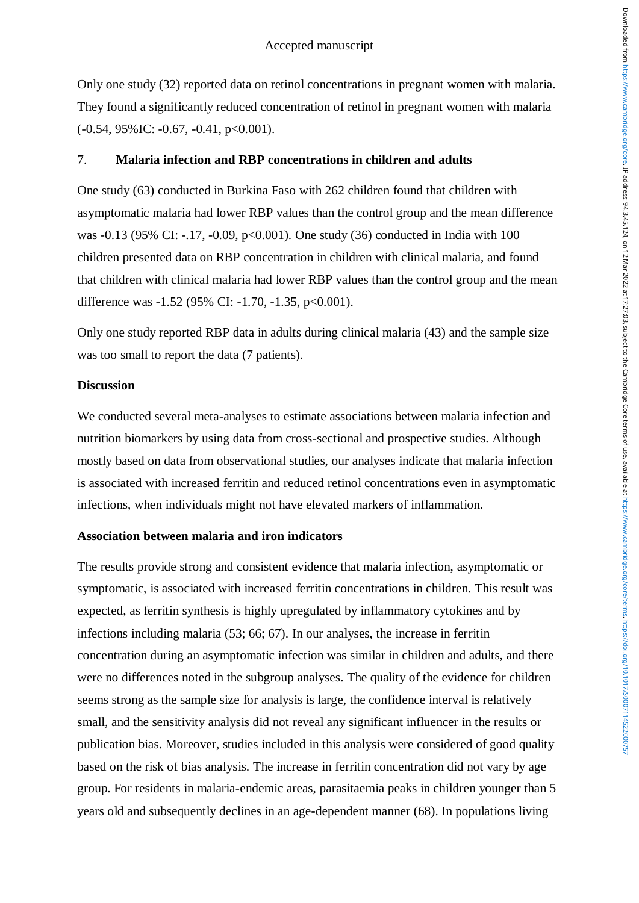Only one study (32) reported data on retinol concentrations in pregnant women with malaria. They found a significantly reduced concentration of retinol in pregnant women with malaria  $(-0.54, 95\%$ IC:  $-0.67, -0.41, p<0.001$ ).

### 7. **Malaria infection and RBP concentrations in children and adults**

One study (63) conducted in Burkina Faso with 262 children found that children with asymptomatic malaria had lower RBP values than the control group and the mean difference was -0.13 (95% CI: -.17, -0.09, p<0.001). One study (36) conducted in India with 100 children presented data on RBP concentration in children with clinical malaria, and found that children with clinical malaria had lower RBP values than the control group and the mean difference was  $-1.52$  (95% CI:  $-1.70$ ,  $-1.35$ ,  $p<0.001$ ).

Only one study reported RBP data in adults during clinical malaria (43) and the sample size was too small to report the data (7 patients).

### **Discussion**

We conducted several meta-analyses to estimate associations between malaria infection and nutrition biomarkers by using data from cross-sectional and prospective studies. Although mostly based on data from observational studies, our analyses indicate that malaria infection is associated with increased ferritin and reduced retinol concentrations even in asymptomatic infections, when individuals might not have elevated markers of inflammation.

# **Association between malaria and iron indicators**

The results provide strong and consistent evidence that malaria infection, asymptomatic or symptomatic, is associated with increased ferritin concentrations in children. This result was expected, as ferritin synthesis is highly upregulated by inflammatory cytokines and by infections including malaria (53; 66; 67). In our analyses, the increase in ferritin concentration during an asymptomatic infection was similar in children and adults, and there were no differences noted in the subgroup analyses. The quality of the evidence for children seems strong as the sample size for analysis is large, the confidence interval is relatively small, and the sensitivity analysis did not reveal any significant influencer in the results or publication bias. Moreover, studies included in this analysis were considered of good quality based on the risk of bias analysis. The increase in ferritin concentration did not vary by age group. For residents in malaria-endemic areas, parasitaemia peaks in children younger than 5 years old and subsequently declines in an age-dependent manner (68). In populations living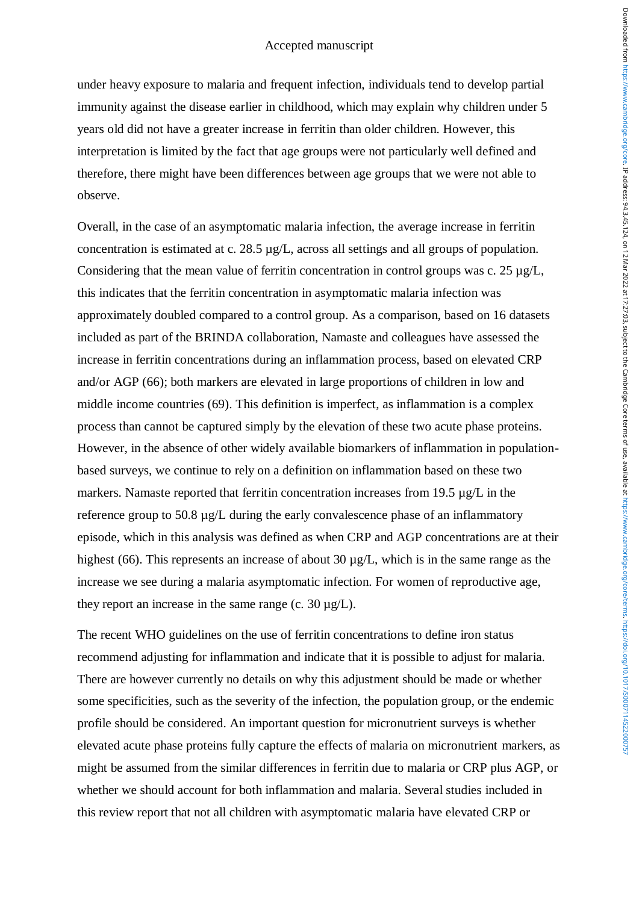under heavy exposure to malaria and frequent infection, individuals tend to develop partial immunity against the disease earlier in childhood, which may explain why children under 5 years old did not have a greater increase in ferritin than older children. However, this interpretation is limited by the fact that age groups were not particularly well defined and therefore, there might have been differences between age groups that we were not able to observe.

Overall, in the case of an asymptomatic malaria infection, the average increase in ferritin concentration is estimated at c. 28.5 µg/L, across all settings and all groups of population. Considering that the mean value of ferritin concentration in control groups was c. 25 µg/L, this indicates that the ferritin concentration in asymptomatic malaria infection was approximately doubled compared to a control group. As a comparison, based on 16 datasets included as part of the BRINDA collaboration, Namaste and colleagues have assessed the increase in ferritin concentrations during an inflammation process, based on elevated CRP and/or AGP (66); both markers are elevated in large proportions of children in low and middle income countries (69). This definition is imperfect, as inflammation is a complex process than cannot be captured simply by the elevation of these two acute phase proteins. However, in the absence of other widely available biomarkers of inflammation in populationbased surveys, we continue to rely on a definition on inflammation based on these two markers. Namaste reported that ferritin concentration increases from 19.5  $\mu$ g/L in the reference group to 50.8 µg/L during the early convalescence phase of an inflammatory episode, which in this analysis was defined as when CRP and AGP concentrations are at their highest (66). This represents an increase of about 30  $\mu$ g/L, which is in the same range as the increase we see during a malaria asymptomatic infection. For women of reproductive age, they report an increase in the same range (c. 30  $\mu$ g/L).

The recent WHO guidelines on the use of ferritin concentrations to define iron status recommend adjusting for inflammation and indicate that it is possible to adjust for malaria. There are however currently no details on why this adjustment should be made or whether some specificities, such as the severity of the infection, the population group, or the endemic profile should be considered. An important question for micronutrient surveys is whether elevated acute phase proteins fully capture the effects of malaria on micronutrient markers, as might be assumed from the similar differences in ferritin due to malaria or CRP plus AGP, or whether we should account for both inflammation and malaria. Several studies included in this review report that not all children with asymptomatic malaria have elevated CRP or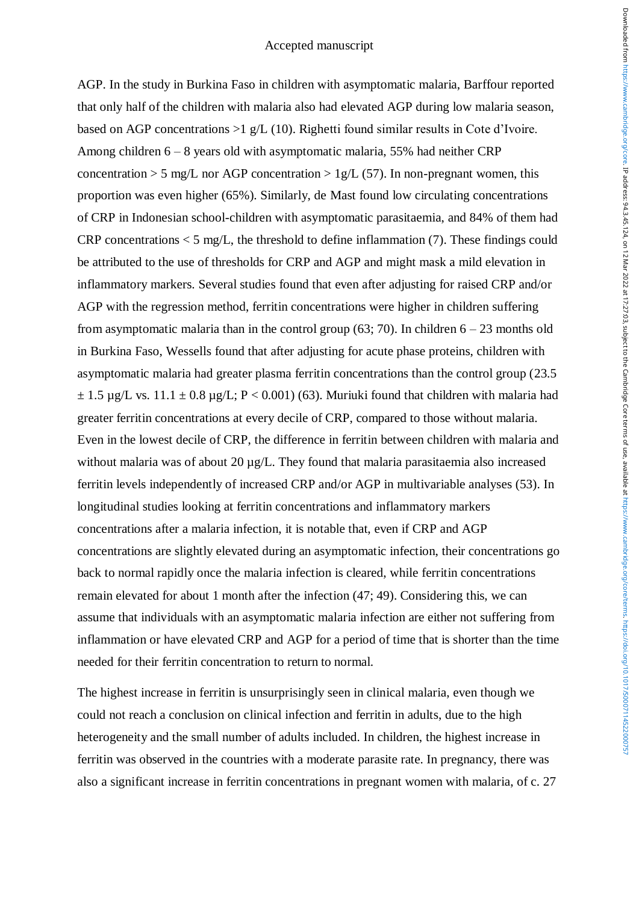AGP. In the study in Burkina Faso in children with asymptomatic malaria, Barffour reported that only half of the children with malaria also had elevated AGP during low malaria season, based on AGP concentrations >1 g/L (10). Righetti found similar results in Cote d'Ivoire. Among children 6 – 8 years old with asymptomatic malaria, 55% had neither CRP concentration  $> 5$  mg/L nor AGP concentration  $> 1g/L$  (57). In non-pregnant women, this proportion was even higher (65%). Similarly, de Mast found low circulating concentrations of CRP in Indonesian school-children with asymptomatic parasitaemia, and 84% of them had CRP concentrations  $\lt 5$  mg/L, the threshold to define inflammation (7). These findings could be attributed to the use of thresholds for CRP and AGP and might mask a mild elevation in inflammatory markers. Several studies found that even after adjusting for raised CRP and/or AGP with the regression method, ferritin concentrations were higher in children suffering from asymptomatic malaria than in the control group (63; 70). In children  $6 - 23$  months old in Burkina Faso, Wessells found that after adjusting for acute phase proteins, children with asymptomatic malaria had greater plasma ferritin concentrations than the control group (23.5  $\pm$  1.5 µg/L vs. 11.1  $\pm$  0.8 µg/L; P < 0.001) (63). Muriuki found that children with malaria had greater ferritin concentrations at every decile of CRP, compared to those without malaria. Even in the lowest decile of CRP, the difference in ferritin between children with malaria and without malaria was of about 20  $\mu$ g/L. They found that malaria parasitaemia also increased ferritin levels independently of increased CRP and/or AGP in multivariable analyses (53). In longitudinal studies looking at ferritin concentrations and inflammatory markers concentrations after a malaria infection, it is notable that, even if CRP and AGP concentrations are slightly elevated during an asymptomatic infection, their concentrations go back to normal rapidly once the malaria infection is cleared, while ferritin concentrations remain elevated for about 1 month after the infection (47; 49). Considering this, we can assume that individuals with an asymptomatic malaria infection are either not suffering from inflammation or have elevated CRP and AGP for a period of time that is shorter than the time needed for their ferritin concentration to return to normal.

The highest increase in ferritin is unsurprisingly seen in clinical malaria, even though we could not reach a conclusion on clinical infection and ferritin in adults, due to the high heterogeneity and the small number of adults included. In children, the highest increase in ferritin was observed in the countries with a moderate parasite rate. In pregnancy, there was also a significant increase in ferritin concentrations in pregnant women with malaria, of c. 27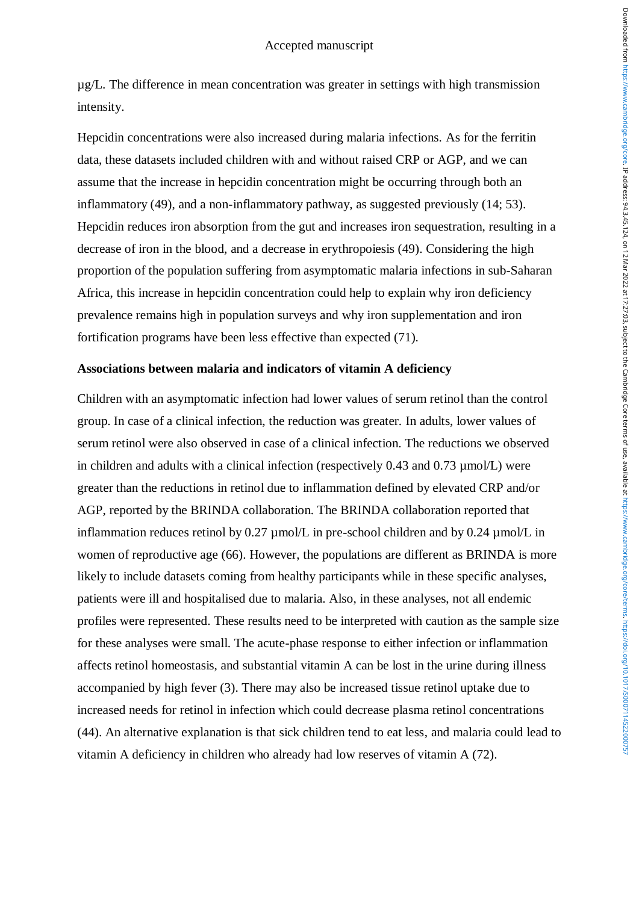µg/L. The difference in mean concentration was greater in settings with high transmission intensity.

Hepcidin concentrations were also increased during malaria infections. As for the ferritin data, these datasets included children with and without raised CRP or AGP, and we can assume that the increase in hepcidin concentration might be occurring through both an inflammatory (49), and a non-inflammatory pathway, as suggested previously (14; 53). Hepcidin reduces iron absorption from the gut and increases iron sequestration, resulting in a decrease of iron in the blood, and a decrease in erythropoiesis (49). Considering the high proportion of the population suffering from asymptomatic malaria infections in sub-Saharan Africa, this increase in hepcidin concentration could help to explain why iron deficiency prevalence remains high in population surveys and why iron supplementation and iron fortification programs have been less effective than expected (71).

### **Associations between malaria and indicators of vitamin A deficiency**

Children with an asymptomatic infection had lower values of serum retinol than the control group. In case of a clinical infection, the reduction was greater. In adults, lower values of serum retinol were also observed in case of a clinical infection. The reductions we observed in children and adults with a clinical infection (respectively  $0.43$  and  $0.73$  umol/L) were greater than the reductions in retinol due to inflammation defined by elevated CRP and/or AGP, reported by the BRINDA collaboration. The BRINDA collaboration reported that inflammation reduces retinol by  $0.27 \mu$  mol/L in pre-school children and by  $0.24 \mu$  mol/L in women of reproductive age (66). However, the populations are different as BRINDA is more likely to include datasets coming from healthy participants while in these specific analyses, patients were ill and hospitalised due to malaria. Also, in these analyses, not all endemic profiles were represented. These results need to be interpreted with caution as the sample size for these analyses were small. The acute-phase response to either infection or inflammation affects retinol homeostasis, and substantial vitamin A can be lost in the urine during illness accompanied by high fever (3). There may also be increased tissue retinol uptake due to increased needs for retinol in infection which could decrease plasma retinol concentrations (44). An alternative explanation is that sick children tend to eat less, and malaria could lead to vitamin A deficiency in children who already had low reserves of vitamin A (72).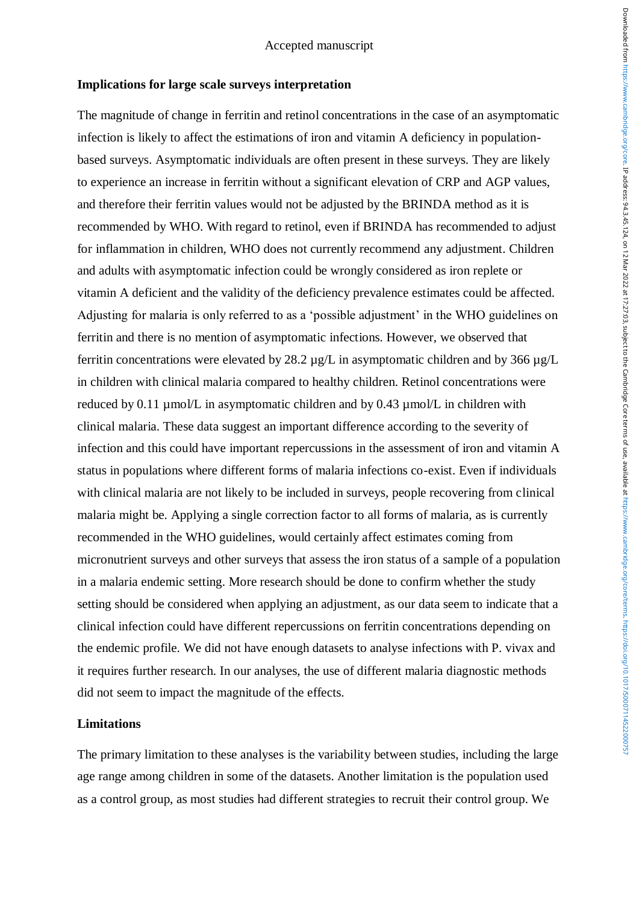### **Implications for large scale surveys interpretation**

The magnitude of change in ferritin and retinol concentrations in the case of an asymptomatic infection is likely to affect the estimations of iron and vitamin A deficiency in populationbased surveys. Asymptomatic individuals are often present in these surveys. They are likely to experience an increase in ferritin without a significant elevation of CRP and AGP values, and therefore their ferritin values would not be adjusted by the BRINDA method as it is recommended by WHO. With regard to retinol, even if BRINDA has recommended to adjust for inflammation in children, WHO does not currently recommend any adjustment. Children and adults with asymptomatic infection could be wrongly considered as iron replete or vitamin A deficient and the validity of the deficiency prevalence estimates could be affected. Adjusting for malaria is only referred to as a 'possible adjustment' in the WHO guidelines on ferritin and there is no mention of asymptomatic infections. However, we observed that ferritin concentrations were elevated by 28.2 µg/L in asymptomatic children and by 366 µg/L in children with clinical malaria compared to healthy children. Retinol concentrations were reduced by 0.11 µmol/L in asymptomatic children and by 0.43 µmol/L in children with clinical malaria. These data suggest an important difference according to the severity of infection and this could have important repercussions in the assessment of iron and vitamin A status in populations where different forms of malaria infections co-exist. Even if individuals with clinical malaria are not likely to be included in surveys, people recovering from clinical malaria might be. Applying a single correction factor to all forms of malaria, as is currently recommended in the WHO guidelines, would certainly affect estimates coming from micronutrient surveys and other surveys that assess the iron status of a sample of a population in a malaria endemic setting. More research should be done to confirm whether the study setting should be considered when applying an adjustment, as our data seem to indicate that a clinical infection could have different repercussions on ferritin concentrations depending on the endemic profile. We did not have enough datasets to analyse infections with P. vivax and it requires further research. In our analyses, the use of different malaria diagnostic methods did not seem to impact the magnitude of the effects.

### **Limitations**

The primary limitation to these analyses is the variability between studies, including the large age range among children in some of the datasets. Another limitation is the population used as a control group, as most studies had different strategies to recruit their control group. We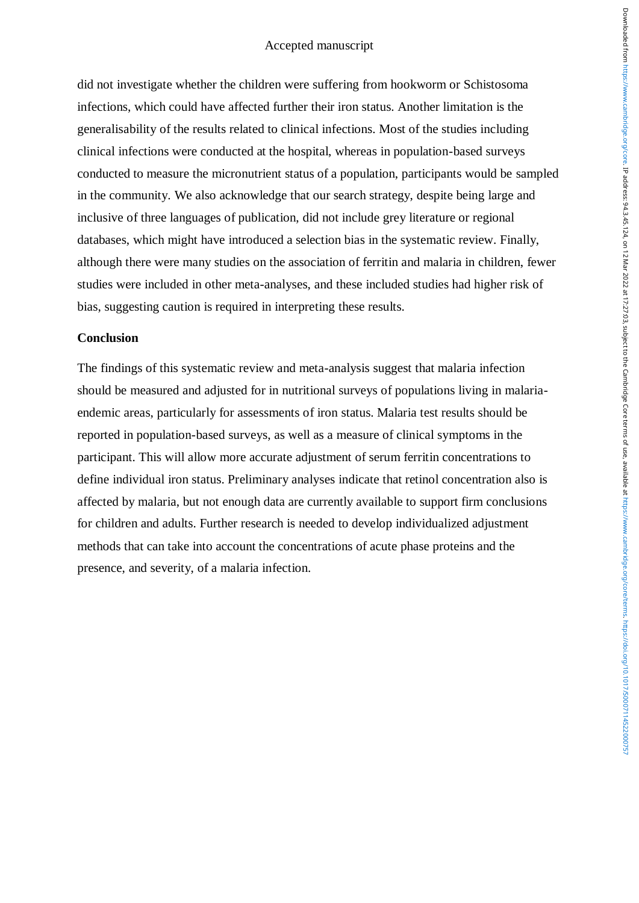did not investigate whether the children were suffering from hookworm or Schistosoma infections, which could have affected further their iron status. Another limitation is the generalisability of the results related to clinical infections. Most of the studies including clinical infections were conducted at the hospital, whereas in population-based surveys conducted to measure the micronutrient status of a population, participants would be sampled in the community. We also acknowledge that our search strategy, despite being large and inclusive of three languages of publication, did not include grey literature or regional databases, which might have introduced a selection bias in the systematic review. Finally, although there were many studies on the association of ferritin and malaria in children, fewer studies were included in other meta-analyses, and these included studies had higher risk of bias, suggesting caution is required in interpreting these results.

# **Conclusion**

The findings of this systematic review and meta-analysis suggest that malaria infection should be measured and adjusted for in nutritional surveys of populations living in malariaendemic areas, particularly for assessments of iron status. Malaria test results should be reported in population-based surveys, as well as a measure of clinical symptoms in the participant. This will allow more accurate adjustment of serum ferritin concentrations to define individual iron status. Preliminary analyses indicate that retinol concentration also is affected by malaria, but not enough data are currently available to support firm conclusions for children and adults. Further research is needed to develop individualized adjustment methods that can take into account the concentrations of acute phase proteins and the presence, and severity, of a malaria infection.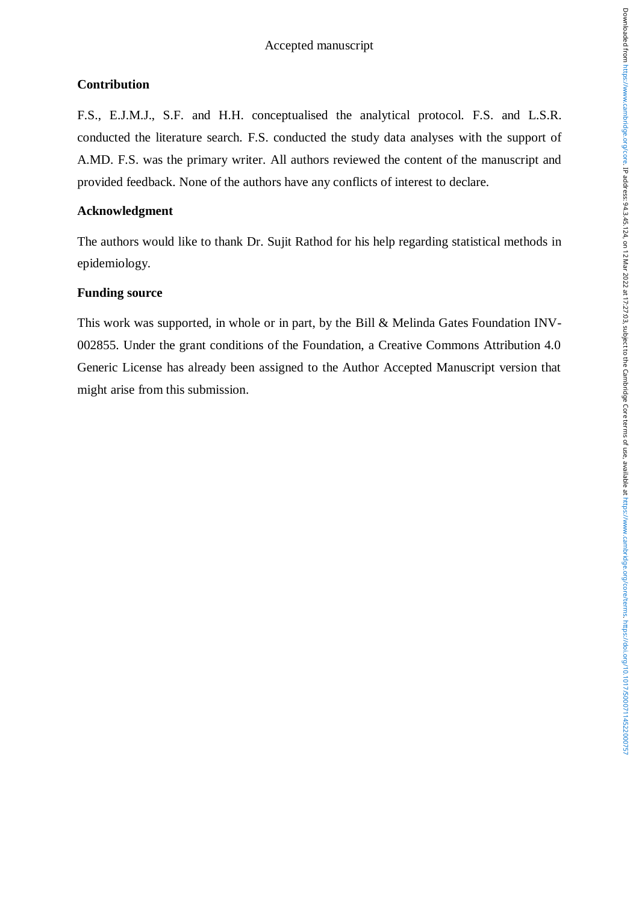# **Contribution**

F.S., E.J.M.J., S.F. and H.H. conceptualised the analytical protocol. F.S. and L.S.R. conducted the literature search. F.S. conducted the study data analyses with the support of A.MD. F.S. was the primary writer. All authors reviewed the content of the manuscript and provided feedback. None of the authors have any conflicts of interest to declare.

# **Acknowledgment**

The authors would like to thank Dr. Sujit Rathod for his help regarding statistical methods in epidemiology.

# **Funding source**

This work was supported, in whole or in part, by the Bill & Melinda Gates Foundation INV-002855. Under the grant conditions of the Foundation, a Creative Commons Attribution 4.0 Generic License has already been assigned to the Author Accepted Manuscript version that might arise from this submission.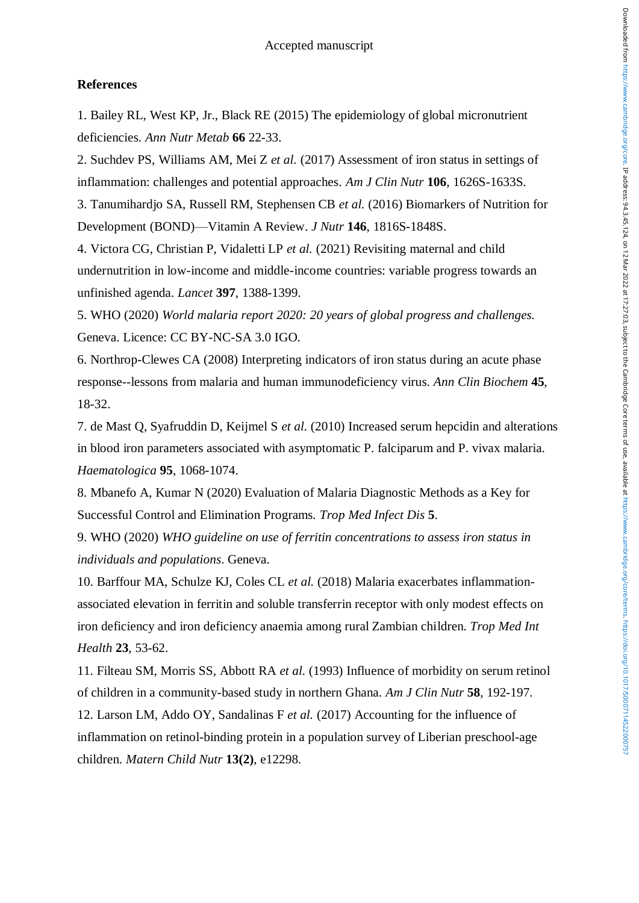#### **References**

1. Bailey RL, West KP, Jr., Black RE (2015) The epidemiology of global micronutrient deficiencies. *Ann Nutr Metab* **66** 22-33.

2. Suchdev PS, Williams AM, Mei Z *et al.* (2017) Assessment of iron status in settings of inflammation: challenges and potential approaches. *Am J Clin Nutr* **106**, 1626S-1633S.

3. Tanumihardjo SA, Russell RM, Stephensen CB *et al.* (2016) Biomarkers of Nutrition for Development (BOND)—Vitamin A Review. *J Nutr* **146**, 1816S-1848S.

4. Victora CG, Christian P, Vidaletti LP *et al.* (2021) Revisiting maternal and child undernutrition in low-income and middle-income countries: variable progress towards an unfinished agenda. *Lancet* **397**, 1388-1399.

5. WHO (2020) *World malaria report 2020: 20 years of global progress and challenges.* Geneva. Licence: CC BY-NC-SA 3.0 IGO.

6. Northrop-Clewes CA (2008) Interpreting indicators of iron status during an acute phase response--lessons from malaria and human immunodeficiency virus. *Ann Clin Biochem* **45**, 18-32.

7. de Mast Q, Syafruddin D, Keijmel S *et al.* (2010) Increased serum hepcidin and alterations in blood iron parameters associated with asymptomatic P. falciparum and P. vivax malaria. *Haematologica* **95**, 1068-1074.

8. Mbanefo A, Kumar N (2020) Evaluation of Malaria Diagnostic Methods as a Key for Successful Control and Elimination Programs. *Trop Med Infect Dis* **5**.

9. WHO (2020) *WHO guideline on use of ferritin concentrations to assess iron status in individuals and populations*. Geneva.

10. Barffour MA, Schulze KJ, Coles CL *et al.* (2018) Malaria exacerbates inflammationassociated elevation in ferritin and soluble transferrin receptor with only modest effects on iron deficiency and iron deficiency anaemia among rural Zambian children. *Trop Med Int Health* **23**, 53-62.

11. Filteau SM, Morris SS, Abbott RA *et al.* (1993) Influence of morbidity on serum retinol of children in a community-based study in northern Ghana. *Am J Clin Nutr* **58**, 192-197.

12. Larson LM, Addo OY, Sandalinas F *et al.* (2017) Accounting for the influence of inflammation on retinol-binding protein in a population survey of Liberian preschool-age children. *Matern Child Nutr* **13(2)**, e12298.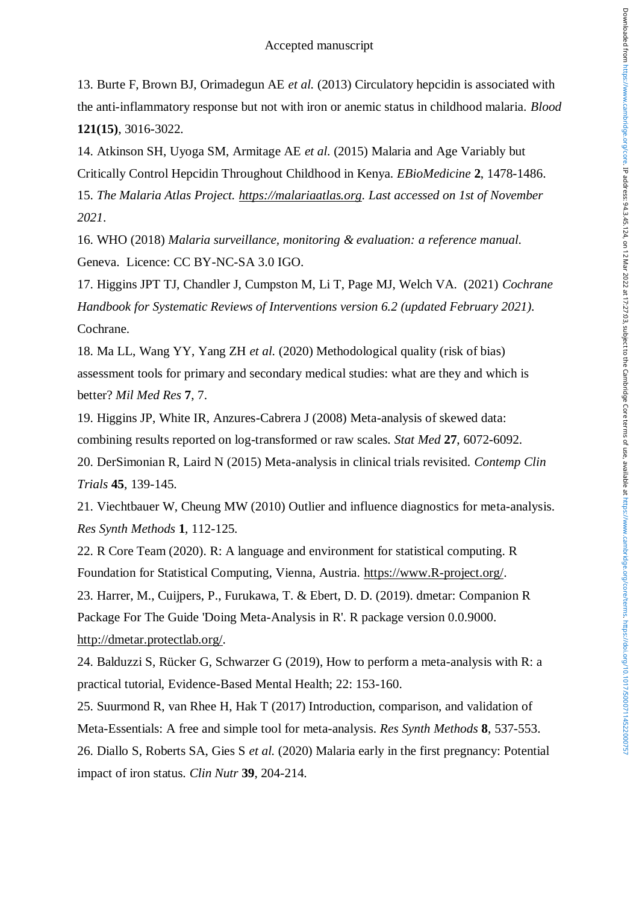13. Burte F, Brown BJ, Orimadegun AE *et al.* (2013) Circulatory hepcidin is associated with the anti-inflammatory response but not with iron or anemic status in childhood malaria. *Blood* **121(15)**, 3016-3022.

14. Atkinson SH, Uyoga SM, Armitage AE *et al.* (2015) Malaria and Age Variably but Critically Control Hepcidin Throughout Childhood in Kenya. *EBioMedicine* **2**, 1478-1486. 15. *The Malaria Atlas Project. [https://malariaatlas.org.](https://malariaatlas.org/) Last accessed on 1st of November 2021*.

16. WHO (2018) *Malaria surveillance, monitoring & evaluation: a reference manual.* Geneva. Licence: CC BY-NC-SA 3.0 IGO.

17. Higgins JPT TJ, Chandler J, Cumpston M, Li T, Page MJ, Welch VA. (2021) *Cochrane Handbook for Systematic Reviews of Interventions version 6.2 (updated February 2021).* Cochrane.

18. Ma LL, Wang YY, Yang ZH *et al.* (2020) Methodological quality (risk of bias) assessment tools for primary and secondary medical studies: what are they and which is better? *Mil Med Res* **7**, 7.

19. Higgins JP, White IR, Anzures-Cabrera J (2008) Meta-analysis of skewed data: combining results reported on log-transformed or raw scales. *Stat Med* **27**, 6072-6092.

20. DerSimonian R, Laird N (2015) Meta-analysis in clinical trials revisited. *Contemp Clin Trials* **45**, 139-145.

21. Viechtbauer W, Cheung MW (2010) Outlier and influence diagnostics for meta-analysis. *Res Synth Methods* **1**, 112-125.

22. R Core Team (2020). R: A language and environment for statistical computing. R Foundation for Statistical Computing, Vienna, Austria. [https://www.R-project.org/.](https://www.r-project.org/)

23. Harrer, M., Cuijpers, P., Furukawa, T. & Ebert, D. D. (2019). dmetar: Companion R Package For The Guide 'Doing Meta-Analysis in R'. R package version 0.0.9000. [http://dmetar.protectlab.org/.](http://dmetar.protectlab.org/)

24. Balduzzi S, Rücker G, Schwarzer G (2019), How to perform a meta-analysis with R: a practical tutorial, Evidence-Based Mental Health; 22: 153-160.

25. Suurmond R, van Rhee H, Hak T (2017) Introduction, comparison, and validation of Meta-Essentials: A free and simple tool for meta-analysis. *Res Synth Methods* **8**, 537-553.

26. Diallo S, Roberts SA, Gies S *et al.* (2020) Malaria early in the first pregnancy: Potential impact of iron status. *Clin Nutr* **39**, 204-214.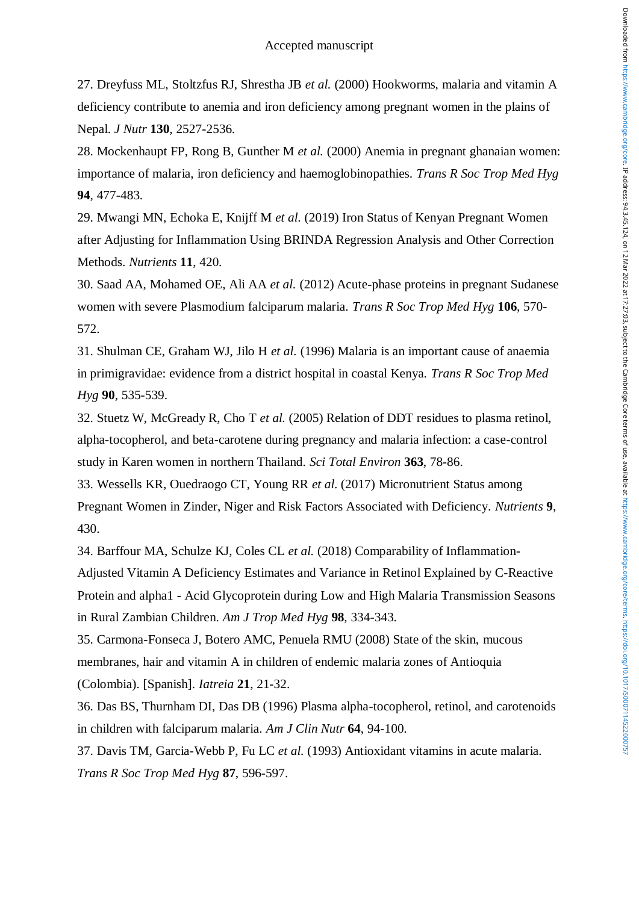27. Dreyfuss ML, Stoltzfus RJ, Shrestha JB *et al.* (2000) Hookworms, malaria and vitamin A deficiency contribute to anemia and iron deficiency among pregnant women in the plains of Nepal. *J Nutr* **130**, 2527-2536.

28. Mockenhaupt FP, Rong B, Gunther M *et al.* (2000) Anemia in pregnant ghanaian women: importance of malaria, iron deficiency and haemoglobinopathies. *Trans R Soc Trop Med Hyg* **94**, 477-483.

29. Mwangi MN, Echoka E, Knijff M *et al.* (2019) Iron Status of Kenyan Pregnant Women after Adjusting for Inflammation Using BRINDA Regression Analysis and Other Correction Methods. *Nutrients* **11**, 420.

30. Saad AA, Mohamed OE, Ali AA *et al.* (2012) Acute-phase proteins in pregnant Sudanese women with severe Plasmodium falciparum malaria. *Trans R Soc Trop Med Hyg* **106**, 570- 572.

31. Shulman CE, Graham WJ, Jilo H *et al.* (1996) Malaria is an important cause of anaemia in primigravidae: evidence from a district hospital in coastal Kenya. *Trans R Soc Trop Med Hyg* **90**, 535-539.

32. Stuetz W, McGready R, Cho T *et al.* (2005) Relation of DDT residues to plasma retinol, alpha-tocopherol, and beta-carotene during pregnancy and malaria infection: a case-control study in Karen women in northern Thailand. *Sci Total Environ* **363**, 78-86.

33. Wessells KR, Ouedraogo CT, Young RR *et al.* (2017) Micronutrient Status among Pregnant Women in Zinder, Niger and Risk Factors Associated with Deficiency. *Nutrients* **9**, 430.

34. Barffour MA, Schulze KJ, Coles CL *et al.* (2018) Comparability of Inflammation-

Adjusted Vitamin A Deficiency Estimates and Variance in Retinol Explained by C-Reactive Protein and alpha1 - Acid Glycoprotein during Low and High Malaria Transmission Seasons in Rural Zambian Children. *Am J Trop Med Hyg* **98**, 334-343.

35. Carmona-Fonseca J, Botero AMC, Penuela RMU (2008) State of the skin, mucous membranes, hair and vitamin A in children of endemic malaria zones of Antioquia (Colombia). [Spanish]. *Iatreia* **21**, 21-32.

36. Das BS, Thurnham DI, Das DB (1996) Plasma alpha-tocopherol, retinol, and carotenoids in children with falciparum malaria. *Am J Clin Nutr* **64**, 94-100.

37. Davis TM, Garcia-Webb P, Fu LC *et al.* (1993) Antioxidant vitamins in acute malaria. *Trans R Soc Trop Med Hyg* **87**, 596-597.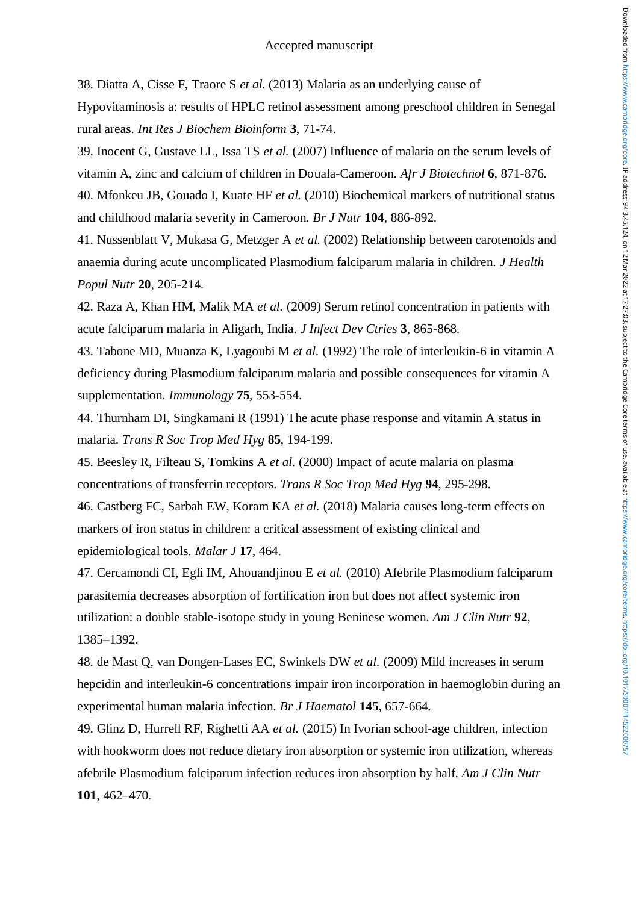38. Diatta A, Cisse F, Traore S *et al.* (2013) Malaria as an underlying cause of

Hypovitaminosis a: results of HPLC retinol assessment among preschool children in Senegal rural areas. *Int Res J Biochem Bioinform* **3**, 71-74.

39. Inocent G, Gustave LL, Issa TS *et al.* (2007) Influence of malaria on the serum levels of vitamin A, zinc and calcium of children in Douala-Cameroon. *Afr J Biotechnol* **6**, 871-876. 40. Mfonkeu JB, Gouado I, Kuate HF *et al.* (2010) Biochemical markers of nutritional status and childhood malaria severity in Cameroon. *Br J Nutr* **104**, 886-892.

41. Nussenblatt V, Mukasa G, Metzger A *et al.* (2002) Relationship between carotenoids and anaemia during acute uncomplicated Plasmodium falciparum malaria in children. *J Health Popul Nutr* **20**, 205-214.

42. Raza A, Khan HM, Malik MA *et al.* (2009) Serum retinol concentration in patients with acute falciparum malaria in Aligarh, India. *J Infect Dev Ctries* **3**, 865-868.

43. Tabone MD, Muanza K, Lyagoubi M *et al.* (1992) The role of interleukin-6 in vitamin A deficiency during Plasmodium falciparum malaria and possible consequences for vitamin A supplementation. *Immunology* **75**, 553-554.

44. Thurnham DI, Singkamani R (1991) The acute phase response and vitamin A status in malaria. *Trans R Soc Trop Med Hyg* **85**, 194-199.

45. Beesley R, Filteau S, Tomkins A *et al.* (2000) Impact of acute malaria on plasma concentrations of transferrin receptors. *Trans R Soc Trop Med Hyg* **94**, 295-298.

46. Castberg FC, Sarbah EW, Koram KA *et al.* (2018) Malaria causes long-term effects on markers of iron status in children: a critical assessment of existing clinical and epidemiological tools. *Malar J* **17**, 464.

47. Cercamondi CI, Egli IM, Ahouandjinou E *et al.* (2010) Afebrile Plasmodium falciparum parasitemia decreases absorption of fortification iron but does not affect systemic iron utilization: a double stable-isotope study in young Beninese women. *Am J Clin Nutr* **92**, 1385–1392.

48. de Mast Q, van Dongen-Lases EC, Swinkels DW *et al.* (2009) Mild increases in serum hepcidin and interleukin-6 concentrations impair iron incorporation in haemoglobin during an experimental human malaria infection. *Br J Haematol* **145**, 657-664.

49. Glinz D, Hurrell RF, Righetti AA *et al.* (2015) In Ivorian school-age children, infection with hookworm does not reduce dietary iron absorption or systemic iron utilization, whereas afebrile Plasmodium falciparum infection reduces iron absorption by half. *Am J Clin Nutr* **101**, 462–470.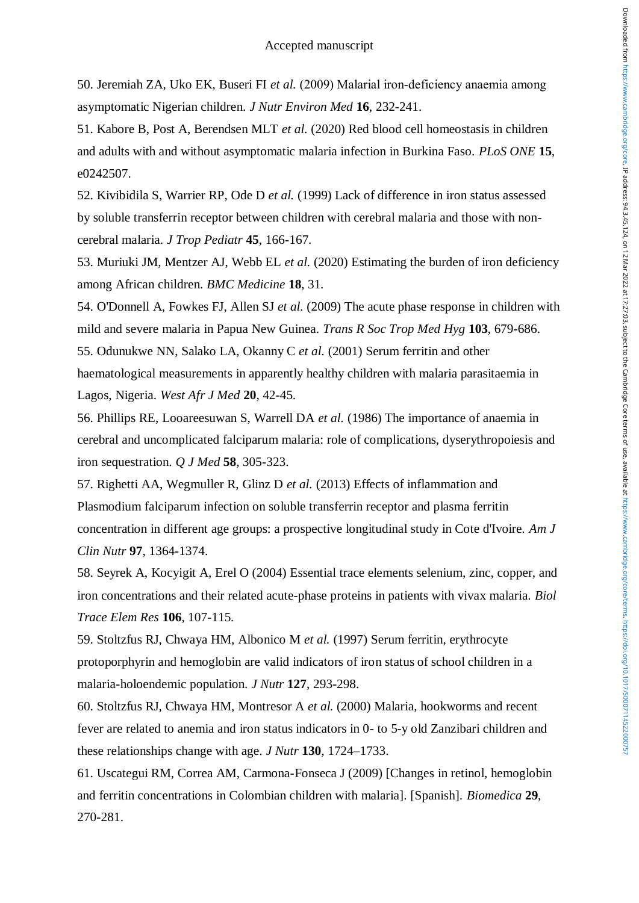50. Jeremiah ZA, Uko EK, Buseri FI *et al.* (2009) Malarial iron‐deficiency anaemia among asymptomatic Nigerian children. *J Nutr Environ Med* **16**, 232-241.

51. Kabore B, Post A, Berendsen MLT *et al.* (2020) Red blood cell homeostasis in children and adults with and without asymptomatic malaria infection in Burkina Faso. *PLoS ONE* **15**, e0242507.

52. Kivibidila S, Warrier RP, Ode D *et al.* (1999) Lack of difference in iron status assessed by soluble transferrin receptor between children with cerebral malaria and those with noncerebral malaria. *J Trop Pediatr* **45**, 166-167.

53. Muriuki JM, Mentzer AJ, Webb EL *et al.* (2020) Estimating the burden of iron deficiency among African children. *BMC Medicine* **18**, 31.

54. O'Donnell A, Fowkes FJ, Allen SJ *et al.* (2009) The acute phase response in children with mild and severe malaria in Papua New Guinea. *Trans R Soc Trop Med Hyg* **103**, 679-686.

55. Odunukwe NN, Salako LA, Okanny C *et al.* (2001) Serum ferritin and other haematological measurements in apparently healthy children with malaria parasitaemia in Lagos, Nigeria. *West Afr J Med* **20**, 42-45.

56. Phillips RE, Looareesuwan S, Warrell DA *et al.* (1986) The importance of anaemia in cerebral and uncomplicated falciparum malaria: role of complications, dyserythropoiesis and iron sequestration. *Q J Med* **58**, 305-323.

57. Righetti AA, Wegmuller R, Glinz D *et al.* (2013) Effects of inflammation and Plasmodium falciparum infection on soluble transferrin receptor and plasma ferritin concentration in different age groups: a prospective longitudinal study in Cote d'Ivoire. *Am J Clin Nutr* **97**, 1364-1374.

58. Seyrek A, Kocyigit A, Erel O (2004) Essential trace elements selenium, zinc, copper, and iron concentrations and their related acute-phase proteins in patients with vivax malaria. *Biol Trace Elem Res* **106**, 107-115.

59. Stoltzfus RJ, Chwaya HM, Albonico M *et al.* (1997) Serum ferritin, erythrocyte protoporphyrin and hemoglobin are valid indicators of iron status of school children in a malaria-holoendemic population. *J Nutr* **127**, 293-298.

60. Stoltzfus RJ, Chwaya HM, Montresor A *et al.* (2000) Malaria, hookworms and recent fever are related to anemia and iron status indicators in 0- to 5-y old Zanzibari children and these relationships change with age. *J Nutr* **130**, 1724–1733.

61. Uscategui RM, Correa AM, Carmona-Fonseca J (2009) [Changes in retinol, hemoglobin and ferritin concentrations in Colombian children with malaria]. [Spanish]. *Biomedica* **29**, 270-281.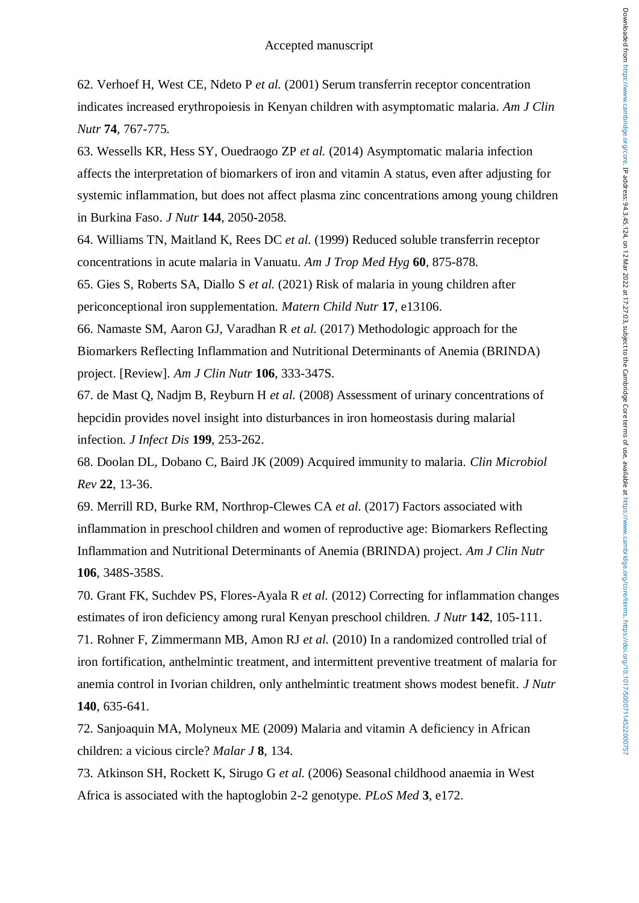62. Verhoef H, West CE, Ndeto P *et al.* (2001) Serum transferrin receptor concentration indicates increased erythropoiesis in Kenyan children with asymptomatic malaria. *Am J Clin Nutr* **74**, 767-775.

63. Wessells KR, Hess SY, Ouedraogo ZP *et al.* (2014) Asymptomatic malaria infection affects the interpretation of biomarkers of iron and vitamin A status, even after adjusting for systemic inflammation, but does not affect plasma zinc concentrations among young children in Burkina Faso. *J Nutr* **144**, 2050-2058.

64. Williams TN, Maitland K, Rees DC *et al.* (1999) Reduced soluble transferrin receptor concentrations in acute malaria in Vanuatu. *Am J Trop Med Hyg* **60**, 875-878.

65. Gies S, Roberts SA, Diallo S *et al.* (2021) Risk of malaria in young children after periconceptional iron supplementation. *Matern Child Nutr* **17**, e13106.

66. Namaste SM, Aaron GJ, Varadhan R *et al.* (2017) Methodologic approach for the Biomarkers Reflecting Inflammation and Nutritional Determinants of Anemia (BRINDA) project. [Review]. *Am J Clin Nutr* **106**, 333-347S.

67. de Mast Q, Nadjm B, Reyburn H *et al.* (2008) Assessment of urinary concentrations of hepcidin provides novel insight into disturbances in iron homeostasis during malarial infection. *J Infect Dis* **199**, 253-262.

68. Doolan DL, Dobano C, Baird JK (2009) Acquired immunity to malaria. *Clin Microbiol Rev* **22**, 13-36.

69. Merrill RD, Burke RM, Northrop-Clewes CA *et al.* (2017) Factors associated with inflammation in preschool children and women of reproductive age: Biomarkers Reflecting Inflammation and Nutritional Determinants of Anemia (BRINDA) project. *Am J Clin Nutr* **106**, 348S-358S.

70. Grant FK, Suchdev PS, Flores-Ayala R *et al.* (2012) Correcting for inflammation changes estimates of iron deficiency among rural Kenyan preschool children. *J Nutr* **142**, 105-111.

71. Rohner F, Zimmermann MB, Amon RJ *et al.* (2010) In a randomized controlled trial of iron fortification, anthelmintic treatment, and intermittent preventive treatment of malaria for anemia control in Ivorian children, only anthelmintic treatment shows modest benefit. *J Nutr* **140**, 635-641.

72. Sanjoaquin MA, Molyneux ME (2009) Malaria and vitamin A deficiency in African children: a vicious circle? *Malar J* **8**, 134.

73. Atkinson SH, Rockett K, Sirugo G *et al.* (2006) Seasonal childhood anaemia in West Africa is associated with the haptoglobin 2-2 genotype. *PLoS Med* **3**, e172.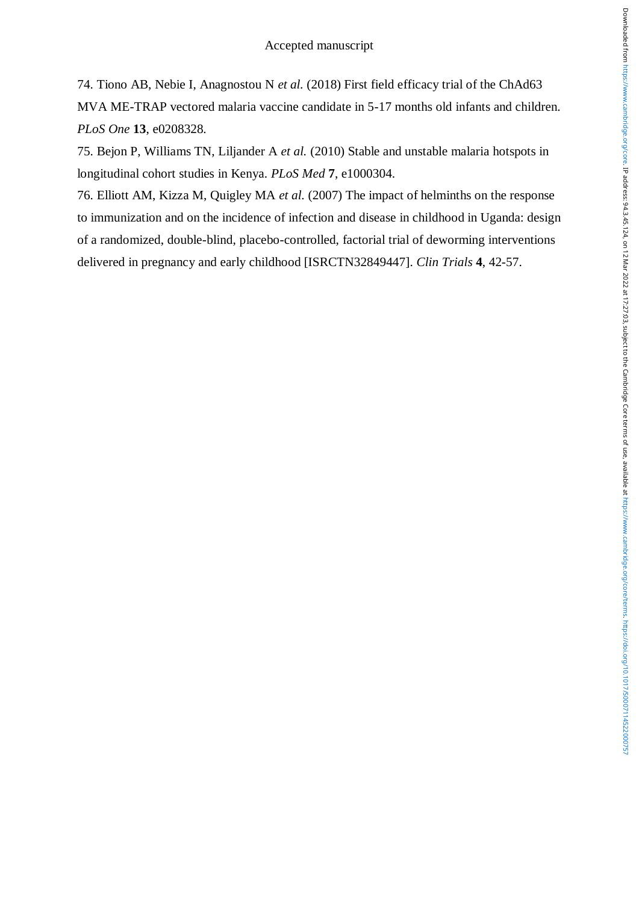74. Tiono AB, Nebie I, Anagnostou N *et al.* (2018) First field efficacy trial of the ChAd63 MVA ME-TRAP vectored malaria vaccine candidate in 5-17 months old infants and children. *PLoS One* **13**, e0208328.

75. Bejon P, Williams TN, Liljander A *et al.* (2010) Stable and unstable malaria hotspots in longitudinal cohort studies in Kenya. *PLoS Med* **7**, e1000304.

76. Elliott AM, Kizza M, Quigley MA *et al.* (2007) The impact of helminths on the response to immunization and on the incidence of infection and disease in childhood in Uganda: design of a randomized, double-blind, placebo-controlled, factorial trial of deworming interventions delivered in pregnancy and early childhood [ISRCTN32849447]. *Clin Trials* **4**, 42-57.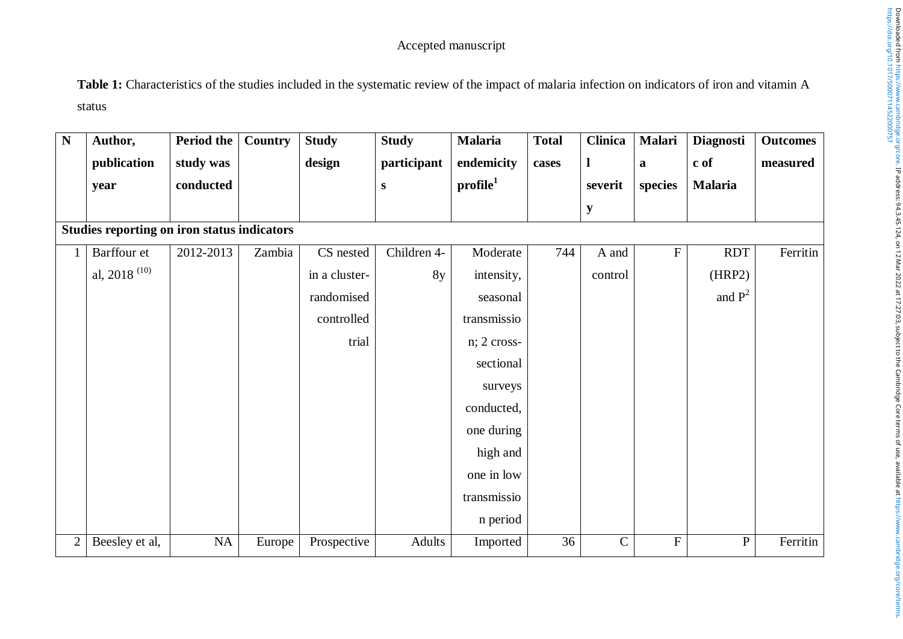**Table 1:** Characteristics of the studies included in the systematic review of the impact of malaria infection on indicators of iron and vitamin A status

| N              | Author,                                     | Period the | <b>Country</b> | <b>Study</b>  | <b>Study</b> | <b>Malaria</b>       | <b>Total</b> | <b>Clinica</b> | Malari       | <b>Diagnosti</b> | <b>Outcomes</b> |
|----------------|---------------------------------------------|------------|----------------|---------------|--------------|----------------------|--------------|----------------|--------------|------------------|-----------------|
|                | publication                                 | study was  |                | design        | participant  | endemicity           | cases        | $\mathbf{l}$   | $\mathbf{a}$ | c of             | measured        |
|                | year                                        | conducted  |                |               | ${\bf S}$    | profile <sup>1</sup> |              | severit        | species      | <b>Malaria</b>   |                 |
|                |                                             |            |                |               |              |                      |              | $\mathbf{y}$   |              |                  |                 |
|                | Studies reporting on iron status indicators |            |                |               |              |                      |              |                |              |                  |                 |
|                | Barffour et                                 | 2012-2013  | Zambia         | CS nested     | Children 4-  | Moderate             | 744          | A and          | ${\bf F}$    | <b>RDT</b>       | Ferritin        |
|                | al, 2018 <sup><math>(10)</math></sup>       |            |                | in a cluster- | 8y           | intensity,           |              | control        |              | (HRP2)           |                 |
|                |                                             |            |                | randomised    |              | seasonal             |              |                |              | and $P^2$        |                 |
|                |                                             |            |                | controlled    |              | transmissio          |              |                |              |                  |                 |
|                |                                             |            |                | trial         |              | n; 2 cross-          |              |                |              |                  |                 |
|                |                                             |            |                |               |              | sectional            |              |                |              |                  |                 |
|                |                                             |            |                |               |              | surveys              |              |                |              |                  |                 |
|                |                                             |            |                |               |              | conducted,           |              |                |              |                  |                 |
|                |                                             |            |                |               |              | one during           |              |                |              |                  |                 |
|                |                                             |            |                |               |              | high and             |              |                |              |                  |                 |
|                |                                             |            |                |               |              | one in low           |              |                |              |                  |                 |
|                |                                             |            |                |               |              | transmissio          |              |                |              |                  |                 |
|                |                                             |            |                |               |              | n period             |              |                |              |                  |                 |
| $\overline{2}$ | Beesley et al,                              | NA         | Europe         | Prospective   | Adults       | Imported             | 36           | $\mathcal{C}$  | ${\bf F}$    | ${\bf P}$        | Ferritin        |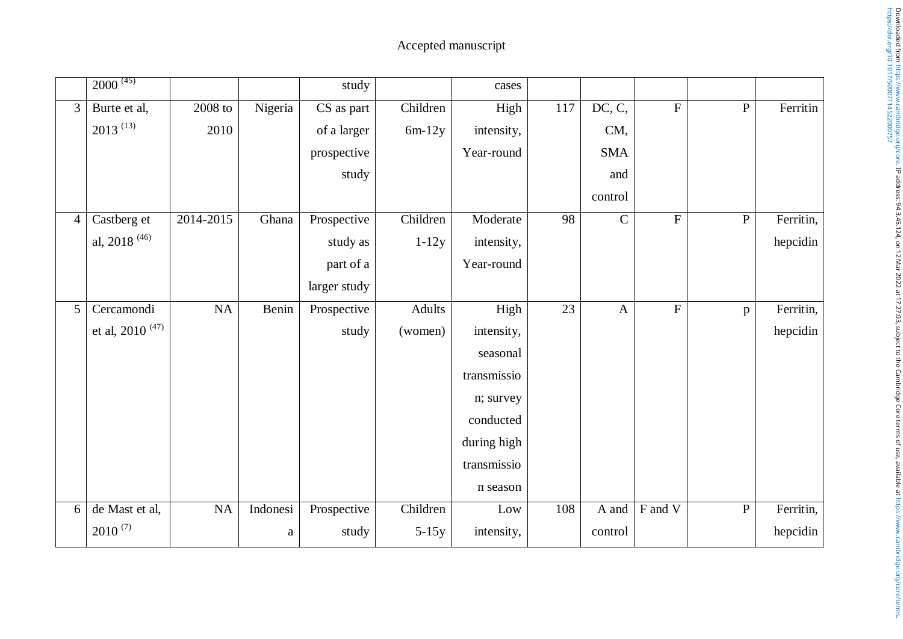|                 | $2000^{(45)}$                            |           |              | study        |          | cases       |     |              |                |              |           |
|-----------------|------------------------------------------|-----------|--------------|--------------|----------|-------------|-----|--------------|----------------|--------------|-----------|
| $\overline{3}$  | Burte et al,                             | $2008$ to | Nigeria      | CS as part   | Children | High        | 117 | DC, C,       | $\overline{F}$ | ${\bf P}$    | Ferritin  |
|                 | $2013^{(13)}$                            | 2010      |              | of a larger  | $6m-12y$ | intensity,  |     | CM,          |                |              |           |
|                 |                                          |           |              | prospective  |          | Year-round  |     | <b>SMA</b>   |                |              |           |
|                 |                                          |           |              | study        |          |             |     | and          |                |              |           |
|                 |                                          |           |              |              |          |             |     | control      |                |              |           |
| $\overline{4}$  | Castberg et                              | 2014-2015 | Ghana        | Prospective  | Children | Moderate    | 98  | $\mathsf C$  | $\mathbf F$    | ${\bf P}$    | Ferritin, |
|                 | al, 2018 <sup>(46)</sup>                 |           |              | study as     | $1-12y$  | intensity,  |     |              |                |              | hepcidin  |
|                 |                                          |           |              | part of a    |          | Year-round  |     |              |                |              |           |
|                 |                                          |           |              | larger study |          |             |     |              |                |              |           |
| $5\overline{)}$ | Cercamondi                               | <b>NA</b> | Benin        | Prospective  | Adults   | High        | 23  | $\mathbf{A}$ | ${\bf F}$      | $\, {\bf p}$ | Ferritin, |
|                 | et al, 2010 <sup><math>(47)</math></sup> |           |              | study        | (women)  | intensity,  |     |              |                |              | hepcidin  |
|                 |                                          |           |              |              |          | seasonal    |     |              |                |              |           |
|                 |                                          |           |              |              |          | transmissio |     |              |                |              |           |
|                 |                                          |           |              |              |          | n; survey   |     |              |                |              |           |
|                 |                                          |           |              |              |          | conducted   |     |              |                |              |           |
|                 |                                          |           |              |              |          | during high |     |              |                |              |           |
|                 |                                          |           |              |              |          | transmissio |     |              |                |              |           |
|                 |                                          |           |              |              |          | n season    |     |              |                |              |           |
| 6               | de Mast et al,                           | NA        | Indonesi     | Prospective  | Children | Low         | 108 | A and        | F and V        | ${\bf P}$    | Ferritin, |
|                 | $2010^{(7)}$                             |           | $\mathbf{a}$ | study        | $5-15y$  | intensity,  |     | control      |                |              | hepcidin  |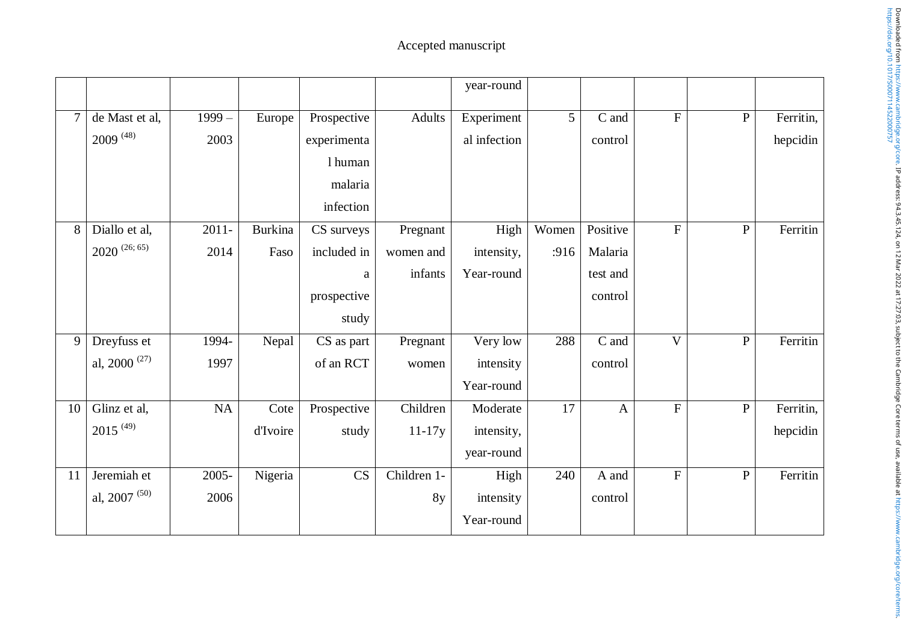|    |                    |          |                |             |             | year-round   |       |              |                           |              |           |
|----|--------------------|----------|----------------|-------------|-------------|--------------|-------|--------------|---------------------------|--------------|-----------|
|    | de Mast et al,     | $1999-$  | Europe         | Prospective | Adults      | Experiment   | 5     | C and        | ${\bf F}$                 | $\, {\bf P}$ | Ferritin, |
|    | $2009^{(48)}$      | 2003     |                | experimenta |             | al infection |       | control      |                           |              | hepcidin  |
|    |                    |          |                | 1 human     |             |              |       |              |                           |              |           |
|    |                    |          |                | malaria     |             |              |       |              |                           |              |           |
|    |                    |          |                | infection   |             |              |       |              |                           |              |           |
| 8  | Diallo et al,      | $2011 -$ | <b>Burkina</b> | CS surveys  | Pregnant    | High         | Women | Positive     | $\boldsymbol{\mathrm{F}}$ | ${\bf P}$    | Ferritin  |
|    | $2020^{(26; 65)}$  | 2014     | Faso           | included in | women and   | intensity,   | :916  | Malaria      |                           |              |           |
|    |                    |          |                | $\rm{a}$    | infants     | Year-round   |       | test and     |                           |              |           |
|    |                    |          |                | prospective |             |              |       | control      |                           |              |           |
|    |                    |          |                | study       |             |              |       |              |                           |              |           |
| 9  | Dreyfuss et        | 1994-    | Nepal          | CS as part  | Pregnant    | Very low     | 288   | C and        | $\overline{\mathbf{V}}$   | ${\bf P}$    | Ferritin  |
|    | al, 2000 $^{(27)}$ | 1997     |                | of an RCT   | women       | intensity    |       | control      |                           |              |           |
|    |                    |          |                |             |             | Year-round   |       |              |                           |              |           |
| 10 | Glinz et al,       | NA       | Cote           | Prospective | Children    | Moderate     | 17    | $\mathbf{A}$ | ${\bf F}$                 | $\, {\bf P}$ | Ferritin, |
|    | $2015^{(49)}$      |          | d'Ivoire       | study       | $11-17y$    | intensity,   |       |              |                           |              | hepcidin  |
|    |                    |          |                |             |             | year-round   |       |              |                           |              |           |
| 11 | Jeremiah et        | 2005-    | Nigeria        | CS          | Children 1- | High         | 240   | A and        | $\overline{F}$            | $\mathbf{P}$ | Ferritin  |
|    | al, 2007 $(50)$    | 2006     |                |             | 8y          | intensity    |       | control      |                           |              |           |
|    |                    |          |                |             |             | Year-round   |       |              |                           |              |           |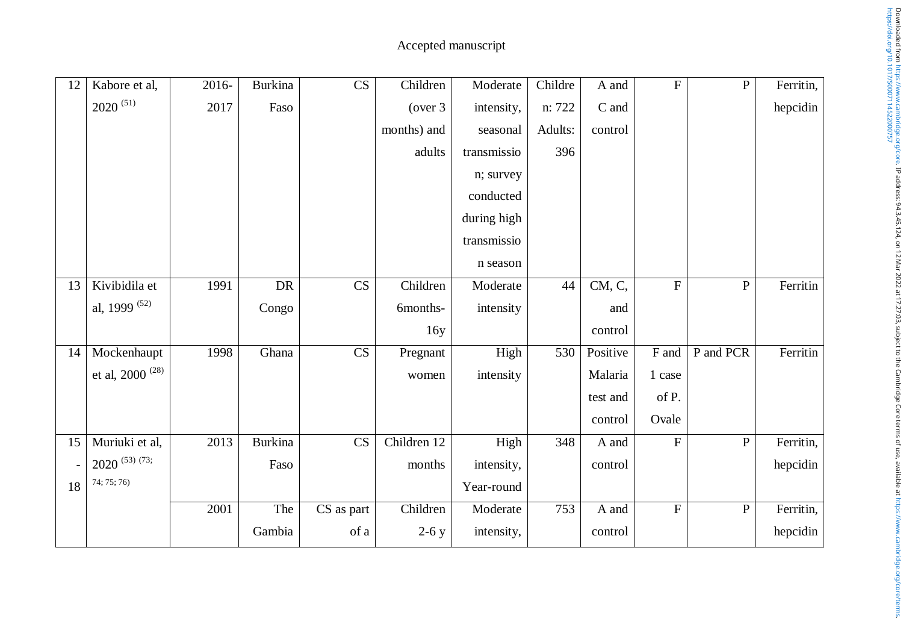| 12 | Kabore et al,               | 2016- | <b>Burkina</b> | $\overline{\text{CS}}$ | Children    | Moderate    | Childre | A and    | $\overline{F}$ | $\overline{P}$ | Ferritin, |
|----|-----------------------------|-------|----------------|------------------------|-------------|-------------|---------|----------|----------------|----------------|-----------|
|    | $2020^{(51)}$               | 2017  | Faso           |                        | (over 3)    | intensity,  | n: 722  | C and    |                |                | hepcidin  |
|    |                             |       |                |                        | months) and | seasonal    | Adults: | control  |                |                |           |
|    |                             |       |                |                        | adults      | transmissio | 396     |          |                |                |           |
|    |                             |       |                |                        |             | n; survey   |         |          |                |                |           |
|    |                             |       |                |                        |             | conducted   |         |          |                |                |           |
|    |                             |       |                |                        |             | during high |         |          |                |                |           |
|    |                             |       |                |                        |             | transmissio |         |          |                |                |           |
|    |                             |       |                |                        |             | n season    |         |          |                |                |           |
| 13 | Kivibidila et               | 1991  | <b>DR</b>      | CS                     | Children    | Moderate    | 44      | CM, C,   | ${\bf F}$      | ${\bf P}$      | Ferritin  |
|    | al, 1999 <sup>(52)</sup>    |       | Congo          |                        | 6months-    | intensity   |         | and      |                |                |           |
|    |                             |       |                |                        | 16y         |             |         | control  |                |                |           |
| 14 | Mockenhaupt                 | 1998  | Ghana          | CS                     | Pregnant    | High        | 530     | Positive | F and          | P and PCR      | Ferritin  |
|    | et al, 2000 <sup>(28)</sup> |       |                |                        | women       | intensity   |         | Malaria  | 1 case         |                |           |
|    |                             |       |                |                        |             |             |         | test and | of P.          |                |           |
|    |                             |       |                |                        |             |             |         | control  | Ovale          |                |           |
| 15 | Muriuki et al,              | 2013  | Burkina        | $\overline{\text{CS}}$ | Children 12 | High        | 348     | A and    | $\overline{F}$ | $\overline{P}$ | Ferritin, |
|    | $2020^{(53)(73)}$           |       | Faso           |                        | months      | intensity,  |         | control  |                |                | hepcidin  |
| 18 | 74; 75; 76)                 |       |                |                        |             | Year-round  |         |          |                |                |           |
|    |                             | 2001  | The            | CS as part             | Children    | Moderate    | 753     | A and    | ${\bf F}$      | $\mathbf P$    | Ferritin, |
|    |                             |       | Gambia         | of a                   | $2-6y$      | intensity,  |         | control  |                |                | hepcidin  |
|    |                             |       |                |                        |             |             |         |          |                |                |           |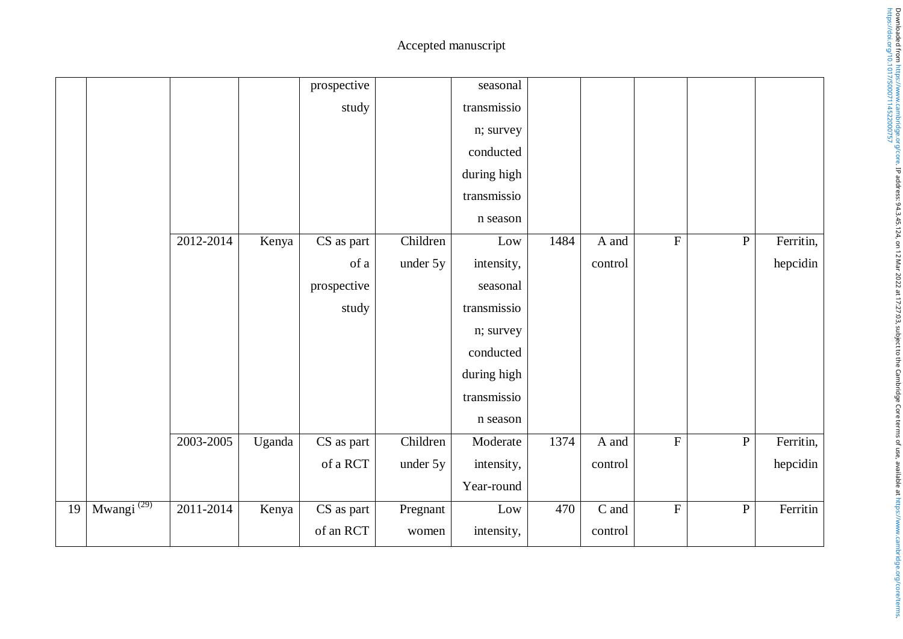|    |                        |           |        | prospective |          | seasonal    |      |                 |                |              |           |
|----|------------------------|-----------|--------|-------------|----------|-------------|------|-----------------|----------------|--------------|-----------|
|    |                        |           |        | study       |          | transmissio |      |                 |                |              |           |
|    |                        |           |        |             |          | n; survey   |      |                 |                |              |           |
|    |                        |           |        |             |          | conducted   |      |                 |                |              |           |
|    |                        |           |        |             |          | during high |      |                 |                |              |           |
|    |                        |           |        |             |          | transmissio |      |                 |                |              |           |
|    |                        |           |        |             |          | n season    |      |                 |                |              |           |
|    |                        | 2012-2014 | Kenya  | CS as part  | Children | Low         | 1484 | A and           | $\overline{F}$ | ${\bf P}$    | Ferritin, |
|    |                        |           |        | of a        | under 5y | intensity,  |      | control         |                |              | hepcidin  |
|    |                        |           |        | prospective |          | seasonal    |      |                 |                |              |           |
|    |                        |           |        | study       |          | transmissio |      |                 |                |              |           |
|    |                        |           |        |             |          | n; survey   |      |                 |                |              |           |
|    |                        |           |        |             |          | conducted   |      |                 |                |              |           |
|    |                        |           |        |             |          | during high |      |                 |                |              |           |
|    |                        |           |        |             |          | transmissio |      |                 |                |              |           |
|    |                        |           |        |             |          | n season    |      |                 |                |              |           |
|    |                        | 2003-2005 | Uganda | CS as part  | Children | Moderate    | 1374 | A and           | $\mathbf F$    | $\, {\bf P}$ | Ferritin, |
|    |                        |           |        | of a RCT    | under 5y | intensity,  |      | control         |                |              | hepcidin  |
|    |                        |           |        |             |          | Year-round  |      |                 |                |              |           |
| 19 | Mwangi <sup>(29)</sup> | 2011-2014 | Kenya  | CS as part  | Pregnant | Low         | 470  | $\mathbf C$ and | $\overline{F}$ | ${\bf P}$    | Ferritin  |
|    |                        |           |        | of an RCT   | women    | intensity,  |      | control         |                |              |           |
|    |                        |           |        |             |          |             |      |                 |                |              |           |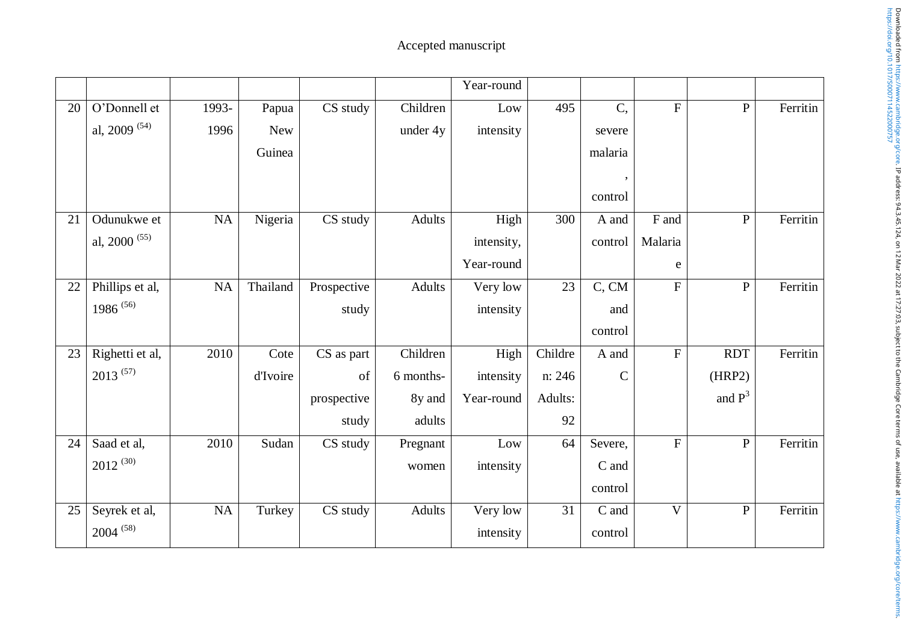|    |                                   |           |            |             |               | Year-round |         |               |                         |              |          |
|----|-----------------------------------|-----------|------------|-------------|---------------|------------|---------|---------------|-------------------------|--------------|----------|
| 20 | O'Donnell et                      | 1993-     | Papua      | CS study    | Children      | Low        | 495     | C,            | $\overline{F}$          | ${\bf P}$    | Ferritin |
|    | al, 2009 $(54)$                   | 1996      | <b>New</b> |             | under 4y      | intensity  |         | severe        |                         |              |          |
|    |                                   |           | Guinea     |             |               |            |         | malaria       |                         |              |          |
|    |                                   |           |            |             |               |            |         |               |                         |              |          |
|    |                                   |           |            |             |               |            |         | control       |                         |              |          |
| 21 | Odunukwe et                       | <b>NA</b> | Nigeria    | CS study    | <b>Adults</b> | High       | 300     | A and         | F and                   | $\, {\bf P}$ | Ferritin |
|    | al, 2000 $(55)$                   |           |            |             |               | intensity, |         | control       | Malaria                 |              |          |
|    |                                   |           |            |             |               | Year-round |         |               | e                       |              |          |
| 22 | Phillips et al,                   | NA        | Thailand   | Prospective | <b>Adults</b> | Very low   | 23      | C, CM         | $\mathbf F$             | ${\bf P}$    | Ferritin |
|    | 1986 <sup><math>(56)</math></sup> |           |            | study       |               | intensity  |         | and           |                         |              |          |
|    |                                   |           |            |             |               |            |         | control       |                         |              |          |
| 23 | Righetti et al,                   | 2010      | Cote       | CS as part  | Children      | High       | Childre | A and         | $\mathbf F$             | <b>RDT</b>   | Ferritin |
|    | $2013^{(57)}$                     |           | d'Ivoire   | of          | 6 months-     | intensity  | n: 246  | $\mathcal{C}$ |                         | (HRP2)       |          |
|    |                                   |           |            | prospective | 8y and        | Year-round | Adults: |               |                         | and $P^3$    |          |
|    |                                   |           |            | study       | adults        |            | 92      |               |                         |              |          |
| 24 | Saad et al,                       | 2010      | Sudan      | CS study    | Pregnant      | Low        | 64      | Severe,       | $\mathbf F$             | $\, {\bf P}$ | Ferritin |
|    | $2012^{(30)}$                     |           |            |             | women         | intensity  |         | C and         |                         |              |          |
|    |                                   |           |            |             |               |            |         | control       |                         |              |          |
| 25 | Seyrek et al,                     | <b>NA</b> | Turkey     | CS study    | <b>Adults</b> | Very low   | 31      | C and         | $\overline{\mathsf{V}}$ | ${\bf P}$    | Ferritin |
|    | $2004^{(58)}$                     |           |            |             |               | intensity  |         | control       |                         |              |          |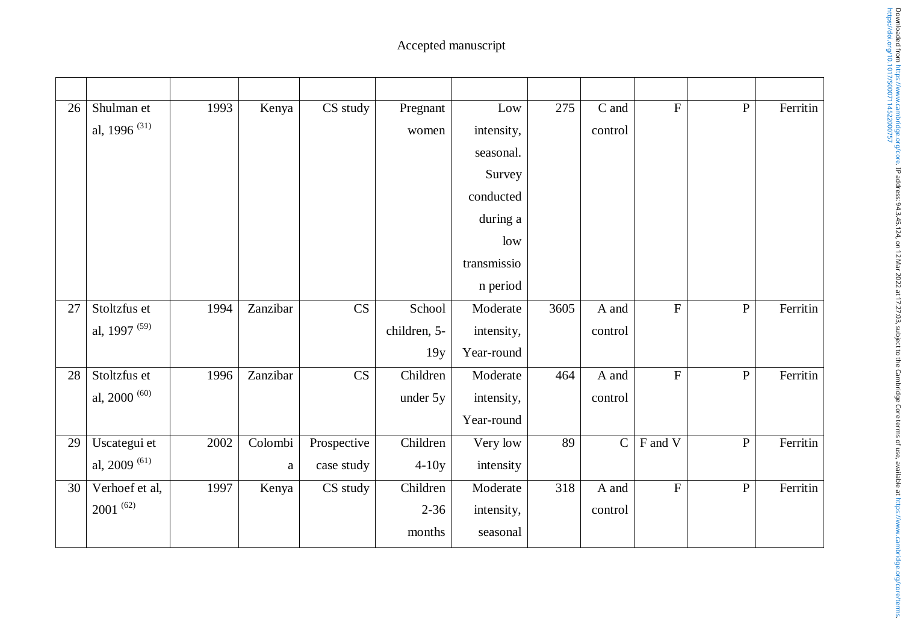| 26 | Shulman et                            | 1993 | Kenya        | CS study    | Pregnant     | Low         | 275  | C and          | $\mathbf{F}$ | $\, {\bf P}$   | Ferritin |
|----|---------------------------------------|------|--------------|-------------|--------------|-------------|------|----------------|--------------|----------------|----------|
|    | al, 1996 <sup><math>(31)</math></sup> |      |              |             | women        | intensity,  |      | control        |              |                |          |
|    |                                       |      |              |             |              | seasonal.   |      |                |              |                |          |
|    |                                       |      |              |             |              | Survey      |      |                |              |                |          |
|    |                                       |      |              |             |              | conducted   |      |                |              |                |          |
|    |                                       |      |              |             |              | during a    |      |                |              |                |          |
|    |                                       |      |              |             |              | low         |      |                |              |                |          |
|    |                                       |      |              |             |              | transmissio |      |                |              |                |          |
|    |                                       |      |              |             |              | n period    |      |                |              |                |          |
| 27 | Stoltzfus et                          | 1994 | Zanzibar     | CS          | School       | Moderate    | 3605 | A and          | $\mathbf F$  | $\, {\bf P}$   | Ferritin |
|    | al, 1997 <sup>(59)</sup>              |      |              |             | children, 5- | intensity,  |      | control        |              |                |          |
|    |                                       |      |              |             | 19y          | Year-round  |      |                |              |                |          |
| 28 | Stoltzfus et                          | 1996 | Zanzibar     | CS          | Children     | Moderate    | 464  | A and          | $\mathbf F$  | $\, {\bf P}$   | Ferritin |
|    | al, 2000 $^{(60)}$                    |      |              |             | under 5y     | intensity,  |      | control        |              |                |          |
|    |                                       |      |              |             |              | Year-round  |      |                |              |                |          |
| 29 | Uscategui et                          | 2002 | Colombi      | Prospective | Children     | Very low    | 89   | $\overline{C}$ | F and V      | $\overline{P}$ | Ferritin |
|    | al, 2009 $(61)$                       |      | $\mathbf{a}$ | case study  | $4-10y$      | intensity   |      |                |              |                |          |
| 30 | Verhoef et al,                        | 1997 | Kenya        | CS study    | Children     | Moderate    | 318  | A and          | $\mathbf F$  | $\, {\bf P}$   | Ferritin |
|    | $2001^{(62)}$                         |      |              |             | $2 - 36$     | intensity,  |      | control        |              |                |          |
|    |                                       |      |              |             | months       | seasonal    |      |                |              |                |          |
|    |                                       |      |              |             |              |             |      |                |              |                |          |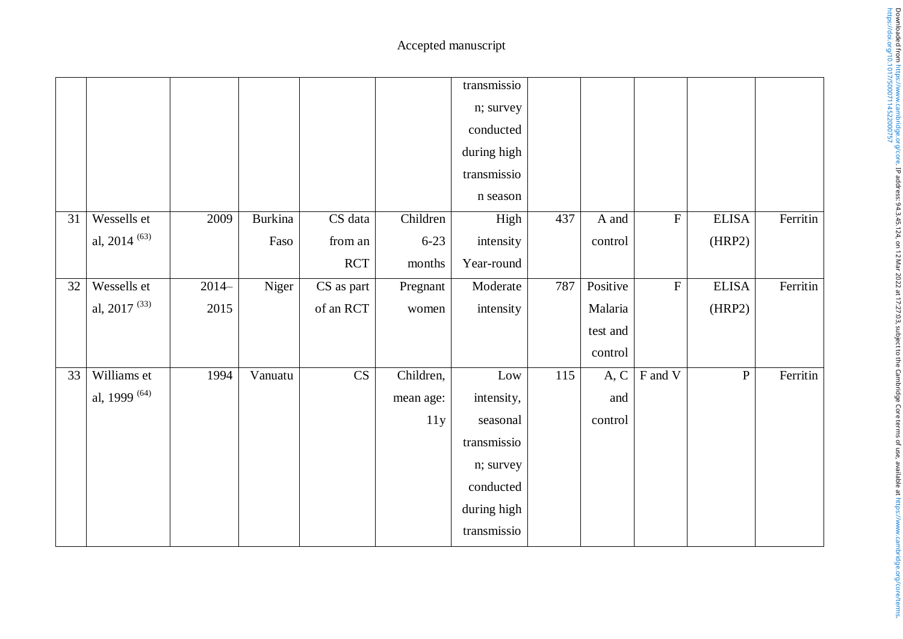|    |                          |         |         |            |           | transmissio |     |          |             |              |          |
|----|--------------------------|---------|---------|------------|-----------|-------------|-----|----------|-------------|--------------|----------|
|    |                          |         |         |            |           | n; survey   |     |          |             |              |          |
|    |                          |         |         |            |           | conducted   |     |          |             |              |          |
|    |                          |         |         |            |           | during high |     |          |             |              |          |
|    |                          |         |         |            |           | transmissio |     |          |             |              |          |
|    |                          |         |         |            |           | n season    |     |          |             |              |          |
| 31 | Wessells et              | 2009    | Burkina | CS data    | Children  | High        | 437 | A and    | $\rm F$     | <b>ELISA</b> | Ferritin |
|    | al, 2014 $^{(63)}$       |         | Faso    | from an    | $6 - 23$  | intensity   |     | control  |             | (HRP2)       |          |
|    |                          |         |         | <b>RCT</b> | months    | Year-round  |     |          |             |              |          |
| 32 | Wessells et              | $2014-$ | Niger   | CS as part | Pregnant  | Moderate    | 787 | Positive | $\mathbf F$ | <b>ELISA</b> | Ferritin |
|    | al, 2017 $(33)$          | 2015    |         | of an RCT  | women     | intensity   |     | Malaria  |             | (HRP2)       |          |
|    |                          |         |         |            |           |             |     | test and |             |              |          |
|    |                          |         |         |            |           |             |     | control  |             |              |          |
| 33 | Williams et              | 1994    | Vanuatu | CS         | Children, | Low         | 115 | A, C     | F and V     | $\, {\bf P}$ | Ferritin |
|    | al, 1999 <sup>(64)</sup> |         |         |            | mean age: | intensity,  |     | and      |             |              |          |
|    |                          |         |         |            | 11y       | seasonal    |     | control  |             |              |          |
|    |                          |         |         |            |           | transmissio |     |          |             |              |          |
|    |                          |         |         |            |           | n; survey   |     |          |             |              |          |
|    |                          |         |         |            |           | conducted   |     |          |             |              |          |
|    |                          |         |         |            |           | during high |     |          |             |              |          |
|    |                          |         |         |            |           | transmissio |     |          |             |              |          |
|    |                          |         |         |            |           |             |     |          |             |              |          |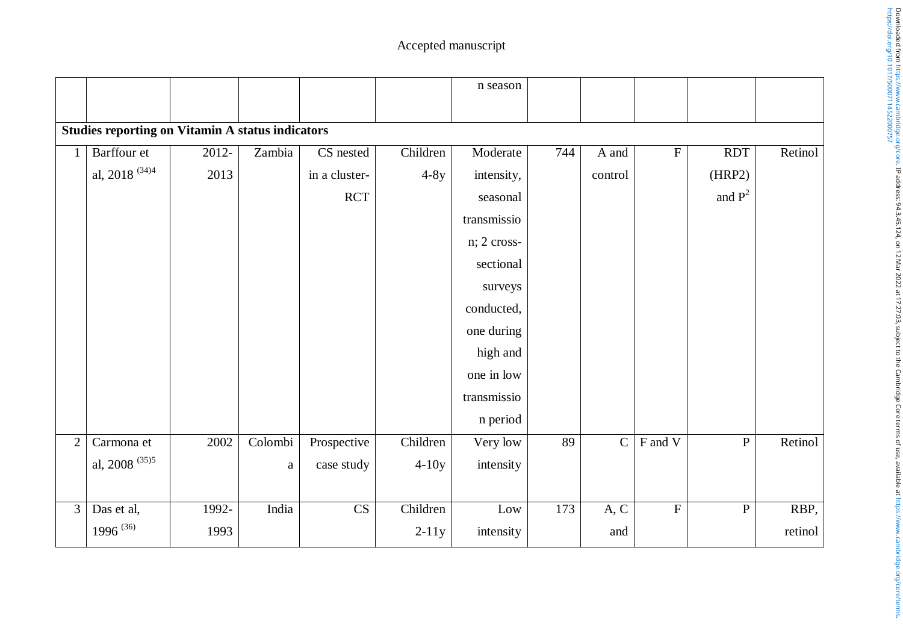|                |                                                         |          |          |               |          | n season    |     |                |             |                |         |
|----------------|---------------------------------------------------------|----------|----------|---------------|----------|-------------|-----|----------------|-------------|----------------|---------|
|                | <b>Studies reporting on Vitamin A status indicators</b> |          |          |               |          |             |     |                |             |                |         |
|                | Barffour et                                             | $2012 -$ | Zambia   | CS nested     | Children | Moderate    | 744 | A and          | $\mathbf F$ | <b>RDT</b>     | Retinol |
|                | al, 2018 $^{(34)4}$                                     | 2013     |          | in a cluster- | $4-8y$   | intensity,  |     | control        |             | (HRP2)         |         |
|                |                                                         |          |          | <b>RCT</b>    |          | seasonal    |     |                |             | and $P^2$      |         |
|                |                                                         |          |          |               |          | transmissio |     |                |             |                |         |
|                |                                                         |          |          |               |          | n; 2 cross- |     |                |             |                |         |
|                |                                                         |          |          |               |          | sectional   |     |                |             |                |         |
|                |                                                         |          |          |               |          | surveys     |     |                |             |                |         |
|                |                                                         |          |          |               |          | conducted,  |     |                |             |                |         |
|                |                                                         |          |          |               |          | one during  |     |                |             |                |         |
|                |                                                         |          |          |               |          | high and    |     |                |             |                |         |
|                |                                                         |          |          |               |          | one in low  |     |                |             |                |         |
|                |                                                         |          |          |               |          | transmissio |     |                |             |                |         |
|                |                                                         |          |          |               |          | n period    |     |                |             |                |         |
| $\overline{2}$ | Carmona et                                              | 2002     | Colombi  | Prospective   | Children | Very low    | 89  | $\overline{C}$ | F and V     | $\overline{P}$ | Retinol |
|                | al, 2008 $^{(35)5}$                                     |          | $\rm{a}$ | case study    | $4-10y$  | intensity   |     |                |             |                |         |
|                |                                                         |          |          |               |          |             |     |                |             |                |         |
| $\mathfrak{Z}$ | Das et al,                                              | 1992-    | India    | CS            | Children | Low         | 173 | A, C           | $\mathbf F$ | $\overline{P}$ | RBP,    |
|                | 1996 <sup>(36)</sup>                                    | 1993     |          |               | $2-11y$  | intensity   |     | and            |             |                | retinol |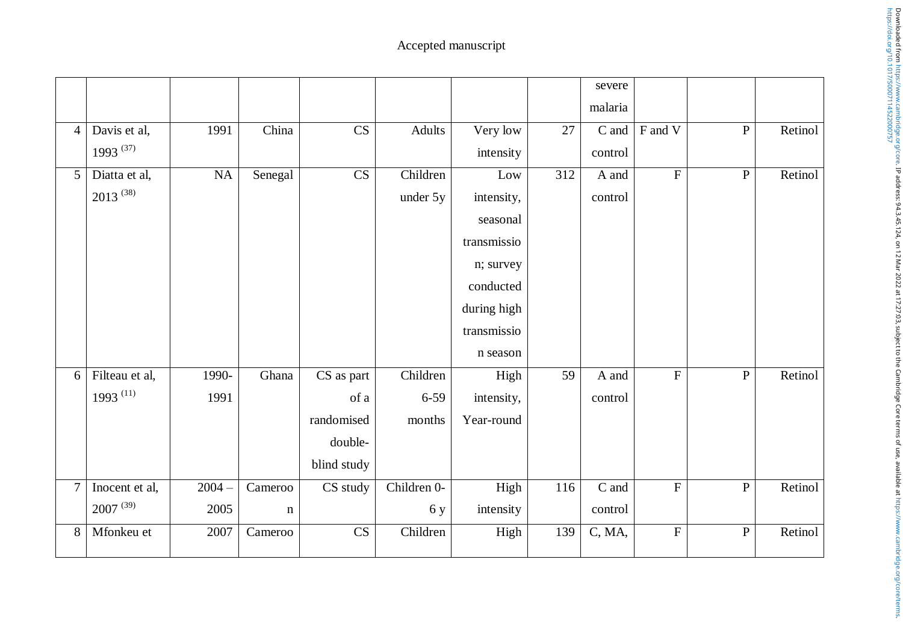|                 |                      |          |             |                                |             |             |     | severe  |             |                |         |
|-----------------|----------------------|----------|-------------|--------------------------------|-------------|-------------|-----|---------|-------------|----------------|---------|
|                 |                      |          |             |                                |             |             |     | malaria |             |                |         |
| $\overline{4}$  | Davis et al,         | 1991     | China       | $\overline{\text{CS}}$         | Adults      | Very low    | 27  | C and   | F and V     | $\overline{P}$ | Retinol |
|                 | 1993 $(37)$          |          |             |                                |             | intensity   |     | control |             |                |         |
| $5\overline{)}$ | Diatta et al,        | $\rm NA$ | Senegal     | CS                             | Children    | Low         | 312 | A and   | $\mathbf F$ | $\, {\bf P}$   | Retinol |
|                 | $2013^{(38)}$        |          |             |                                | under 5y    | intensity,  |     | control |             |                |         |
|                 |                      |          |             |                                |             | seasonal    |     |         |             |                |         |
|                 |                      |          |             |                                |             | transmissio |     |         |             |                |         |
|                 |                      |          |             |                                |             | n; survey   |     |         |             |                |         |
|                 |                      |          |             |                                |             | conducted   |     |         |             |                |         |
|                 |                      |          |             |                                |             | during high |     |         |             |                |         |
|                 |                      |          |             |                                |             | transmissio |     |         |             |                |         |
|                 |                      |          |             |                                |             | n season    |     |         |             |                |         |
| 6               | Filteau et al,       | 1990-    | Ghana       | $\overline{\text{CS}}$ as part | Children    | High        | 59  | A and   | $\mathbf F$ | ${\bf P}$      | Retinol |
|                 | 1993 <sup>(11)</sup> | 1991     |             | of a                           | $6 - 59$    | intensity,  |     | control |             |                |         |
|                 |                      |          |             | randomised                     | months      | Year-round  |     |         |             |                |         |
|                 |                      |          |             | double-                        |             |             |     |         |             |                |         |
|                 |                      |          |             | blind study                    |             |             |     |         |             |                |         |
| $\overline{7}$  | Inocent et al,       | $2004 -$ | Cameroo     | CS study                       | Children 0- | High        | 116 | C and   | $\mathbf F$ | ${\bf P}$      | Retinol |
|                 | $2007^{(39)}$        | 2005     | $\mathbf n$ |                                | 6 y         | intensity   |     | control |             |                |         |
| 8               | Mfonkeu et           | 2007     | Cameroo     | $\mathbf{C}\mathbf{S}$         | Children    | High        | 139 | C, MA,  | $\mathbf F$ | ${\bf P}$      | Retinol |
|                 |                      |          |             |                                |             |             |     |         |             |                |         |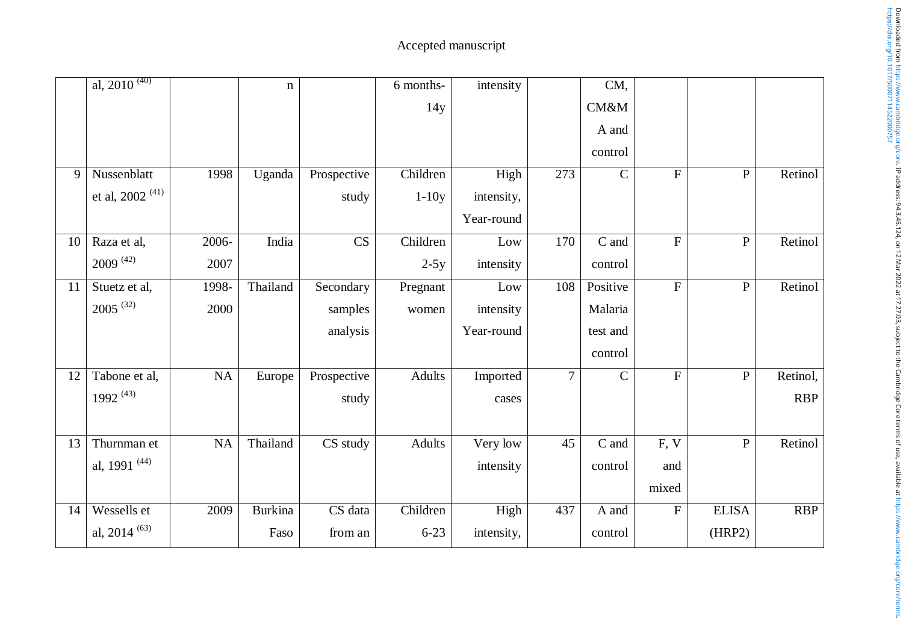|    | al, $2010^{(40)}$        |           | $\mathbf n$    |             | 6 months- | intensity  |                | CM,           |                |              |            |
|----|--------------------------|-----------|----------------|-------------|-----------|------------|----------------|---------------|----------------|--------------|------------|
|    |                          |           |                |             | 14y       |            |                | CM&M          |                |              |            |
|    |                          |           |                |             |           |            |                | A and         |                |              |            |
|    |                          |           |                |             |           |            |                | control       |                |              |            |
| 9  | Nussenblatt              | 1998      | Uganda         | Prospective | Children  | High       | 273            | $\mathbf C$   | ${\bf F}$      | ${\bf P}$    | Retinol    |
|    | et al, 2002 $^{(41)}$    |           |                | study       | $1-10y$   | intensity, |                |               |                |              |            |
|    |                          |           |                |             |           | Year-round |                |               |                |              |            |
| 10 | Raza et al,              | 2006-     | India          | CS          | Children  | Low        | 170            | C and         | $\overline{F}$ | ${\bf P}$    | Retinol    |
|    | $2009^{(42)}$            | 2007      |                |             | $2-5y$    | intensity  |                | control       |                |              |            |
| 11 | Stuetz et al,            | 1998-     | Thailand       | Secondary   | Pregnant  | Low        | 108            | Positive      | $\overline{F}$ | $\mathbf{P}$ | Retinol    |
|    | $2005^{(32)}$            | 2000      |                | samples     | women     | intensity  |                | Malaria       |                |              |            |
|    |                          |           |                | analysis    |           | Year-round |                | test and      |                |              |            |
|    |                          |           |                |             |           |            |                | control       |                |              |            |
| 12 | Tabone et al,            | $\rm NA$  | Europe         | Prospective | Adults    | Imported   | $\overline{7}$ | $\mathcal{C}$ | $\overline{F}$ | ${\bf P}$    | Retinol,   |
|    | 1992 <sup>(43)</sup>     |           |                | study       |           | cases      |                |               |                |              | <b>RBP</b> |
|    |                          |           |                |             |           |            |                |               |                |              |            |
| 13 | Thurnman et              | <b>NA</b> | Thailand       | CS study    | Adults    | Very low   | 45             | C and         | F, V           | ${\bf P}$    | Retinol    |
|    | al, 1991 <sup>(44)</sup> |           |                |             |           | intensity  |                | control       | and            |              |            |
|    |                          |           |                |             |           |            |                |               | mixed          |              |            |
| 14 | Wessells et              | 2009      | <b>Burkina</b> | CS data     | Children  | High       | 437            | A and         | ${\bf F}$      | <b>ELISA</b> | <b>RBP</b> |
|    | al, 2014 $(63)$          |           | Faso           | from an     | $6 - 23$  | intensity, |                | control       |                | (HRP2)       |            |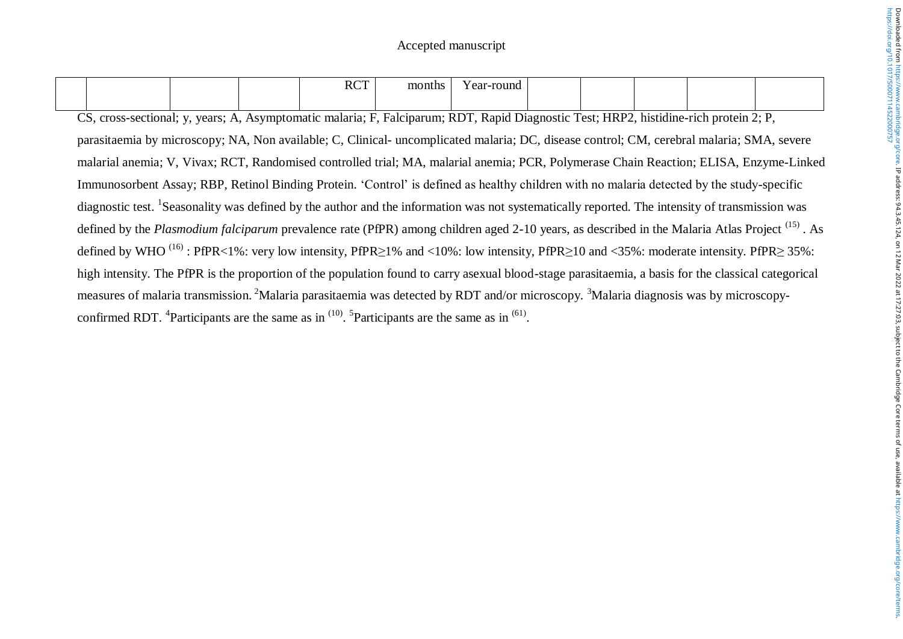|  |  | <b>RCT</b> | months | round<br>$\sim$ $\sim$<br>- 1 |  |  |  |
|--|--|------------|--------|-------------------------------|--|--|--|
|  |  |            |        |                               |  |  |  |

CS, cross-sectional; y, years; A, Asymptomatic malaria; F, Falciparum; RDT, Rapid Diagnostic Test; HRP2, histidine-rich protein 2; P, parasitaemia by microscopy; NA, Non available; C, Clinical- uncomplicated malaria; DC, disease control; CM, cerebral malaria; SMA, severe malarial anemia; V, Vivax; RCT, Randomised controlled trial; MA, malarial anemia; PCR, Polymerase Chain Reaction; ELISA, Enzyme-Linked Immunosorbent Assay; RBP, Retinol Binding Protein. 'Control' is defined as healthy children with no malaria detected by the study-specific diagnostic test. <sup>1</sup>Seasonality was defined by the author and the information was not systematically reported. The intensity of transmission was defined by the *Plasmodium falciparum* prevalence rate (PfPR) among children aged 2-10 years, as described in the Malaria Atlas Project (15) . As defined by WHO<sup>(16)</sup>: PfPR<1%: very low intensity, PfPR≥1% and <10%: low intensity, PfPR≥10 and <35%: moderate intensity. PfPR≥ 35%: high intensity. The PfPR is the proportion of the population found to carry asexual blood-stage parasitaemia, a basis for the classical categorical measures of malaria transmission. <sup>2</sup>Malaria parasitaemia was detected by RDT and/or microscopy. <sup>3</sup>Malaria diagnosis was by microscopyconfirmed RDT. <sup>4</sup>Participants are the same as in  $(10)$ . <sup>5</sup>Participants are the same as in  $(61)$ .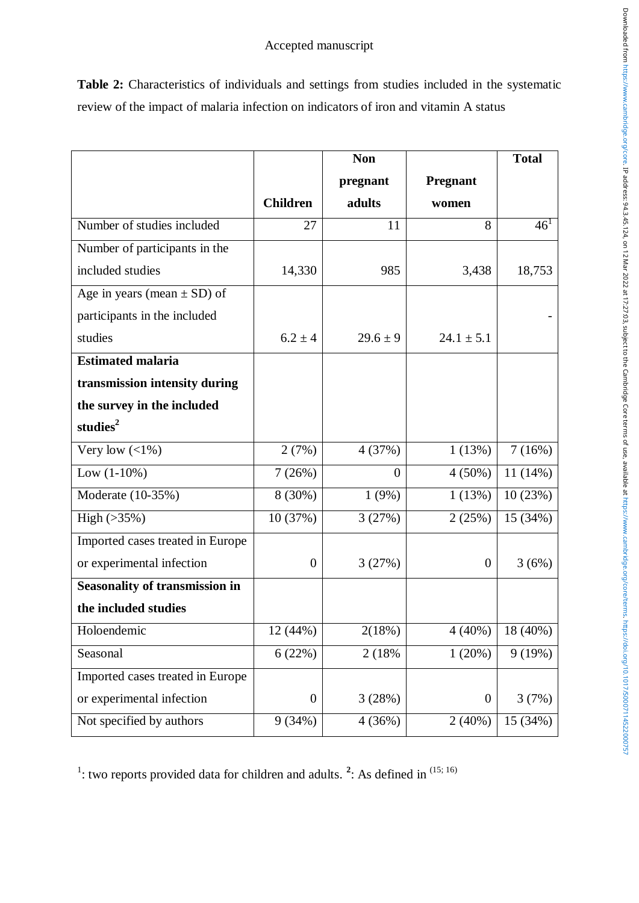|                                       |                  | <b>Non</b>     |                  | <b>Total</b>    |
|---------------------------------------|------------------|----------------|------------------|-----------------|
|                                       |                  | pregnant       | <b>Pregnant</b>  |                 |
|                                       | <b>Children</b>  | adults         | women            |                 |
| Number of studies included            | 27               | 11             | 8                | 46 <sup>1</sup> |
| Number of participants in the         |                  |                |                  |                 |
| included studies                      | 14,330           | 985            | 3,438            | 18,753          |
| Age in years (mean $\pm$ SD) of       |                  |                |                  |                 |
| participants in the included          |                  |                |                  |                 |
| studies                               | $6.2 \pm 4$      | $29.6 \pm 9$   | $24.1 \pm 5.1$   |                 |
| <b>Estimated malaria</b>              |                  |                |                  |                 |
| transmission intensity during         |                  |                |                  |                 |
| the survey in the included            |                  |                |                  |                 |
| studies <sup>2</sup>                  |                  |                |                  |                 |
| Very low $($ 1\%)                     | 2(7%)            | 4 (37%)        | 1(13%)           | 7(16%)          |
| Low $(1-10\%)$                        | 7(26%)           | $\overline{0}$ | $4(50\%)$        | $11(14\%)$      |
| $\overline{\text{Moderate}}$ (10-35%) | 8 (30%)          | 1(9%)          | 1(13%)           | 10(23%)         |
| High $(>35\%)$                        | 10 (37%)         | 3(27%)         | 2(25%)           | 15 (34%)        |
| Imported cases treated in Europe      |                  |                |                  |                 |
| or experimental infection             | $\overline{0}$   | 3(27%)         | $\overline{0}$   | 3(6%)           |
| <b>Seasonality of transmission in</b> |                  |                |                  |                 |
| the included studies                  |                  |                |                  |                 |
| Holoendemic                           | 12 (44%)         | 2(18%)         | $4(40\%)$        | 18 (40%)        |
| Seasonal                              | 6(22%)           | 2 (18%)        | 1(20%)           | 9(19%)          |
| Imported cases treated in Europe      |                  |                |                  |                 |
| or experimental infection             | $\boldsymbol{0}$ | 3(28%)         | $\boldsymbol{0}$ | 3(7%)           |
| Not specified by authors              | 9(34%)           | 4(36%)         | 2(40%)           | 15 (34%)        |

**Table 2:** Characteristics of individuals and settings from studies included in the systematic review of the impact of malaria infection on indicators of iron and vitamin A status

<sup>1</sup>: two reports provided data for children and adults. <sup>2</sup>: As defined in  $(15; 16)$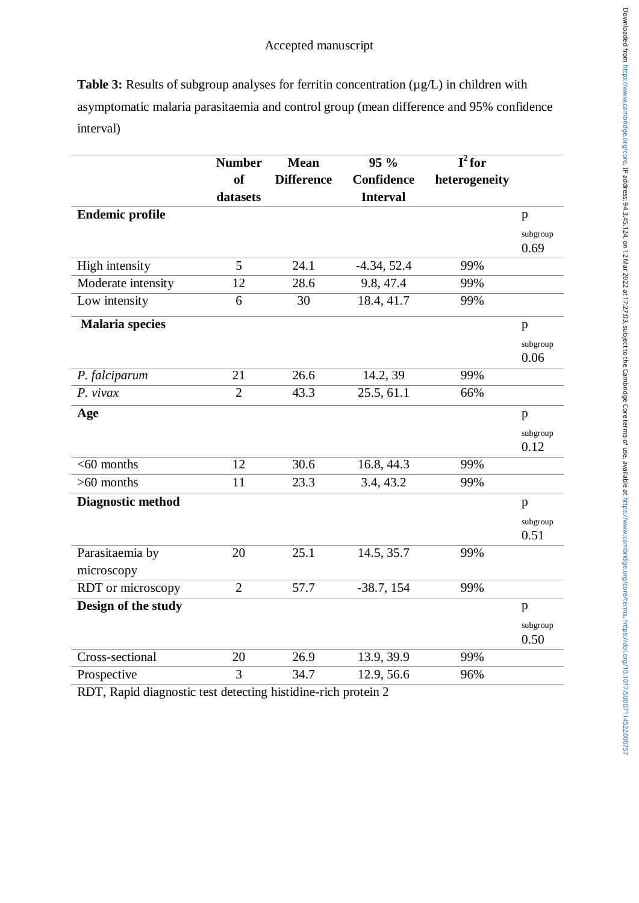**Table 3:** Results of subgroup analyses for ferritin concentration ( $\mu$ g/L) in children with asymptomatic malaria parasitaemia and control group (mean difference and 95% confidence interval)

|                          | <b>Number</b>  | <b>Mean</b>       | 95 %            | $\overline{\mathbf{I}^2$ for |                  |
|--------------------------|----------------|-------------------|-----------------|------------------------------|------------------|
|                          | <b>of</b>      | <b>Difference</b> | Confidence      | heterogeneity                |                  |
|                          | datasets       |                   | <b>Interval</b> |                              |                  |
| <b>Endemic profile</b>   |                |                   |                 |                              | p                |
|                          |                |                   |                 |                              | subgroup         |
|                          |                |                   |                 |                              | 0.69             |
| High intensity           | 5              | 24.1              | $-4.34, 52.4$   | 99%                          |                  |
| Moderate intensity       | 12             | 28.6              | 9.8, 47.4       | 99%                          |                  |
| Low intensity            | 6              | 30                | 18.4, 41.7      | 99%                          |                  |
| <b>Malaria</b> species   |                |                   |                 |                              | $\mathbf{p}$     |
|                          |                |                   |                 |                              | subgroup<br>0.06 |
| P. falciparum            | 21             | 26.6              | 14.2, 39        | 99%                          |                  |
| P. vivax                 | $\overline{2}$ | 43.3              | 25.5, 61.1      | 66%                          |                  |
| Age                      |                |                   |                 |                              | p                |
|                          |                |                   |                 |                              | subgroup         |
|                          |                |                   |                 |                              | 0.12             |
| $<$ 60 months            | 12             | 30.6              | 16.8, 44.3      | 99%                          |                  |
| $>60$ months             | 11             | 23.3              | 3.4, 43.2       | 99%                          |                  |
| <b>Diagnostic method</b> |                |                   |                 |                              | $\mathbf{p}$     |
|                          |                |                   |                 |                              | subgroup         |
|                          |                |                   |                 |                              | 0.51             |
| Parasitaemia by          | 20             | 25.1              | 14.5, 35.7      | 99%                          |                  |
| microscopy               |                |                   |                 |                              |                  |
| RDT or microscopy        | $\overline{2}$ | 57.7              | $-38.7, 154$    | 99%                          |                  |
| Design of the study      |                |                   |                 |                              | $\mathbf{p}$     |
|                          |                |                   |                 |                              | subgroup<br>0.50 |
| Cross-sectional          | 20             | 26.9              | 13.9, 39.9      | 99%                          |                  |
| Prospective              | $\overline{3}$ | 34.7              | 12.9, 56.6      | 96%                          |                  |

RDT, Rapid diagnostic test detecting histidine-rich protein 2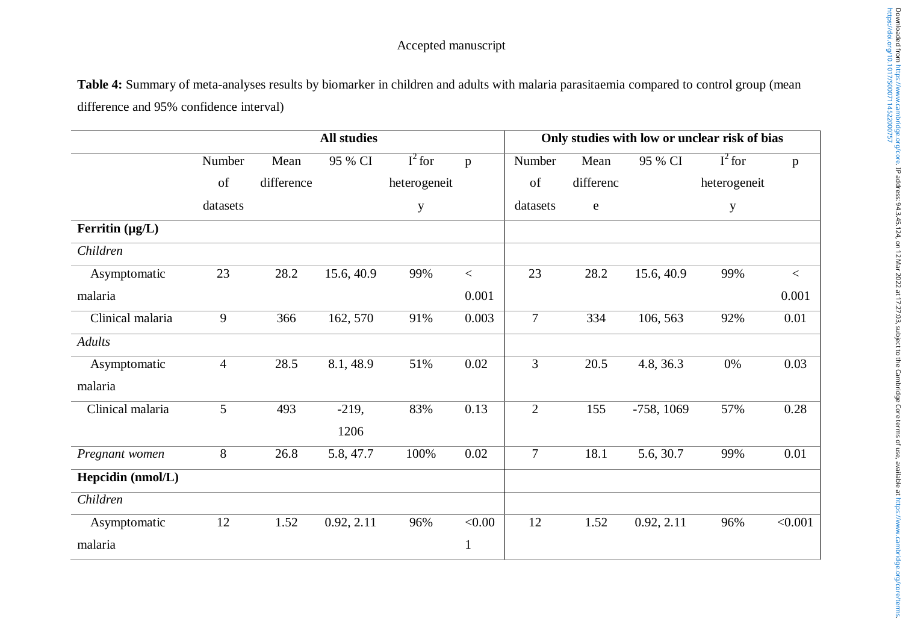**Table 4:** Summary of meta-analyses results by biomarker in children and adults with malaria parasitaemia compared to control group (mean difference and 95% confidence interval)

|                      |                |            | <b>All studies</b> |              | Only studies with low or unclear risk of bias |                |             |              |              |         |
|----------------------|----------------|------------|--------------------|--------------|-----------------------------------------------|----------------|-------------|--------------|--------------|---------|
|                      | Number         | Mean       | 95 % CI            | $I^2$ for    | $\mathbf{p}$                                  | Number         | Mean        | 95 % CI      | $I^2$ for    | p       |
|                      | of             | difference |                    | heterogeneit |                                               | of             | differenc   |              | heterogeneit |         |
|                      | datasets       |            |                    | $\mathbf y$  |                                               | datasets       | $\mathbf e$ |              | $\mathbf y$  |         |
| Ferritin $(\mu g/L)$ |                |            |                    |              |                                               |                |             |              |              |         |
| Children             |                |            |                    |              |                                               |                |             |              |              |         |
| Asymptomatic         | 23             | 28.2       | 15.6, 40.9         | 99%          | $\,<\,$                                       | 23             | 28.2        | 15.6, 40.9   | 99%          | $\,<\,$ |
| malaria              |                |            |                    |              | 0.001                                         |                |             |              |              | 0.001   |
| Clinical malaria     | 9              | 366        | 162, 570           | 91%          | 0.003                                         | $\overline{7}$ | 334         | 106, 563     | 92%          | 0.01    |
| <b>Adults</b>        |                |            |                    |              |                                               |                |             |              |              |         |
| Asymptomatic         | $\overline{4}$ | 28.5       | 8.1, 48.9          | 51%          | 0.02                                          | $\overline{3}$ | 20.5        | 4.8, 36.3    | $0\%$        | 0.03    |
| malaria              |                |            |                    |              |                                               |                |             |              |              |         |
| Clinical malaria     | 5              | 493        | $-219,$            | 83%          | 0.13                                          | $\overline{2}$ | 155         | $-758, 1069$ | 57%          | 0.28    |
|                      |                |            | 1206               |              |                                               |                |             |              |              |         |
| Pregnant women       | 8              | 26.8       | 5.8, 47.7          | 100%         | 0.02                                          | $\overline{7}$ | 18.1        | 5.6, 30.7    | 99%          | 0.01    |
| Hepcidin (nmol/L)    |                |            |                    |              |                                               |                |             |              |              |         |
| Children             |                |            |                    |              |                                               |                |             |              |              |         |
| Asymptomatic         | 12             | 1.52       | 0.92, 2.11         | 96%          | < 0.00                                        | 12             | 1.52        | 0.92, 2.11   | 96%          | < 0.001 |
| malaria              |                |            |                    |              | $\mathbf{1}$                                  |                |             |              |              |         |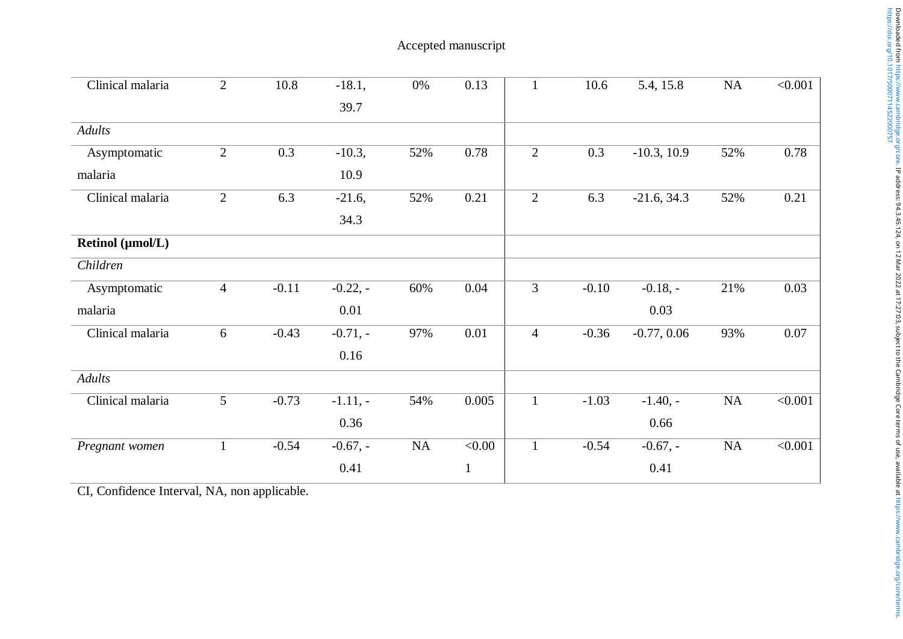| $\overline{2}$ | 10.8    | $-18.1,$   | $0\%$ | 0.13         | $\mathbf{1}$   | 10.6    | 5.4, 15.8     | NA        | < 0.001 |
|----------------|---------|------------|-------|--------------|----------------|---------|---------------|-----------|---------|
|                |         | 39.7       |       |              |                |         |               |           |         |
|                |         |            |       |              |                |         |               |           |         |
| $\mathbf{2}$   | 0.3     | $-10.3,$   | 52%   | 0.78         | $\mathfrak{2}$ | 0.3     | $-10.3, 10.9$ | 52%       | 0.78    |
|                |         | 10.9       |       |              |                |         |               |           |         |
| $\overline{2}$ | 6.3     | $-21.6,$   | 52%   | 0.21         | 2              | 6.3     | $-21.6, 34.3$ | 52%       | 0.21    |
|                |         | 34.3       |       |              |                |         |               |           |         |
|                |         |            |       |              |                |         |               |           |         |
|                |         |            |       |              |                |         |               |           |         |
| $\overline{4}$ | $-0.11$ | $-0.22, -$ | 60%   | 0.04         | 3              | $-0.10$ | $-0.18, -$    | 21%       | 0.03    |
|                |         | 0.01       |       |              |                |         | 0.03          |           |         |
| 6              | $-0.43$ | $-0.71, -$ | 97%   | 0.01         | $\overline{4}$ | $-0.36$ | $-0.77, 0.06$ | 93%       | 0.07    |
|                |         | 0.16       |       |              |                |         |               |           |         |
|                |         |            |       |              |                |         |               |           |         |
| 5              | $-0.73$ | $-1.11, -$ | 54%   | 0.005        | $\mathbf{1}$   | $-1.03$ | $-1.40, -$    | NA        | < 0.001 |
|                |         | 0.36       |       |              |                |         | 0.66          |           |         |
| $\mathbf{1}$   | $-0.54$ | $-0.67, -$ | NA    | < 0.00       | $\mathbf{1}$   | $-0.54$ | $-0.67, -$    | <b>NA</b> | < 0.001 |
|                |         | 0.41       |       | $\mathbf{1}$ |                |         | 0.41          |           |         |
|                |         |            |       |              |                |         |               |           |         |

CI , Confidence Interval , NA , non applicable .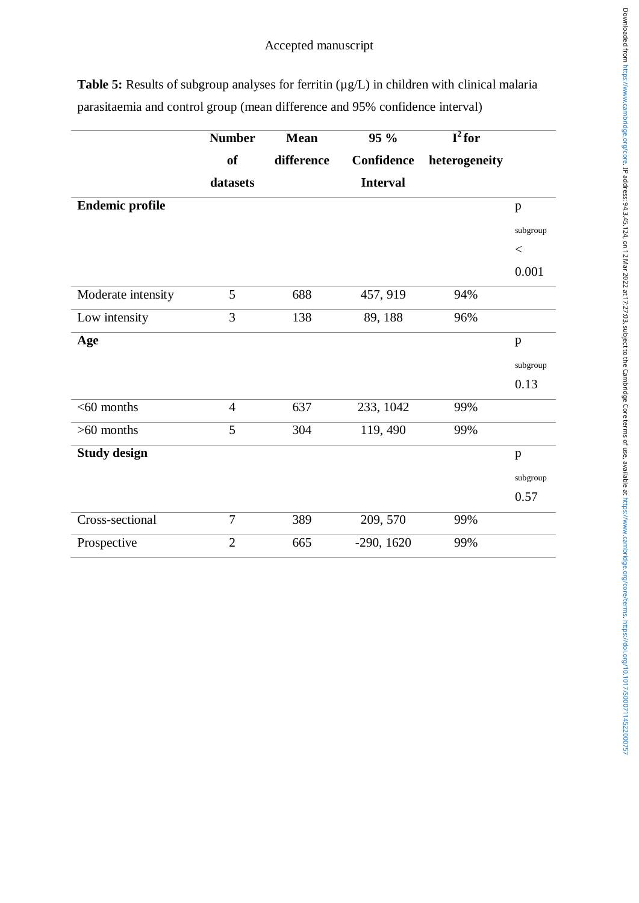**Table 5:** Results of subgroup analyses for ferritin ( $\mu$ g/L) in children with clinical malaria parasitaemia and control group (mean difference and 95% confidence interval)

|                        | <b>Number</b>  | <b>Mean</b> | 95 %            | $\overline{\mathbf{I}^2$ for |              |
|------------------------|----------------|-------------|-----------------|------------------------------|--------------|
|                        | <b>of</b>      | difference  | Confidence      | heterogeneity                |              |
|                        | datasets       |             | <b>Interval</b> |                              |              |
| <b>Endemic profile</b> |                |             |                 |                              | $\, {\bf p}$ |
|                        |                |             |                 |                              | subgroup     |
|                        |                |             |                 |                              | $<\,$        |
|                        |                |             |                 |                              | 0.001        |
| Moderate intensity     | 5              | 688         | 457, 919        | 94%                          |              |
| Low intensity          | 3              | 138         | 89, 188         | 96%                          |              |
| Age                    |                |             |                 |                              | $\mathbf{p}$ |
|                        |                |             |                 |                              | subgroup     |
|                        |                |             |                 |                              | 0.13         |
| $<$ 60 months          | $\overline{4}$ | 637         | 233, 1042       | 99%                          |              |
| $>60$ months           | 5              | 304         | 119, 490        | 99%                          |              |
| <b>Study design</b>    |                |             |                 |                              | $\, {\bf p}$ |
|                        |                |             |                 |                              | subgroup     |
|                        |                |             |                 |                              | 0.57         |
| Cross-sectional        | $\overline{7}$ | 389         | 209, 570        | 99%                          |              |
| Prospective            | $\overline{2}$ | 665         | $-290, 1620$    | 99%                          |              |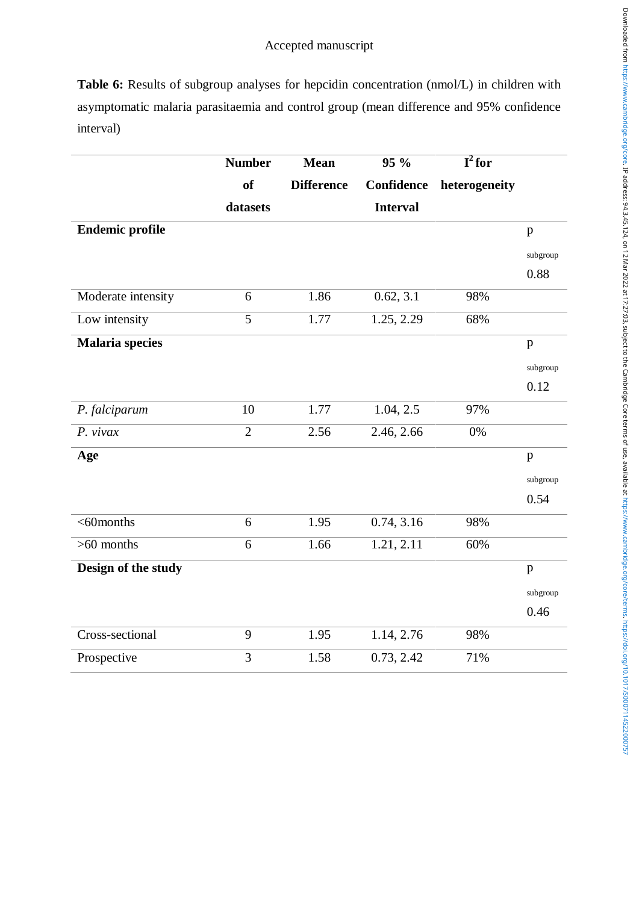Table 6: Results of subgroup analyses for hepcidin concentration (nmol/L) in children with asymptomatic malaria parasitaemia and control group (mean difference and 95% confidence interval)

|                        | <b>Number</b>  | <b>Mean</b>       | 95 %            | $\overline{\mathbf{I}^2$ for |              |
|------------------------|----------------|-------------------|-----------------|------------------------------|--------------|
|                        | <b>of</b>      | <b>Difference</b> | Confidence      | heterogeneity                |              |
|                        | datasets       |                   | <b>Interval</b> |                              |              |
| <b>Endemic profile</b> |                |                   |                 |                              | p            |
|                        |                |                   |                 |                              | subgroup     |
|                        |                |                   |                 |                              | 0.88         |
| Moderate intensity     | 6              | 1.86              | 0.62, 3.1       | 98%                          |              |
| Low intensity          | $\overline{5}$ | 1.77              | 1.25, 2.29      | 68%                          |              |
| <b>Malaria species</b> |                |                   |                 |                              | p            |
|                        |                |                   |                 |                              | subgroup     |
|                        |                |                   |                 |                              | 0.12         |
| P. falciparum          | 10             | 1.77              | 1.04, 2.5       | 97%                          |              |
| $P.$ vivax             | $\overline{2}$ | 2.56              | 2.46, 2.66      | 0%                           |              |
| Age                    |                |                   |                 |                              | $\, {\bf p}$ |
|                        |                |                   |                 |                              | subgroup     |
|                        |                |                   |                 |                              | 0.54         |
| $<$ 60months           | 6              | 1.95              | 0.74, 3.16      | 98%                          |              |
| $>60$ months           | 6              | 1.66              | 1.21, 2.11      | 60%                          |              |
| Design of the study    |                |                   |                 |                              | p            |
|                        |                |                   |                 |                              | subgroup     |
|                        |                |                   |                 |                              | 0.46         |
| Cross-sectional        | 9              | 1.95              | 1.14, 2.76      | 98%                          |              |
| Prospective            | 3              | 1.58              | 0.73, 2.42      | 71%                          |              |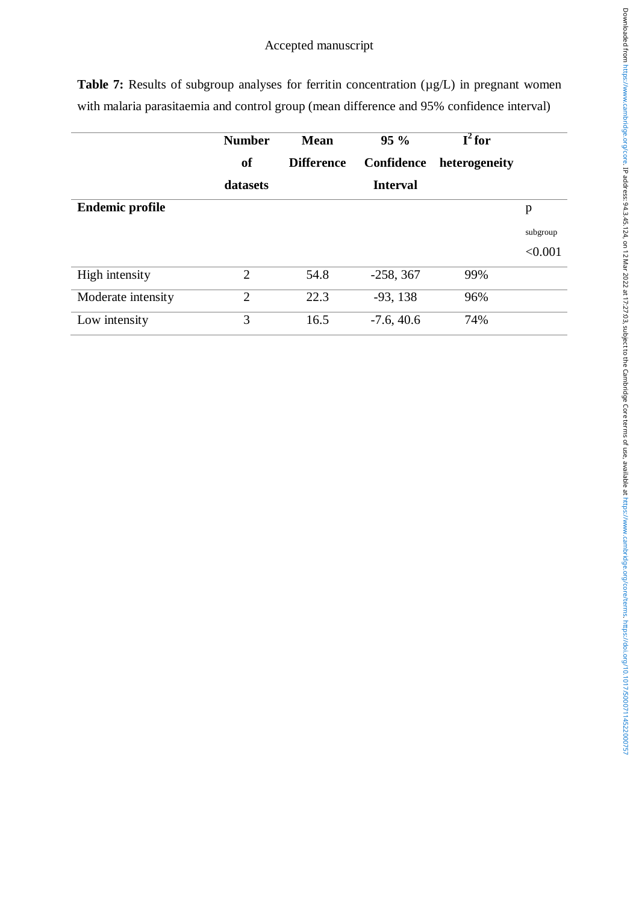|                        | <b>Number</b><br><sub>of</sub> | <b>Mean</b><br><b>Difference</b> | $95\%$<br>Confidence | $I^2$ for<br>heterogeneity |          |
|------------------------|--------------------------------|----------------------------------|----------------------|----------------------------|----------|
|                        | datasets                       |                                  | <b>Interval</b>      |                            |          |
| <b>Endemic profile</b> |                                |                                  |                      |                            | p        |
|                        |                                |                                  |                      |                            | subgroup |
|                        |                                |                                  |                      |                            | < 0.001  |
| High intensity         | $\overline{2}$                 | 54.8                             | $-258, 367$          | 99%                        |          |
| Moderate intensity     | $\overline{2}$                 | 22.3                             | $-93, 138$           | 96%                        |          |
| Low intensity          | 3                              | 16.5                             | $-7.6, 40.6$         | 74%                        |          |

**Table 7:** Results of subgroup analyses for ferritin concentration ( $\mu$ g/L) in pregnant women with malaria parasitaemia and control group (mean difference and 95% confidence interval)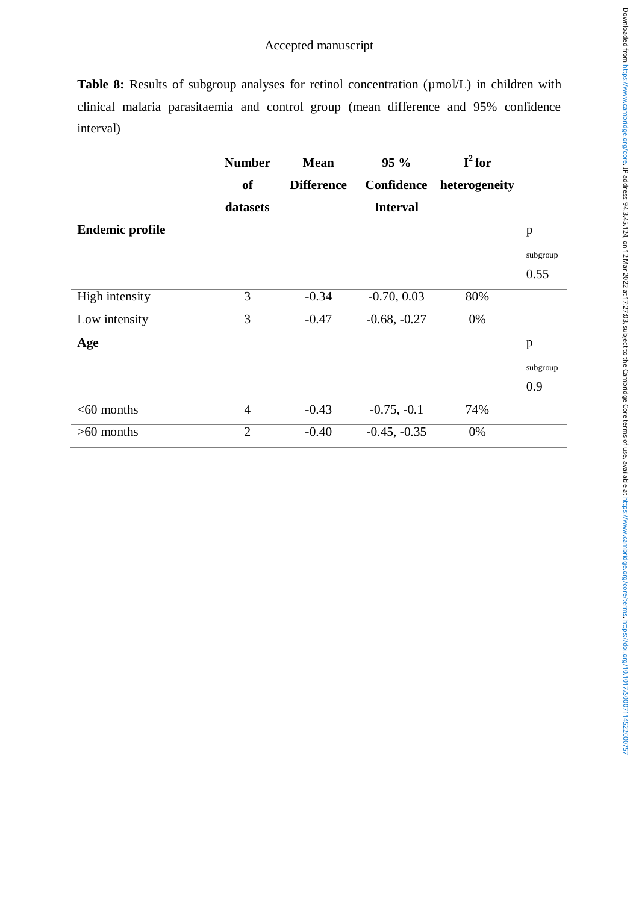**Table 8:** Results of subgroup analyses for retinol concentration ( $\mu$ mol/L) in children with clinical malaria parasitaemia and control group (mean difference and 95% confidence interval)

|                        | <b>Number</b>  | <b>Mean</b>       | 95%             | $\overline{\mathbf{I}^2$ for |          |
|------------------------|----------------|-------------------|-----------------|------------------------------|----------|
|                        | <b>of</b>      | <b>Difference</b> | Confidence      | heterogeneity                |          |
|                        | datasets       |                   | <b>Interval</b> |                              |          |
| <b>Endemic profile</b> |                |                   |                 |                              | p        |
|                        |                |                   |                 |                              | subgroup |
|                        |                |                   |                 |                              | 0.55     |
| High intensity         | 3              | $-0.34$           | $-0.70, 0.03$   | 80%                          |          |
| Low intensity          | 3              | $-0.47$           | $-0.68, -0.27$  | 0%                           |          |
| Age                    |                |                   |                 |                              | p        |
|                        |                |                   |                 |                              | subgroup |
|                        |                |                   |                 |                              | 0.9      |
| $<$ 60 months          | $\overline{4}$ | $-0.43$           | $-0.75, -0.1$   | 74%                          |          |
| $>60$ months           | $\overline{2}$ | $-0.40$           | $-0.45, -0.35$  | 0%                           |          |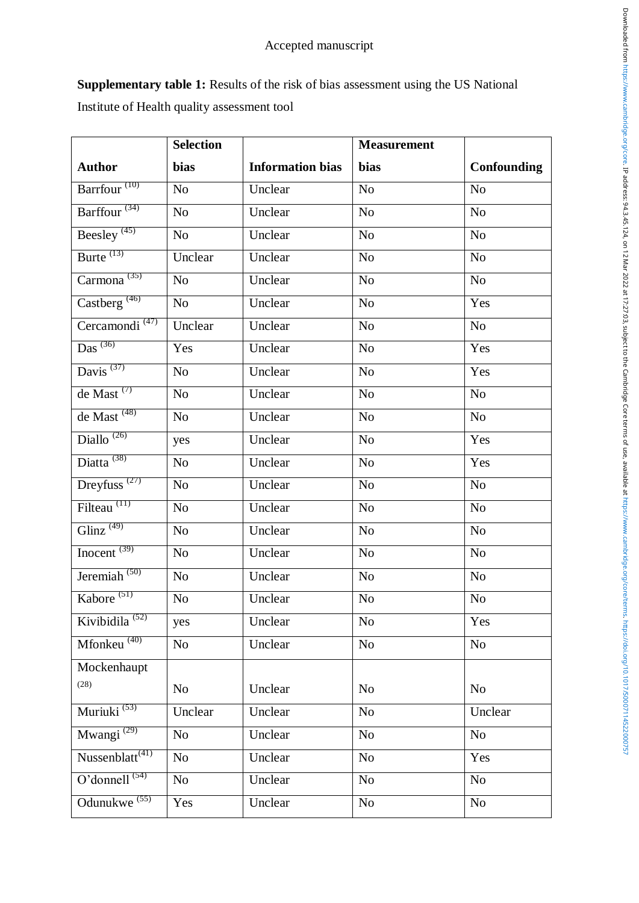**Supplementary table 1:** Results of the risk of bias assessment using the US National Institute of Health quality assessment tool

|                                         | <b>Selection</b> |                         | <b>Measurement</b> |                |
|-----------------------------------------|------------------|-------------------------|--------------------|----------------|
| <b>Author</b>                           | <b>bias</b>      | <b>Information bias</b> | bias               | Confounding    |
| Barrfour <sup>(10)</sup>                | No               | Unclear                 | N <sub>0</sub>     | N <sub>0</sub> |
| Barffour <sup>(34)</sup>                | No               | Unclear                 | N <sub>o</sub>     | N <sub>o</sub> |
| Beesley <sup>(45)</sup>                 | No               | Unclear                 | No                 | N <sub>o</sub> |
| Burte $^{(13)}$                         | Unclear          | Unclear                 | No                 | N <sub>o</sub> |
| Carmona <sup><math>(35)</math></sup>    | No               | Unclear                 | N <sub>0</sub>     | N <sub>o</sub> |
| Castberg <sup>(46)</sup>                | N <sub>0</sub>   | Unclear                 | N <sub>o</sub>     | Yes            |
| Cercamondi <sup><math>(47)</math></sup> | Unclear          | Unclear                 | No                 | No             |
| Das $(36)$                              | Yes              | Unclear                 | No                 | Yes            |
| Davis $^{(37)}$                         | N <sub>0</sub>   | Unclear                 | N <sub>o</sub>     | Yes            |
| de Mast $(7)$                           | No               | Unclear                 | N <sub>0</sub>     | No             |
| de Mast <sup>(48)</sup>                 | No               | Unclear                 | N <sub>o</sub>     | No             |
| Diallo $^{(26)}$                        | yes              | Unclear                 | No                 | Yes            |
| Diatta <sup>(38)</sup>                  | N <sub>o</sub>   | Unclear                 | N <sub>o</sub>     | Yes            |
| Dreyfuss <sup><math>(27)</math></sup>   | N <sub>0</sub>   | Unclear                 | No                 | N <sub>o</sub> |
| Filteau <sup>(11)</sup>                 | No               | Unclear                 | N <sub>0</sub>     | N <sub>o</sub> |
| Glinz <sup><math>(49)</math></sup>      | No               | Unclear                 | No                 | No             |
| Inocent $^{(39)}$                       | N <sub>o</sub>   | Unclear                 | N <sub>o</sub>     | N <sub>o</sub> |
| Jeremiah $(50)$                         | No               | Unclear                 | N <sub>o</sub>     | N <sub>o</sub> |
| Kabore <sup>(51)</sup>                  | N <sub>0</sub>   | Unclear                 | N <sub>o</sub>     | No             |
| Kivibidila <sup>(52)</sup>              | yes              | Unclear                 | No                 | Yes            |
| Mfonkeu <sup>(40)</sup>                 | No               | Unclear                 | N <sub>o</sub>     | N <sub>0</sub> |
| Mockenhaupt                             |                  |                         |                    |                |
| (28)                                    | No               | Unclear                 | No                 | N <sub>0</sub> |
| Muriuki <sup>(53)</sup>                 | Unclear          | Unclear                 | N <sub>0</sub>     | Unclear        |
| Mwangi <sup>(29)</sup>                  | No               | Unclear                 | N <sub>o</sub>     | N <sub>0</sub> |
| $N$ ussenblatt <sup>(41)</sup>          | No               | Unclear                 | N <sub>0</sub>     | Yes            |
| O'donnell $(54)$                        | No               | Unclear                 | N <sub>0</sub>     | No             |
| Odunukwe <sup>(55)</sup>                | Yes              | Unclear                 | No                 | No             |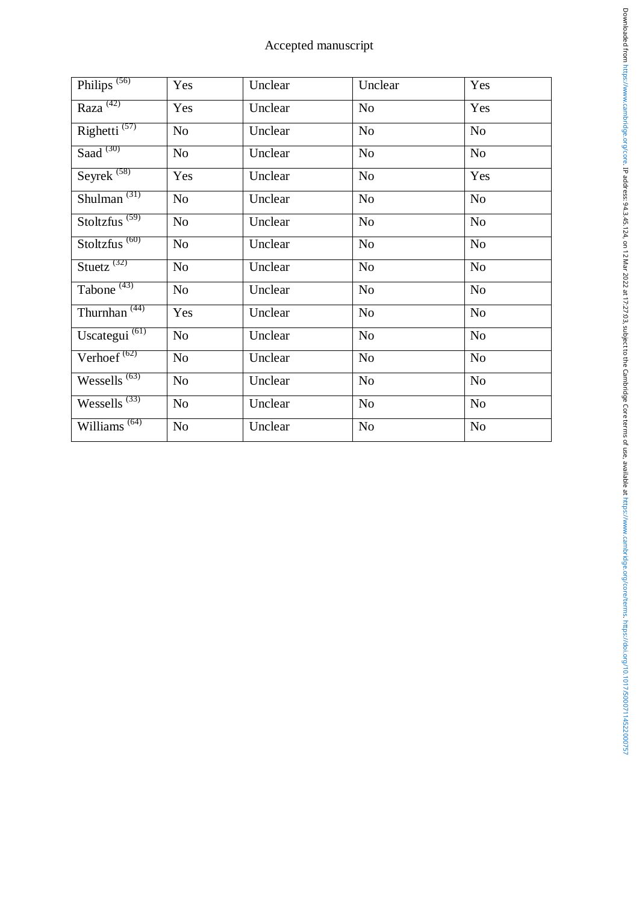| Philips <sup>(56)</sup>                | Yes            | Unclear | Unclear        | Yes            |
|----------------------------------------|----------------|---------|----------------|----------------|
| Raza <sup>(42)</sup>                   | Yes            | Unclear | N <sub>o</sub> | Yes            |
| Righetti $(57)$                        | No             | Unclear | N <sub>o</sub> | N <sub>o</sub> |
| Saad $(30)$                            | No             | Unclear | No             | N <sub>o</sub> |
| Seyrek <sup>(58)</sup>                 | Yes            | Unclear | N <sub>0</sub> | Yes            |
| Shulman $^{(31)}$                      | No             | Unclear | N <sub>0</sub> | N <sub>o</sub> |
| Stoltzfus <sup><math>(59)</math></sup> | No             | Unclear | N <sub>o</sub> | N <sub>o</sub> |
| Stoltzfus <sup>(60)</sup>              | No             | Unclear | N <sub>o</sub> | N <sub>o</sub> |
| Stuetz $(32)$                          | N <sub>o</sub> | Unclear | N <sub>o</sub> | N <sub>o</sub> |
| Tabone $(43)$                          | No             | Unclear | No             | N <sub>o</sub> |
| Thurnhan <sup>(44)</sup>               | Yes            | Unclear | N <sub>o</sub> | N <sub>o</sub> |
| Uscategui <sup>(61)</sup>              | No             | Unclear | N <sub>o</sub> | No             |
| Verhoef <sup><math>(62)</math></sup>   | No             | Unclear | No             | N <sub>o</sub> |
| Wessells $^{(63)}$                     | No             | Unclear | N <sub>o</sub> | N <sub>o</sub> |
| $Wessells$ <sup>(33)</sup>             | No             | Unclear | N <sub>0</sub> | N <sub>o</sub> |
| Williams <sup><math>(64)</math></sup>  | No             | Unclear | N <sub>o</sub> | N <sub>o</sub> |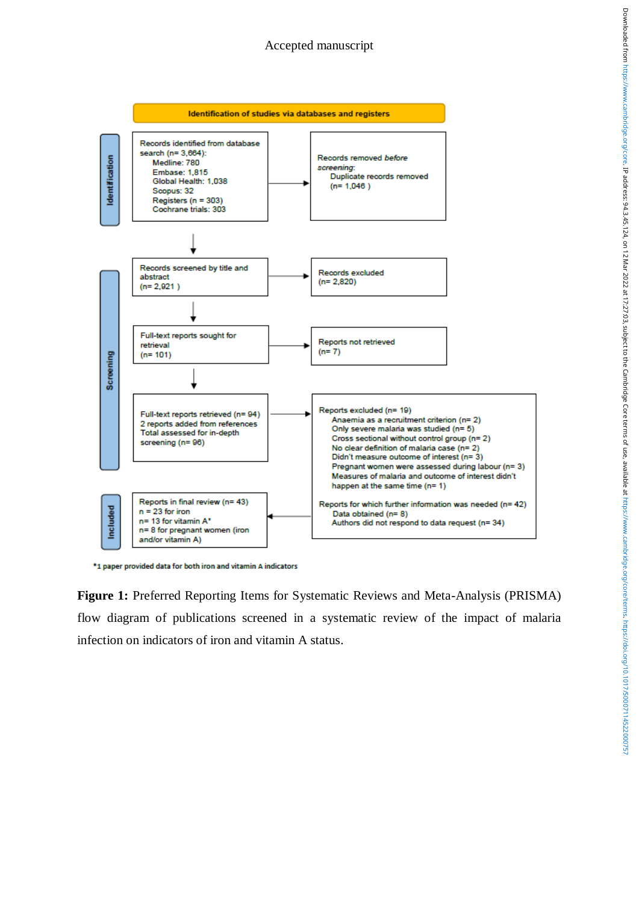

\*1 paper provided data for both iron and vitamin A indicators

**Figure 1:** Preferred Reporting Items for Systematic Reviews and Meta-Analysis (PRISMA) flow diagram of publications screened in a systematic review of the impact of malaria infection on indicators of iron and vitamin A status.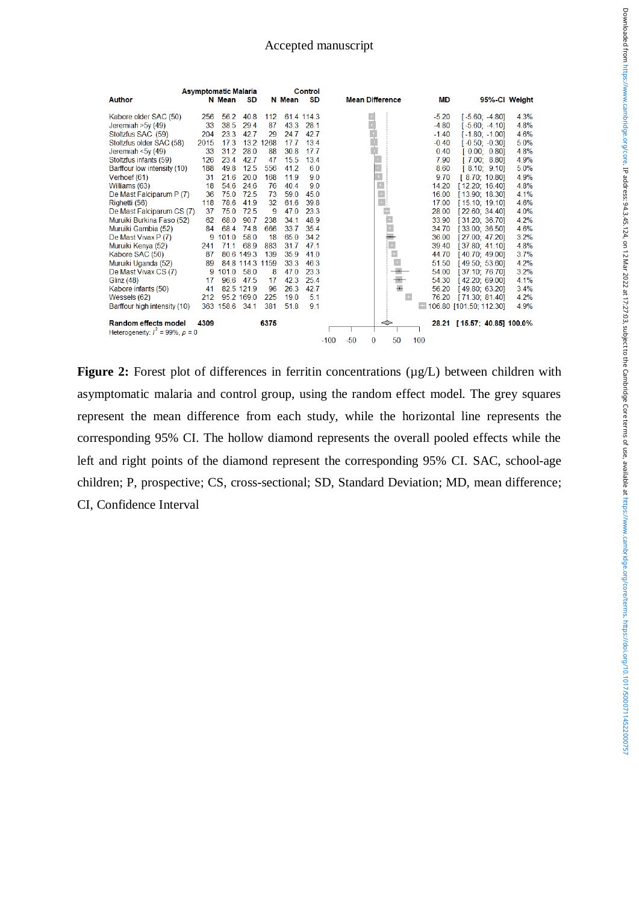| <b>Asymptomatic Malaria</b>           |      |           |                 |      |        | Control    |        |       |                         |           |                             |               |
|---------------------------------------|------|-----------|-----------------|------|--------|------------|--------|-------|-------------------------|-----------|-----------------------------|---------------|
| <b>Author</b>                         |      | N Mean    | SD              |      | N Mean | <b>SD</b>  |        |       | <b>Mean Difference</b>  | <b>MD</b> |                             | 95%-Cl Weight |
| Kabore older SAC (50)                 | 256  | 56.2      | 40.8            | 112  |        | 61.4 114.3 |        |       |                         | $-5.20$   | $[-5.60; -4.80]$            | 4.3%          |
| Jeremiah $>5y(49)$                    | 33   | 38.5      | 29.4            | 87   | 43.3   | 28.1       |        |       |                         | $-4.80$   | $[-5.60; -4.10]$            | 4.8%          |
| Stoltzfus SAC (59)                    | 204  | 23.3      | 42.7            | 29   | 24.7   | 42.7       |        |       |                         | $-1.40$   | $[-1.80; -1.00]$            | 4.6%          |
| Stoltzfus older SAC (58)              | 2015 | 17.3      | 13.2            | 1268 | 17.7   | 13.4       |        |       |                         | $-0.40$   | $[-0.50; -0.30]$            | 5.0%          |
| Jeremiah < $5v(49)$                   | 33   | 31.2      | 28.0            | 88   | 30.8   | 17.7       |        |       |                         | 0.40      | [0.00; 0.80]                | 4.8%          |
| Stoltzfus infants (59)                | 126  | 23.4      | 42.7            | 47   | 15.5   | 13.4       |        |       |                         | 7.90      | [7.00; 8.80]                | 4.9%          |
| Barffour low intensity (10)           | 188  | 49.8      | 12.5            | 556  | 41.2   | 6.0        |        |       |                         | 8.60      | [8.10; 9.10]                | 5.0%          |
| Verhoef (61)                          | 31   | 21.6      | 20.0            | 168  | 11.9   | 9.0        |        |       |                         | 9.70      | [8.70; 10.80]               | 4.9%          |
| Williams (63)                         | 18   | 54.6      | 24.6            | 76   | 40.4   | 9.0        |        |       |                         | 14.20     | [12.20; 16.40]              | 4.8%          |
| De Mast Falciparum P (7)              | 36   | 75.0      | 72.5            | 73   | 59.0   | 45.0       |        |       | $\pm$                   | 16.00     | [13.90; 18.30]              | 4.1%          |
| Righetti (56)                         | 118  | 78.6      | 41.9            | 32   | 61.6   | 39.8       |        |       |                         | 17.00     | [15.10; 19.10]              | 4.6%          |
| De Mast Falciparum CS (7)             | 37   | 75.0      | 72.5            | 9    | 47.0   | 23.3       |        |       | Ļ                       | 28.00     | [22.60; 34.40]              | 4.0%          |
| Muruiki Burkina Faso (52)             | 62   | 68.0      | 90.7            | 238  | 34.1   | 48.9       |        |       |                         | 33.90     | [31.20; 36.70]              | 4.2%          |
| Muruiki Gambia (52)                   | 84   | 68.4      | 74.8            | 666  | 33.7   | 35.4       |        |       |                         | 34.70     | [33.00; 36.50]              | 4.6%          |
| De Mast Vivax P (7)                   | 9    | 101.0     | 58.0            | 18   | 65.0   | 34.2       |        |       | h                       | 36.00     | [27.00; 47.20]              | 3.2%          |
| Muruiki Kenya (52)                    | 241  | 71.1      | 68.9            | 883  | 31.7   | 47.1       |        |       |                         | 39.40     | [37.80; 41.10]              | 4.8%          |
| Kabore SAC (50)                       | 87   |           | 80.6 149.3      | 139  | 35.9   | 41.0       |        |       |                         | 44.70     | [40.70; 49.00]              | 3.7%          |
| Muruiki Uganda (52)                   | 89   |           | 84 8 114 3 1159 |      | 33.3   | 463        |        |       | $\pm$                   | 51.50     | [49.50; 53.60]              | 4.2%          |
| De Mast Vivax CS (7)                  | 9    | 101.0     | 58.0            | 8    | 47.0   | 23.3       |        |       |                         | 54.00     | [37.10; 76.70]              | 3.2%          |
| Glinz (48)                            | 17   | 96.6      | 47.5            | 17   | 42.3   | 25.4       |        |       | $\mathbf{r}_\mathrm{c}$ | 54.30     | [42.20; 69.00]              | 4.1%          |
| Kabore infants (50)                   | 41   |           | 82.5 121.9      | 96   | 26.3   | 42.7       |        |       | $\overline{+}$          | 56.20     | [49.80: 63.20]              | 3.4%          |
| Wessels (62)                          | 212  |           | 95.2 169.0      | 225  | 19.0   | 5.1        |        |       | $\rightarrow$           |           | 76.20 [71.30; 81.40]        | 4.2%          |
| Barffour high intensity (10)          |      | 363 158.6 | 34.1            | 381  | 51.8   | 9.1        |        |       |                         |           | 106.80 [101.50; 112.30]     | 4.9%          |
| <b>Random effects model</b>           | 4309 |           |                 | 6375 |        |            |        |       |                         |           | 28.21 [15.57; 40.85] 100.0% |               |
| Heterogeneity: $I^2 = 99\%$ , $p = 0$ |      |           |                 |      |        |            |        |       |                         |           |                             |               |
|                                       |      |           |                 |      |        |            | $-100$ | $-50$ | 50<br>0                 | 100       |                             |               |

**Figure 2:** Forest plot of differences in ferritin concentrations ( $\mu$ g/L) between children with asymptomatic malaria and control group, using the random effect model. The grey squares represent the mean difference from each study, while the horizontal line represents the corresponding 95% CI. The hollow diamond represents the overall pooled effects while the left and right points of the diamond represent the corresponding 95% CI. SAC, school-age children; P, prospective; CS, cross-sectional; SD, Standard Deviation; MD, mean difference; CI, Confidence Interval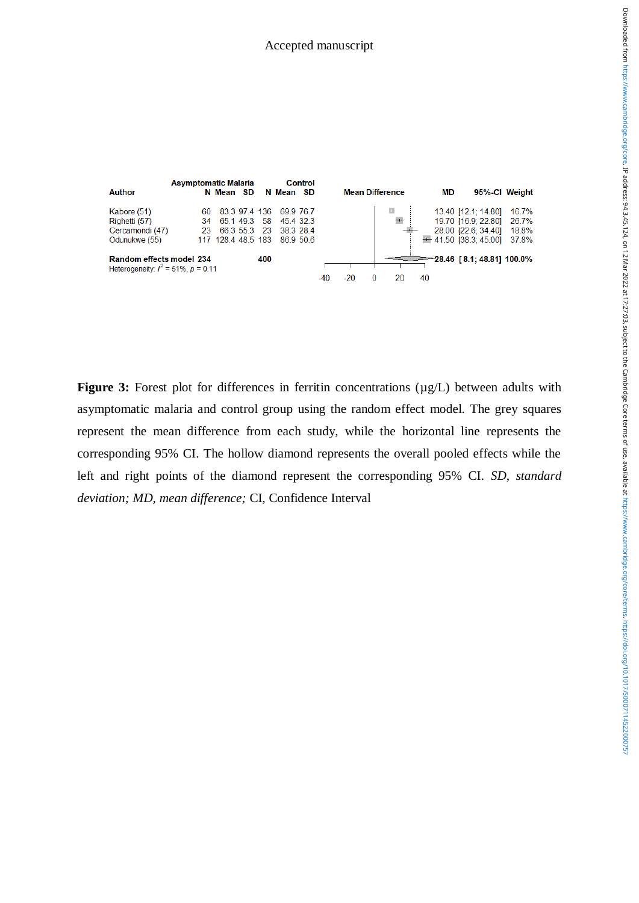

**Figure 3:** Forest plot for differences in ferritin concentrations ( $\mu$ g/L) between adults with asymptomatic malaria and control group using the random effect model. The grey squares represent the mean difference from each study, while the horizontal line represents the corresponding 95% CI. The hollow diamond represents the overall pooled effects while the left and right points of the diamond represent the corresponding 95% CI. *SD, standard deviation; MD, mean difference;* CI, Confidence Interval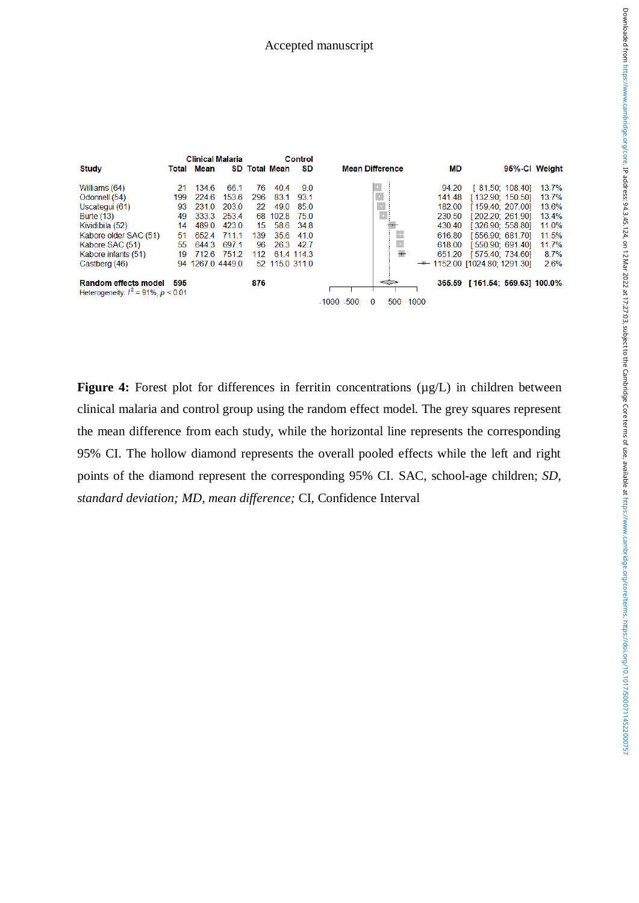|                                          |       | <b>Clinical Malaria</b> |       |     |                   | Control   |               |                        |      |        |                                |                  |       |
|------------------------------------------|-------|-------------------------|-------|-----|-------------------|-----------|---------------|------------------------|------|--------|--------------------------------|------------------|-------|
| <b>Study</b>                             | Total | Mean                    | SD.   |     | <b>Total Mean</b> | SD        |               | <b>Mean Difference</b> |      | MD     |                                | 95%-CI Weight    |       |
| Williams (64)                            | 21    | 1346                    | 661   | 76  | 404               | 9.0       |               |                        |      | 94.20  |                                | [81.50; 108.40]  | 13.7% |
| Odonnell (54)                            | 199   | 2246                    | 153.6 | 296 | 831               | 93.1      |               |                        |      | 141.48 |                                | [132.90: 150.50] | 13.7% |
| Uscategui (61)                           | 93    | 231.0                   | 203.0 | 22  | 49.0              | 85.0      |               |                        |      | 182.00 |                                | [159.40; 207.00] | 13.6% |
| <b>Burte (13)</b>                        | 49    | 333.3                   | 253.4 | 68  | 102.8             | 75.0      |               |                        |      | 230.50 |                                | [202.20: 261.90] | 13.4% |
| Kividibila (52)                          | 14    | 489.0                   | 423.0 | 15  | 58.6              | 34.8      |               |                        |      | 430.40 |                                | [326.90: 558.80] | 11.0% |
| Kabore older SAC (51)                    | 51    | 6524                    | 7111  | 139 | 356               | 410       |               |                        |      | 616.80 |                                | [556.90: 681.70] | 11.5% |
| Kabore SAC (51)                          | 55    | 644.3                   | 697.1 | 96  | 26.3              | 42.7      |               | $\pm$                  |      | 618.00 |                                | [550.90: 691.40] | 11.7% |
| Kabore infants (51)                      | 19    | 712.6                   | 751.2 | 112 |                   | 614 114 3 |               | $+$                    |      | 651.20 |                                | [575.40; 734.60] | 8.7%  |
| Castberg (46)                            |       | 94 1267.0 4449.0        |       |     | 52 115.0 311.0    |           |               |                        |      |        | $-$ 1152.00 [1024.80; 1291.30] |                  | 2.6%  |
| <b>Random effects model</b>              | 595   |                         |       | 876 |                   |           |               |                        |      |        | 365.59 [161.54: 569.63] 100.0% |                  |       |
| Heterogeneity: $I^2 = 91\%$ , $p < 0.01$ |       |                         |       |     |                   |           |               |                        |      |        |                                |                  |       |
|                                          |       |                         |       |     |                   |           | $-1000 - 500$ | 500<br>o               | 1000 |        |                                |                  |       |

**Figure 4:** Forest plot for differences in ferritin concentrations ( $\mu$ g/L) in children between clinical malaria and control group using the random effect model. The grey squares represent the mean difference from each study, while the horizontal line represents the corresponding 95% CI. The hollow diamond represents the overall pooled effects while the left and right points of the diamond represent the corresponding 95% CI. SAC, school-age children; *SD, standard deviation; MD, mean difference;* CI, Confidence Interval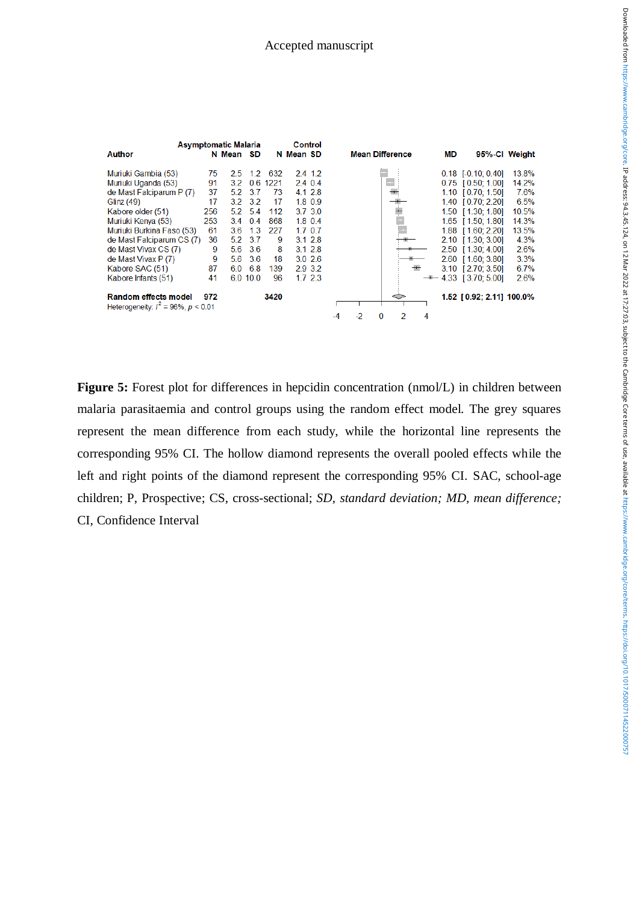

**Figure 5:** Forest plot for differences in hepcidin concentration (nmol/L) in children between malaria parasitaemia and control groups using the random effect model. The grey squares represent the mean difference from each study, while the horizontal line represents the corresponding 95% CI. The hollow diamond represents the overall pooled effects while the left and right points of the diamond represent the corresponding 95% CI. SAC, school-age children; P, Prospective; CS, cross-sectional; *SD, standard deviation; MD, mean difference;* CI, Confidence Interval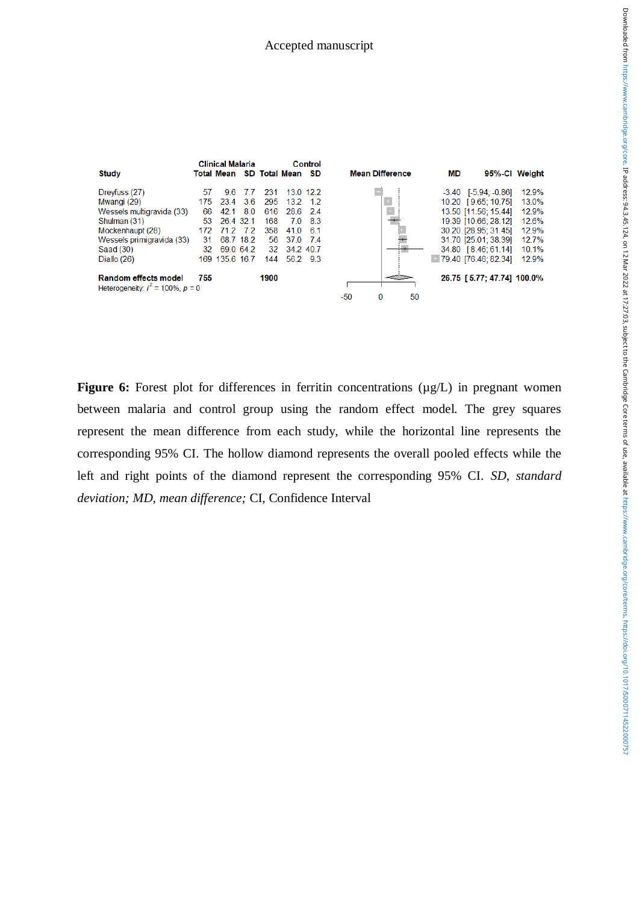

**Figure 6:** Forest plot for differences in ferritin concentrations ( $\mu$ g/L) in pregnant women between malaria and control group using the random effect model. The grey squares represent the mean difference from each study, while the horizontal line represents the corresponding 95% CI. The hollow diamond represents the overall pooled effects while the left and right points of the diamond represent the corresponding 95% CI. *SD, standard deviation; MD, mean difference;* CI, Confidence Interval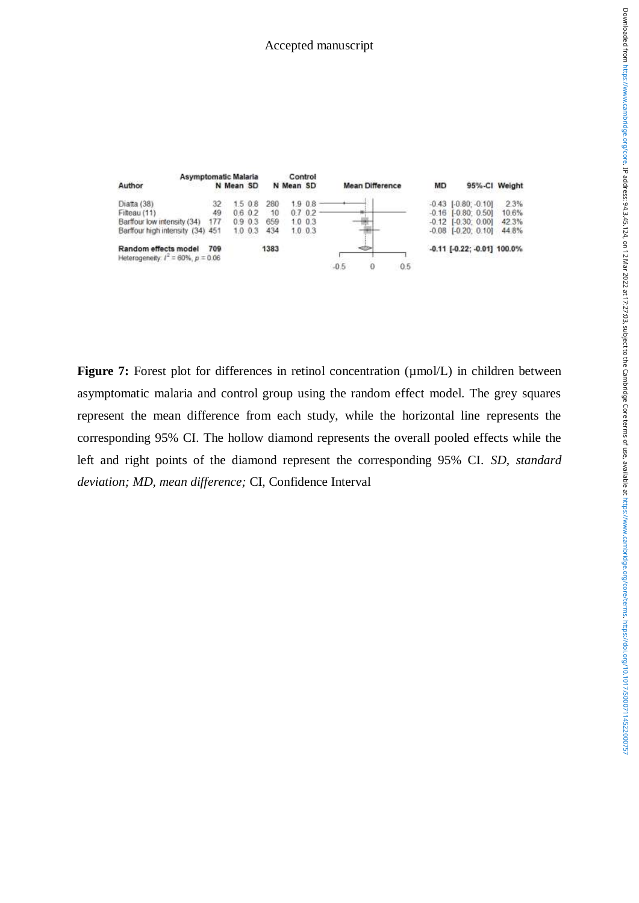

**Figure 7:** Forest plot for differences in retinol concentration ( $\mu$ mol/L) in children between asymptomatic malaria and control group using the random effect model. The grey squares represent the mean difference from each study, while the horizontal line represents the corresponding 95% CI. The hollow diamond represents the overall pooled effects while the left and right points of the diamond represent the corresponding 95% CI. *SD, standard deviation; MD, mean difference;* CI, Confidence Interval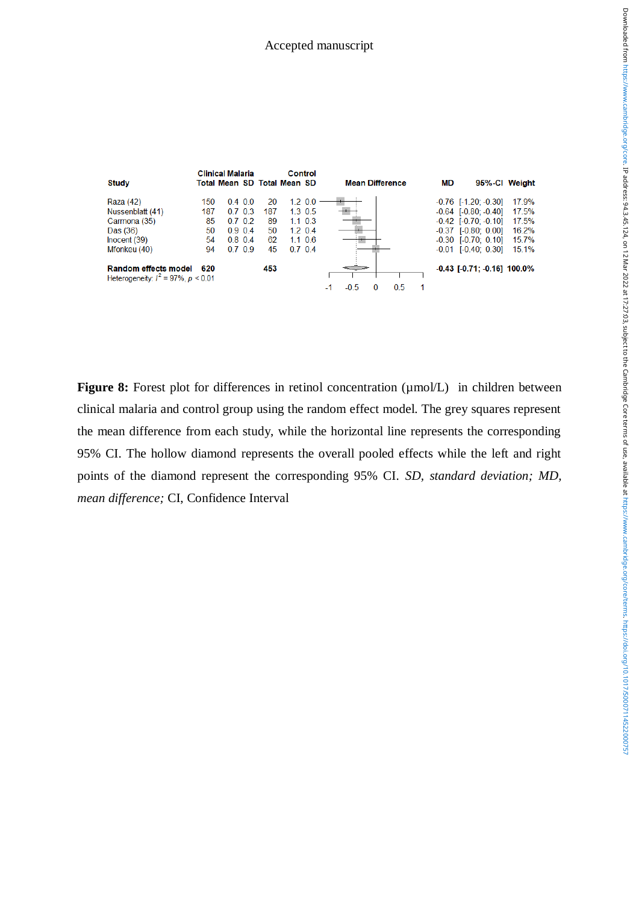

**Figure 8:** Forest plot for differences in retinol concentration ( $\mu$ mol/L) in children between clinical malaria and control group using the random effect model. The grey squares represent the mean difference from each study, while the horizontal line represents the corresponding 95% CI. The hollow diamond represents the overall pooled effects while the left and right points of the diamond represent the corresponding 95% CI. *SD, standard deviation; MD, mean difference;* CI, Confidence Interval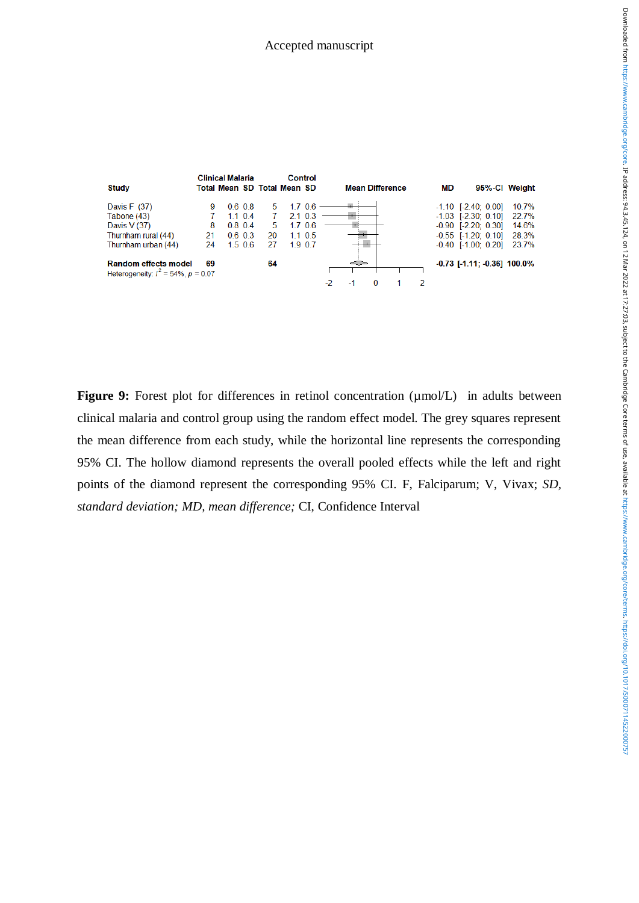

**Figure 9:** Forest plot for differences in retinol concentration ( $\mu$ mol/L) in adults between clinical malaria and control group using the random effect model. The grey squares represent the mean difference from each study, while the horizontal line represents the corresponding 95% CI. The hollow diamond represents the overall pooled effects while the left and right points of the diamond represent the corresponding 95% CI. F, Falciparum; V, Vivax; *SD, standard deviation; MD, mean difference;* CI, Confidence Interval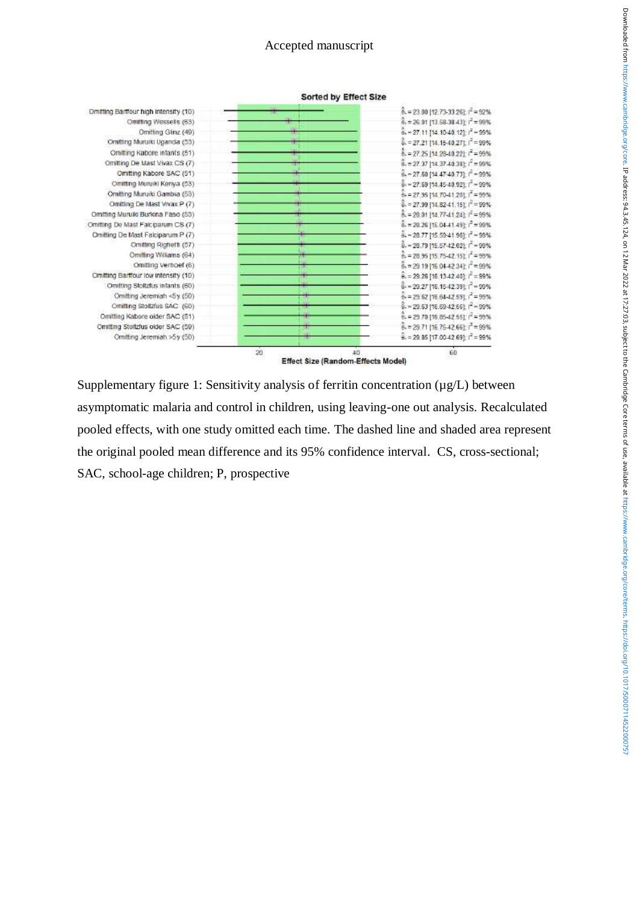

Supplementary figure 1: Sensitivity analysis of ferritin concentration ( $\mu$ g/L) between asymptomatic malaria and control in children, using leaving-one out analysis. Recalculated pooled effects, with one study omitted each time. The dashed line and shaded area represent the original pooled mean difference and its 95% confidence interval. CS, cross-sectional; SAC, school-age children; P, prospective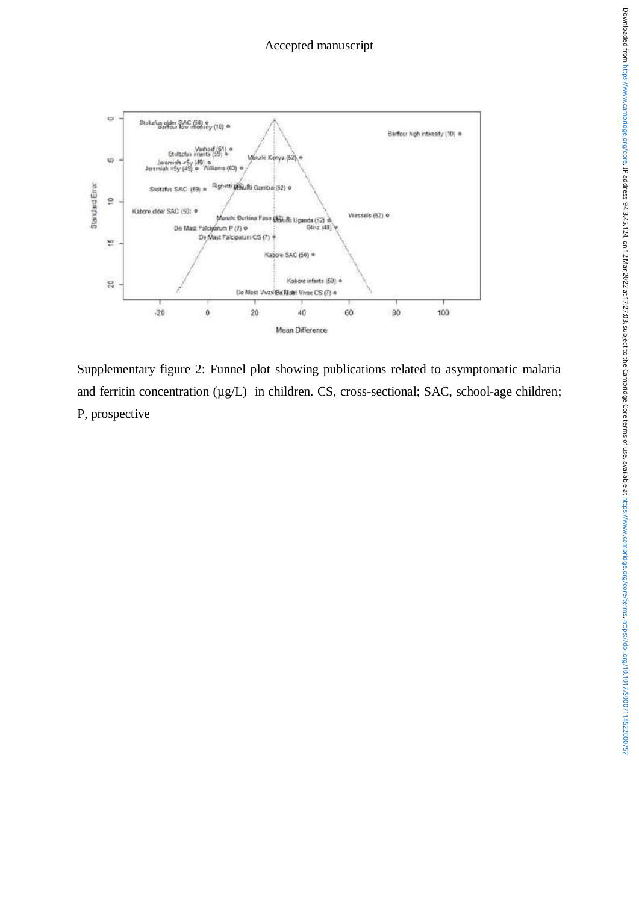

Supplementary figure 2: Funnel plot showing publications related to asymptomatic malaria and ferritin concentration (µg/L) in children. CS, cross-sectional; SAC, school-age children; P, prospective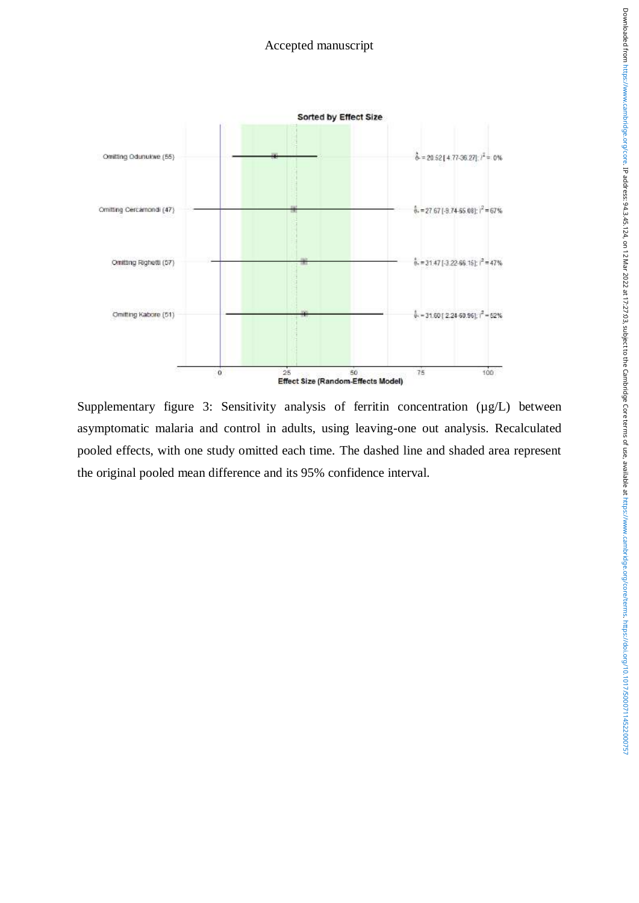

Supplementary figure 3: Sensitivity analysis of ferritin concentration ( $\mu$ g/L) between asymptomatic malaria and control in adults, using leaving-one out analysis. Recalculated pooled effects, with one study omitted each time. The dashed line and shaded area represent the original pooled mean difference and its 95% confidence interval.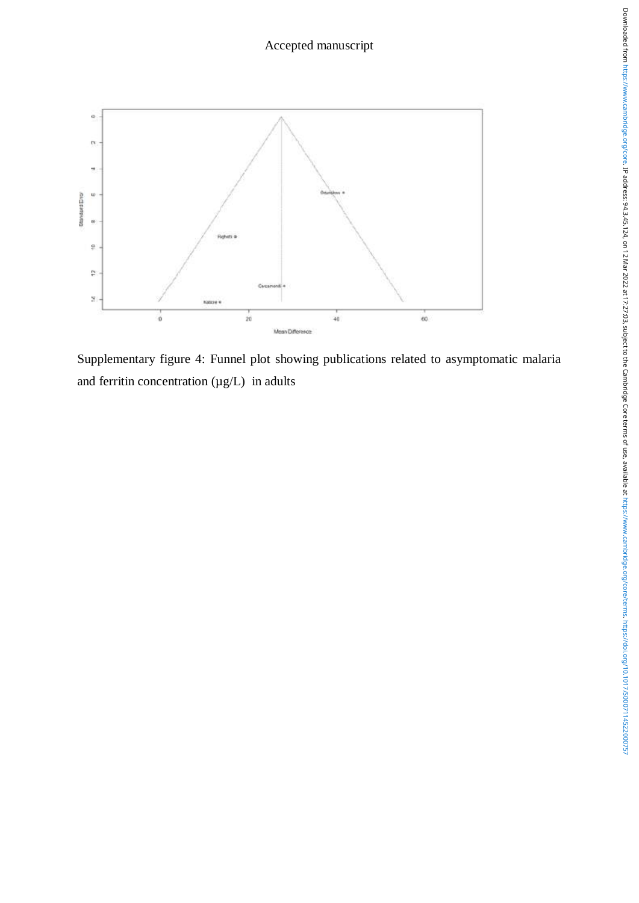

Supplementary figure 4: Funnel plot showing publications related to asymptomatic malaria and ferritin concentration  $(\mu g/L)$  in adults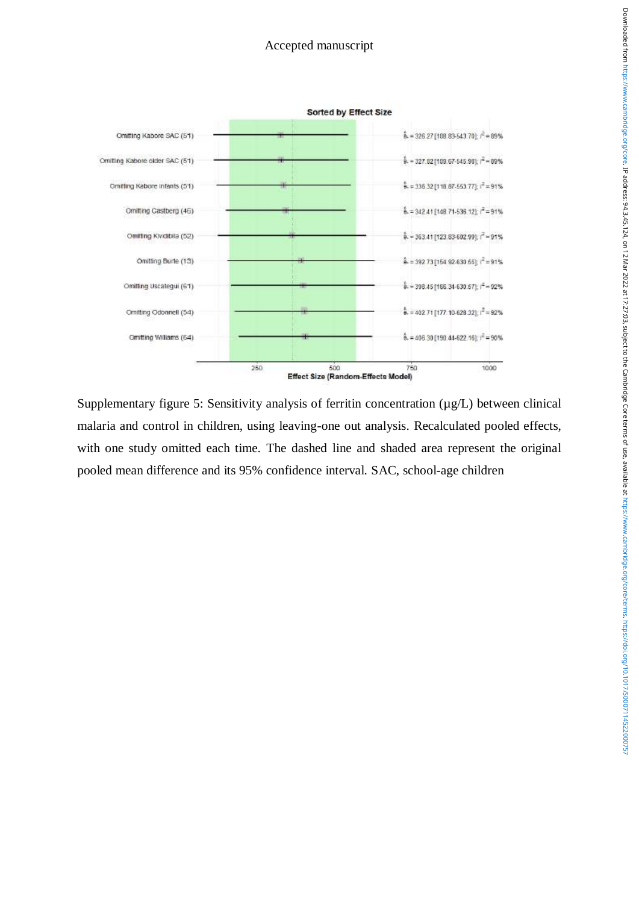

Supplementary figure 5: Sensitivity analysis of ferritin concentration ( $\mu$ g/L) between clinical malaria and control in children, using leaving-one out analysis. Recalculated pooled effects, with one study omitted each time. The dashed line and shaded area represent the original pooled mean difference and its 95% confidence interval. SAC, school-age children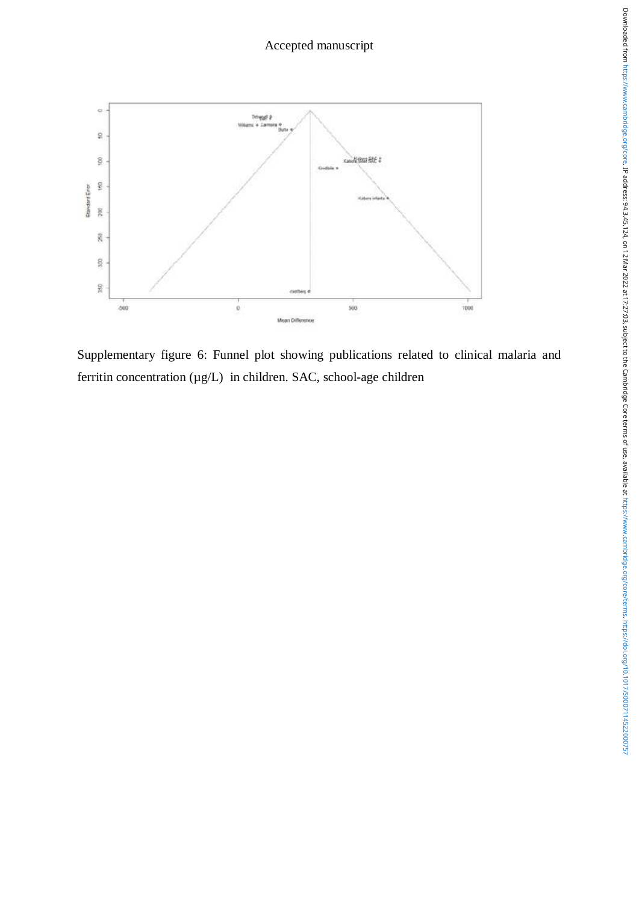

Supplementary figure 6: Funnel plot showing publications related to clinical malaria and ferritin concentration  $(\mu g/L)$  in children. SAC, school-age children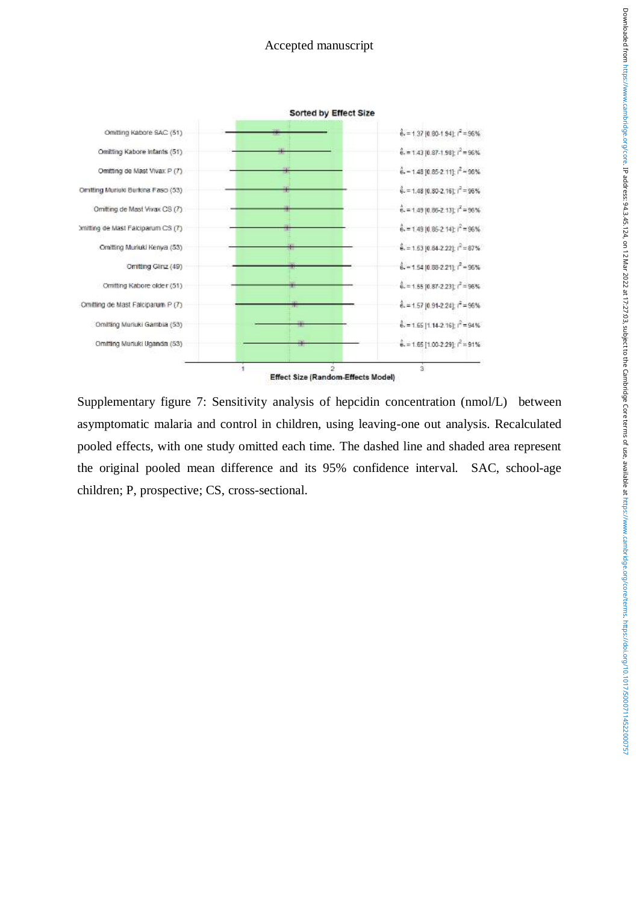

Supplementary figure 7: Sensitivity analysis of hepcidin concentration (nmol/L) between asymptomatic malaria and control in children, using leaving-one out analysis. Recalculated pooled effects, with one study omitted each time. The dashed line and shaded area represent the original pooled mean difference and its 95% confidence interval. SAC, school-age children; P, prospective; CS, cross-sectional.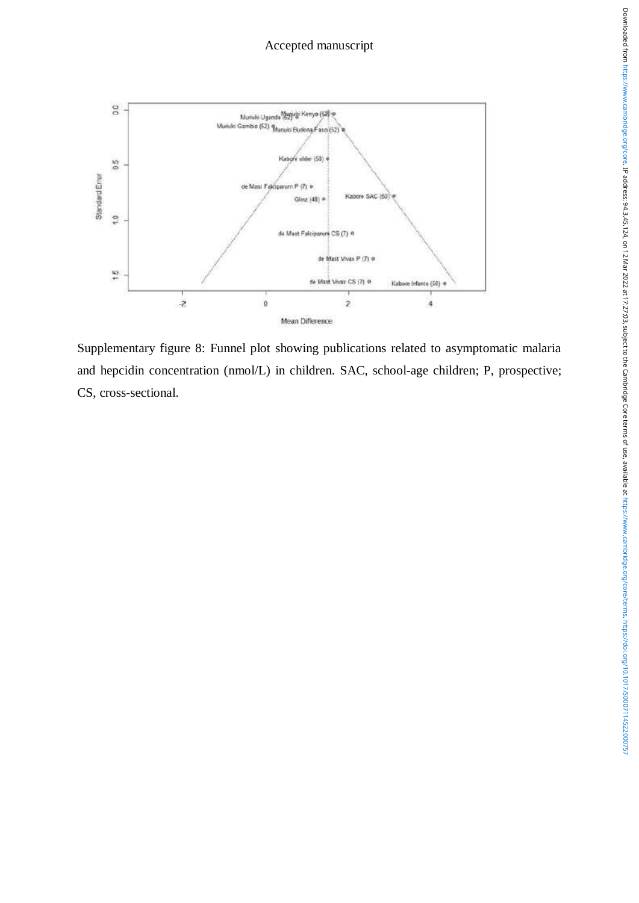

Supplementary figure 8: Funnel plot showing publications related to asymptomatic malaria and hepcidin concentration (nmol/L) in children. SAC, school-age children; P, prospective; CS, cross-sectional.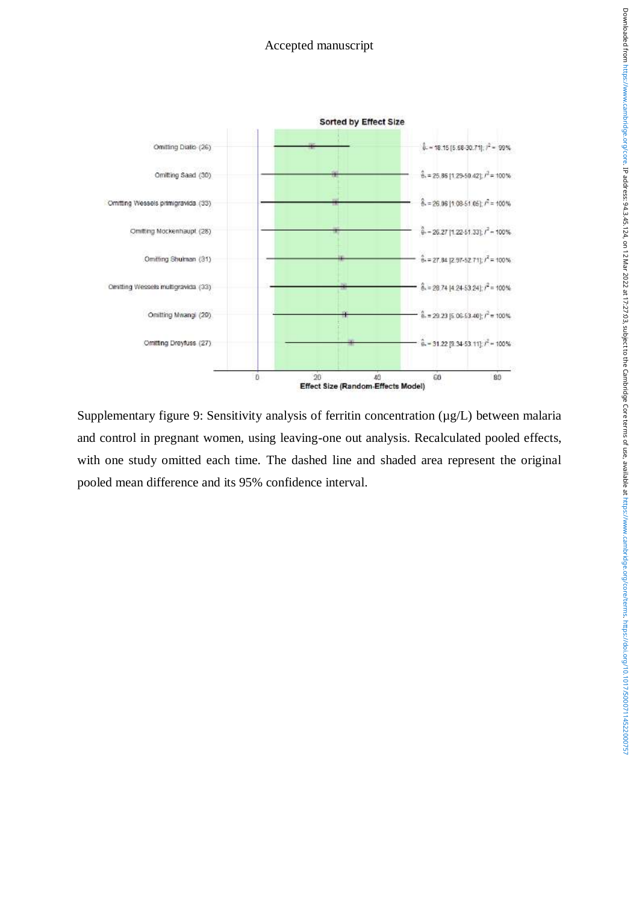

Supplementary figure 9: Sensitivity analysis of ferritin concentration ( $\mu$ g/L) between malaria and control in pregnant women, using leaving-one out analysis. Recalculated pooled effects, with one study omitted each time. The dashed line and shaded area represent the original pooled mean difference and its 95% confidence interval.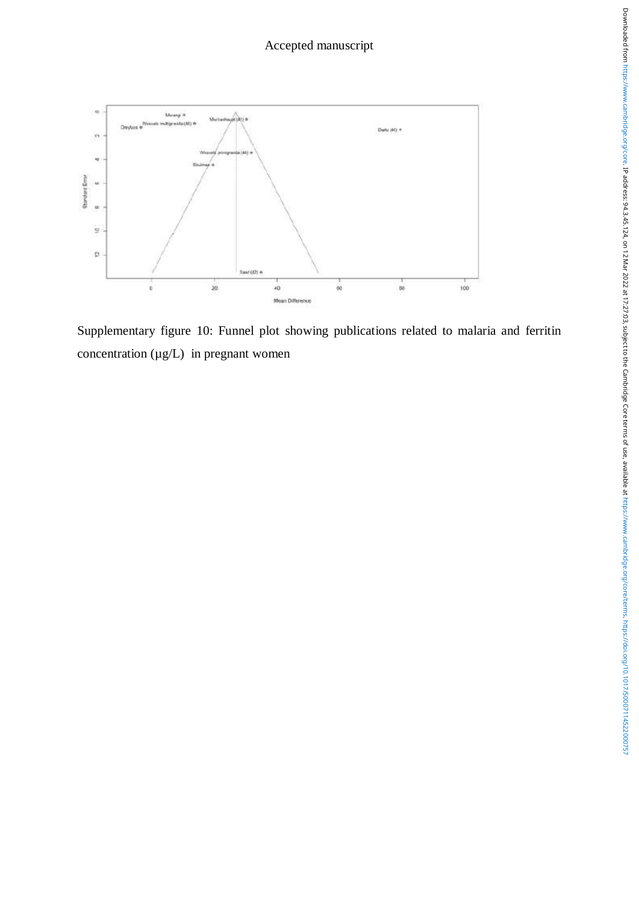

Supplementary figure 10: Funnel plot showing publications related to malaria and ferritin concentration  $(\mu g/L)$  in pregnant women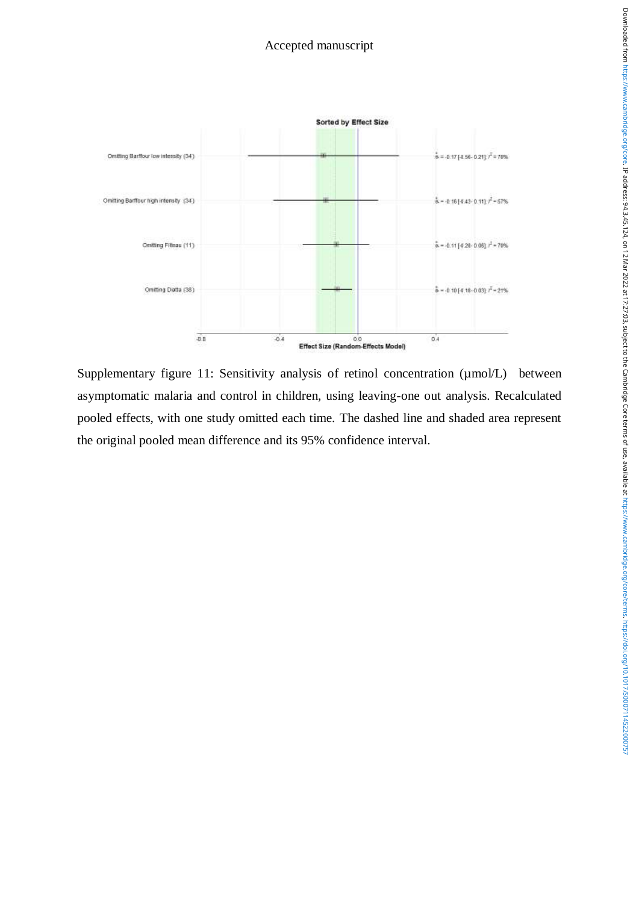

Supplementary figure 11: Sensitivity analysis of retinol concentration ( $\mu$ mol/L) between asymptomatic malaria and control in children, using leaving-one out analysis. Recalculated pooled effects, with one study omitted each time. The dashed line and shaded area represent the original pooled mean difference and its 95% confidence interval.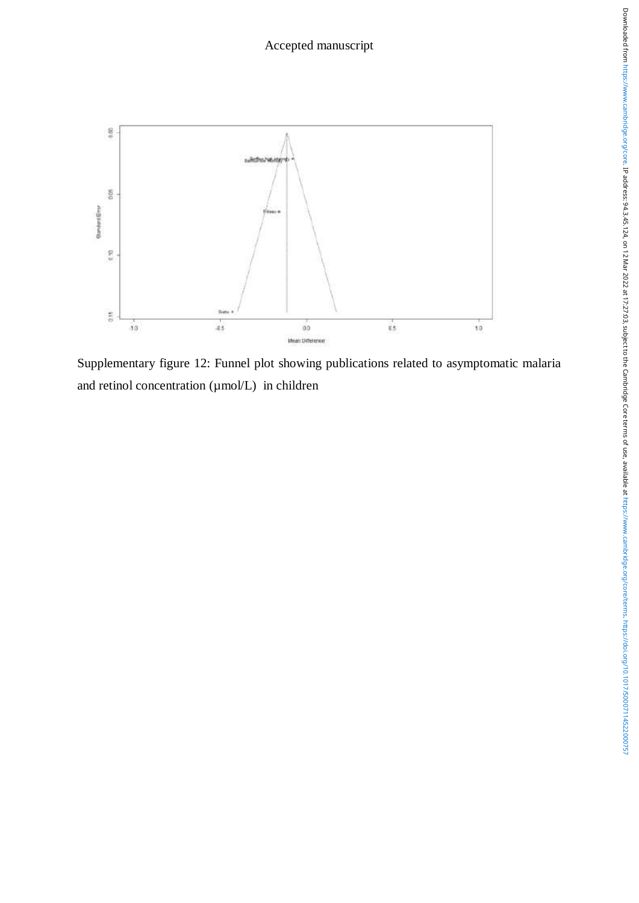

Supplementary figure 12: Funnel plot showing publications related to asymptomatic malaria and retinol concentration ( $\mu$ mol/L) in children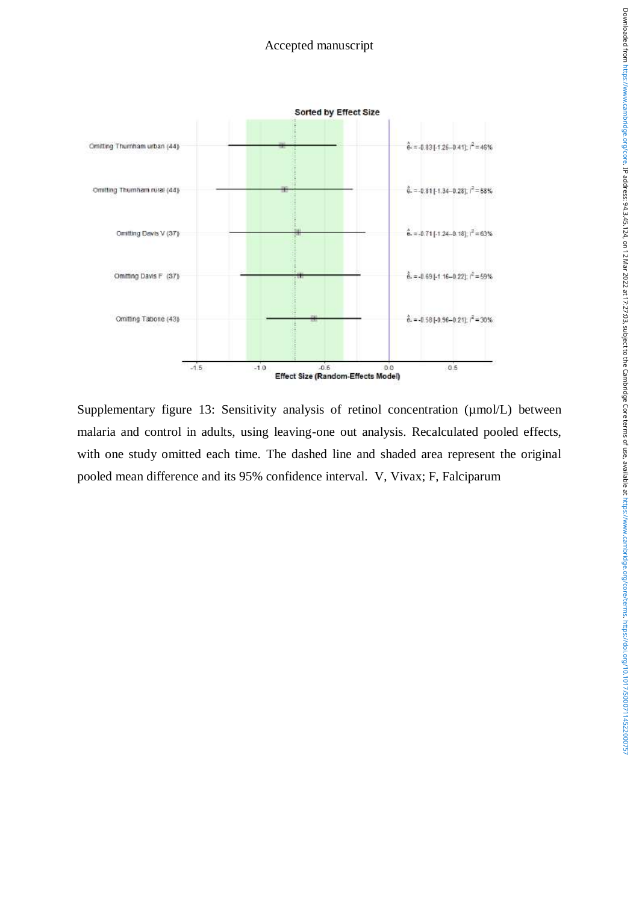

Supplementary figure 13: Sensitivity analysis of retinol concentration ( $\mu$ mol/L) between malaria and control in adults, using leaving-one out analysis. Recalculated pooled effects, with one study omitted each time. The dashed line and shaded area represent the original pooled mean difference and its 95% confidence interval. V, Vivax; F, Falciparum